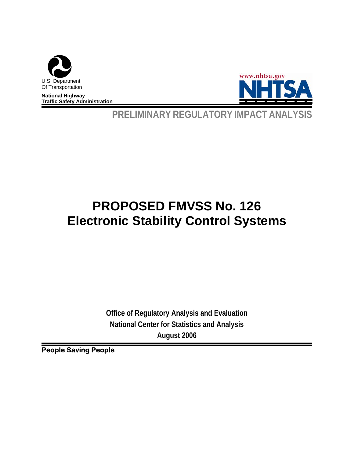

**National Highway Traffic Safety Administration** 



**PRELIMINARY REGULATORY IMPACT ANALYSIS** 

# **PROPOSED FMVSS No. 126 Electronic Stability Control Systems**

**Office of Regulatory Analysis and Evaluation National Center for Statistics and Analysis August 2006**

**People Saving People**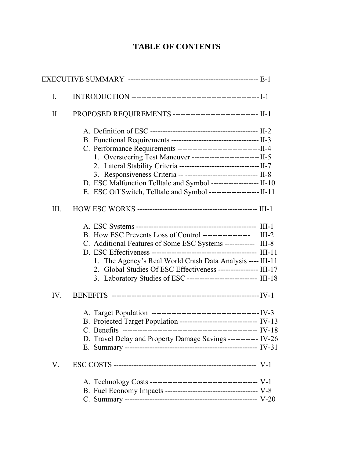# **TABLE OF CONTENTS**

| I.   |                                                                      |  |
|------|----------------------------------------------------------------------|--|
| Π.   | PROPOSED REQUIREMENTS ----------------------------------- II-1       |  |
|      |                                                                      |  |
|      |                                                                      |  |
|      |                                                                      |  |
|      |                                                                      |  |
|      |                                                                      |  |
|      | 3. Responsiveness Criteria -- ----------------------------- II-8     |  |
|      | D. ESC Malfunction Telltale and Symbol ------------------- II-10     |  |
|      | E. ESC Off Switch, Telltale and Symbol ---------------------- II-11  |  |
| III. |                                                                      |  |
|      |                                                                      |  |
|      | B. How ESC Prevents Loss of Control -------------------- III-2       |  |
|      | C. Additional Features of Some ESC Systems ------------ III-8        |  |
|      |                                                                      |  |
|      | 1. The Agency's Real World Crash Data Analysis ---- III-11           |  |
|      | 2. Global Studies Of ESC Effectiveness ---------------- III-17       |  |
|      | 3. Laboratory Studies of ESC ---------------------------- III-18     |  |
| IV.  |                                                                      |  |
|      |                                                                      |  |
|      | B. Projected Target Population ------------------------------- IV-13 |  |
|      |                                                                      |  |
|      | D. Travel Delay and Property Damage Savings ------------ IV-26       |  |
|      |                                                                      |  |
| V.   |                                                                      |  |
|      |                                                                      |  |
|      |                                                                      |  |
|      |                                                                      |  |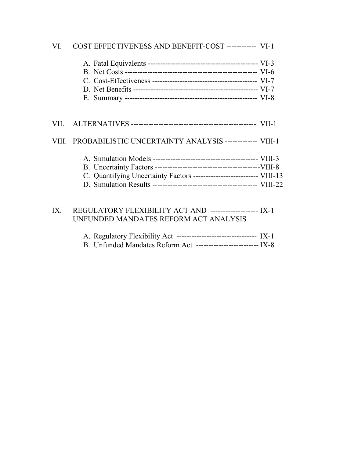| VI. | COST EFFECTIVENESS AND BENEFIT-COST ------------- VI-1                |
|-----|-----------------------------------------------------------------------|
|     |                                                                       |
|     |                                                                       |
|     |                                                                       |
|     | VIII. PROBABILISTIC UNCERTAINTY ANALYSIS ------------- VIII-1         |
|     | C. Quantifying Uncertainty Factors -------------------------- VIII-13 |

# IX. REGULATORY FLEXIBILITY ACT AND ------------------- IX-1 UNFUNDED MANDATES REFORM ACT ANALYSIS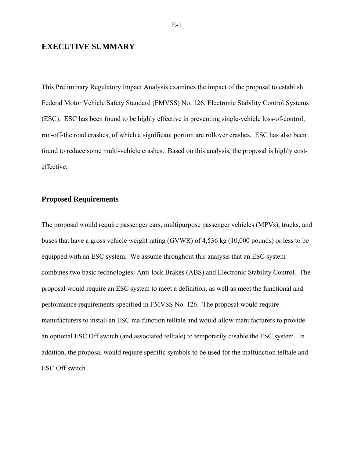## **EXECUTIVE SUMMARY**

This Preliminary Regulatory Impact Analysis examines the impact of the proposal to establish Federal Motor Vehicle Safety Standard (FMVSS) No. 126, Electronic Stability Control Systems (ESC). ESC has been found to be highly effective in preventing single-vehicle loss-of-control, run-off-the road crashes, of which a significant portion are rollover crashes. ESC has also been found to reduce some multi-vehicle crashes. Based on this analysis, the proposal is highly costeffective.

## **Proposed Requirements**

The proposal would require passenger cars, multipurpose passenger vehicles (MPVs), trucks, and buses that have a gross vehicle weight rating (GVWR) of 4,536 kg (10,000 pounds) or less to be equipped with an ESC system. We assume throughout this analysis that an ESC system combines two basic technologies: Anti-lock Brakes (ABS) and Electronic Stability Control. The proposal would require an ESC system to meet a definition, as well as meet the functional and performance requirements specified in FMVSS No. 126. The proposal would require manufacturers to install an ESC malfunction telltale and would allow manufacturers to provide an optional ESC Off switch (and associated telltale) to temporarily disable the ESC system. In addition, the proposal would require specific symbols to be used for the malfunction telltale and ESC Off switch.

E-1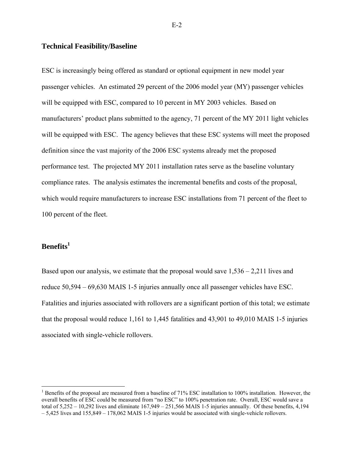## **Technical Feasibility/Baseline**

ESC is increasingly being offered as standard or optional equipment in new model year passenger vehicles. An estimated 29 percent of the 2006 model year (MY) passenger vehicles will be equipped with ESC, compared to 10 percent in MY 2003 vehicles. Based on manufacturers' product plans submitted to the agency, 71 percent of the MY 2011 light vehicles will be equipped with ESC. The agency believes that these ESC systems will meet the proposed definition since the vast majority of the 2006 ESC systems already met the proposed performance test. The projected MY 2011 installation rates serve as the baseline voluntary compliance rates. The analysis estimates the incremental benefits and costs of the proposal, which would require manufacturers to increase ESC installations from 71 percent of the fleet to 100 percent of the fleet.

## **Benefits1**

 $\overline{a}$ 

Based upon our analysis, we estimate that the proposal would save 1,536 – 2,211 lives and reduce 50,594 – 69,630 MAIS 1-5 injuries annually once all passenger vehicles have ESC. Fatalities and injuries associated with rollovers are a significant portion of this total; we estimate that the proposal would reduce 1,161 to 1,445 fatalities and 43,901 to 49,010 MAIS 1-5 injuries associated with single-vehicle rollovers.

<sup>&</sup>lt;sup>1</sup> Benefits of the proposal are measured from a baseline of 71% ESC installation to 100% installation. However, the overall benefits of ESC could be measured from "no ESC" to 100% penetration rate. Overall, ESC would save a total of 5,252 – 10,292 lives and eliminate 167,949 – 251,566 MAIS 1-5 injuries annually. Of these benefits, 4,194 – 5,425 lives and 155,849 – 178,062 MAIS 1-5 injuries would be associated with single-vehicle rollovers.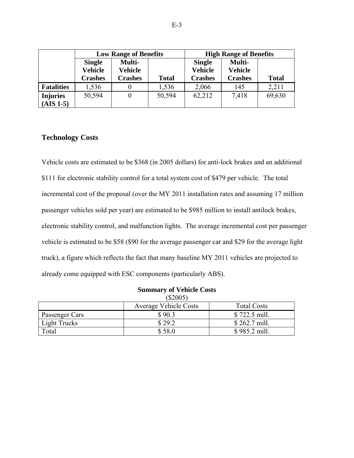|                   | <b>Low Range of Benefits</b> |                   | <b>High Range of Benefits</b> |                                 |                   |              |
|-------------------|------------------------------|-------------------|-------------------------------|---------------------------------|-------------------|--------------|
|                   | <b>Single</b><br>Vehicle     | Multi-<br>Vehicle |                               | <b>Single</b><br><b>Vehicle</b> | Multi-<br>Vehicle |              |
|                   | <b>Crashes</b>               | <b>Crashes</b>    | <b>Total</b>                  | <b>Crashes</b>                  | <b>Crashes</b>    | <b>Total</b> |
| <b>Fatalities</b> | 1,536                        | $\theta$          | 1,536                         | 2,066                           | 145               | 2,211        |
| <b>Injuries</b>   | 50,594                       | $\theta$          | 50,594                        | 62,212                          | 7,418             | 69,630       |
| $(AIS 1-5)$       |                              |                   |                               |                                 |                   |              |

## **Technology Costs**

Vehicle costs are estimated to be \$368 (in 2005 dollars) for anti-lock brakes and an additional \$111 for electronic stability control for a total system cost of \$479 per vehicle. The total incremental cost of the proposal (over the MY 2011 installation rates and assuming 17 million passenger vehicles sold per year) are estimated to be \$985 million to install antilock brakes, electronic stability control, and malfunction lights. The average incremental cost per passenger vehicle is estimated to be \$58 (\$90 for the average passenger car and \$29 for the average light truck), a figure which reflects the fact that many baseline MY 2011 vehicles are projected to already come equipped with ESC components (particularly ABS).

|                | SUMMARY OF VEHICLE COSTS     |                    |
|----------------|------------------------------|--------------------|
|                | $(\$2005)$                   |                    |
|                | <b>Average Vehicle Costs</b> | <b>Total Costs</b> |
| Passenger Cars | \$90.3                       | \$722.5 mill.      |
| Light Trucks   | \$29.2                       | \$262.7 mill.      |
| Total          | \$58.0                       | \$985.2 mill.      |

## **Summary of Vehicle Costs**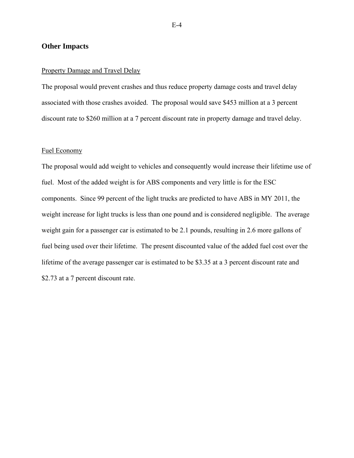#### **Other Impacts**

#### Property Damage and Travel Delay

The proposal would prevent crashes and thus reduce property damage costs and travel delay associated with those crashes avoided. The proposal would save \$453 million at a 3 percent discount rate to \$260 million at a 7 percent discount rate in property damage and travel delay.

## Fuel Economy

The proposal would add weight to vehicles and consequently would increase their lifetime use of fuel. Most of the added weight is for ABS components and very little is for the ESC components. Since 99 percent of the light trucks are predicted to have ABS in MY 2011, the weight increase for light trucks is less than one pound and is considered negligible. The average weight gain for a passenger car is estimated to be 2.1 pounds, resulting in 2.6 more gallons of fuel being used over their lifetime. The present discounted value of the added fuel cost over the lifetime of the average passenger car is estimated to be \$3.35 at a 3 percent discount rate and \$2.73 at a 7 percent discount rate.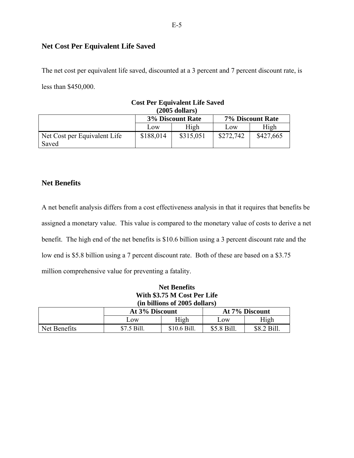## **Net Cost Per Equivalent Life Saved**

The net cost per equivalent life saved, discounted at a 3 percent and 7 percent discount rate, is less than \$450,000.

|                              |           | $(2005$ dollars)        |           |                  |
|------------------------------|-----------|-------------------------|-----------|------------------|
|                              |           | <b>3% Discount Rate</b> |           | 7% Discount Rate |
|                              | LOW       | High                    | Low       | High             |
| Net Cost per Equivalent Life | \$188,014 | \$315,051               | \$272,742 | \$427,665        |
| Saved                        |           |                         |           |                  |

# **Cost Per Equivalent Life Saved**

## **Net Benefits**

A net benefit analysis differs from a cost effectiveness analysis in that it requires that benefits be assigned a monetary value. This value is compared to the monetary value of costs to derive a net benefit. The high end of the net benefits is \$10.6 billion using a 3 percent discount rate and the low end is \$5.8 billion using a 7 percent discount rate. Both of these are based on a \$3.75 million comprehensive value for preventing a fatality.

## **Net Benefits With \$3.75 M Cost Per Life (in billions of 2005 dollars)**

|              | At 3% Discount |              | At 7% Discount |             |  |
|--------------|----------------|--------------|----------------|-------------|--|
|              | .0W            | High         | $\sim$ OW      | High        |  |
| Net Benefits | \$7.5 Bill.    | \$10.6 Bill. | \$5.8 Bill.    | \$8.2 Bill. |  |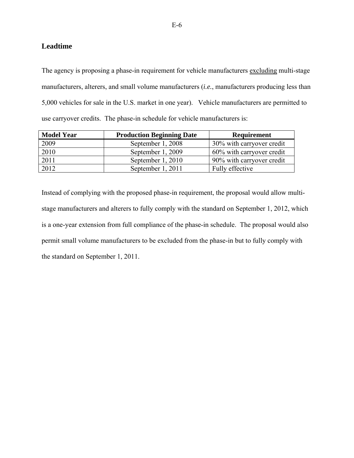## **Leadtime**

The agency is proposing a phase-in requirement for vehicle manufacturers excluding multi-stage manufacturers, alterers, and small volume manufacturers (*i.e.*, manufacturers producing less than 5,000 vehicles for sale in the U.S. market in one year). Vehicle manufacturers are permitted to use carryover credits. The phase-in schedule for vehicle manufacturers is:

| <b>Model Year</b> | <b>Production Beginning Date</b> | <b>Requirement</b>        |
|-------------------|----------------------------------|---------------------------|
| 2009              | September 1, 2008                | 30% with carryover credit |
| 2010              | September 1, 2009                | 60% with carryover credit |
| 2011              | September 1, 2010                | 90% with carryover credit |
| 2012              | September 1, 2011                | Fully effective           |

Instead of complying with the proposed phase-in requirement, the proposal would allow multistage manufacturers and alterers to fully comply with the standard on September 1, 2012, which is a one-year extension from full compliance of the phase-in schedule. The proposal would also permit small volume manufacturers to be excluded from the phase-in but to fully comply with the standard on September 1, 2011.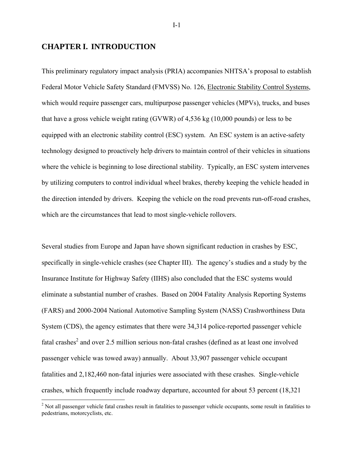## **CHAPTER I. INTRODUCTION**

 $\overline{a}$ 

This preliminary regulatory impact analysis (PRIA) accompanies NHTSA's proposal to establish Federal Motor Vehicle Safety Standard (FMVSS) No. 126, Electronic Stability Control Systems, which would require passenger cars, multipurpose passenger vehicles (MPVs), trucks, and buses that have a gross vehicle weight rating (GVWR) of 4,536 kg (10,000 pounds) or less to be equipped with an electronic stability control (ESC) system. An ESC system is an active-safety technology designed to proactively help drivers to maintain control of their vehicles in situations where the vehicle is beginning to lose directional stability. Typically, an ESC system intervenes by utilizing computers to control individual wheel brakes, thereby keeping the vehicle headed in the direction intended by drivers. Keeping the vehicle on the road prevents run-off-road crashes, which are the circumstances that lead to most single-vehicle rollovers.

Several studies from Europe and Japan have shown significant reduction in crashes by ESC, specifically in single-vehicle crashes (see Chapter III). The agency's studies and a study by the Insurance Institute for Highway Safety (IIHS) also concluded that the ESC systems would eliminate a substantial number of crashes. Based on 2004 Fatality Analysis Reporting Systems (FARS) and 2000-2004 National Automotive Sampling System (NASS) Crashworthiness Data System (CDS), the agency estimates that there were 34,314 police-reported passenger vehicle fatal crashes<sup>2</sup> and over 2.5 million serious non-fatal crashes (defined as at least one involved passenger vehicle was towed away) annually. About 33,907 passenger vehicle occupant fatalities and 2,182,460 non-fatal injuries were associated with these crashes. Single-vehicle crashes, which frequently include roadway departure, accounted for about 53 percent (18,321

I-1

 $2$  Not all passenger vehicle fatal crashes result in fatalities to passenger vehicle occupants, some result in fatalities to pedestrians, motorcyclists, etc.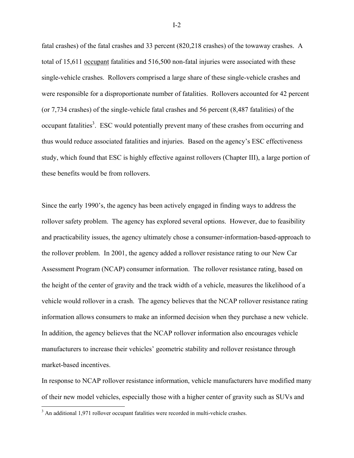fatal crashes) of the fatal crashes and 33 percent (820,218 crashes) of the towaway crashes. A total of 15,611 occupant fatalities and 516,500 non-fatal injuries were associated with these single-vehicle crashes. Rollovers comprised a large share of these single-vehicle crashes and were responsible for a disproportionate number of fatalities. Rollovers accounted for 42 percent (or 7,734 crashes) of the single-vehicle fatal crashes and 56 percent (8,487 fatalities) of the occupant fatalities<sup>3</sup>. ESC would potentially prevent many of these crashes from occurring and thus would reduce associated fatalities and injuries. Based on the agency's ESC effectiveness study, which found that ESC is highly effective against rollovers (Chapter III), a large portion of these benefits would be from rollovers.

Since the early 1990's, the agency has been actively engaged in finding ways to address the rollover safety problem. The agency has explored several options. However, due to feasibility and practicability issues, the agency ultimately chose a consumer-information-based-approach to the rollover problem. In 2001, the agency added a rollover resistance rating to our New Car Assessment Program (NCAP) consumer information. The rollover resistance rating, based on the height of the center of gravity and the track width of a vehicle, measures the likelihood of a vehicle would rollover in a crash. The agency believes that the NCAP rollover resistance rating information allows consumers to make an informed decision when they purchase a new vehicle. In addition, the agency believes that the NCAP rollover information also encourages vehicle manufacturers to increase their vehicles' geometric stability and rollover resistance through market-based incentives.

In response to NCAP rollover resistance information, vehicle manufacturers have modified many of their new model vehicles, especially those with a higher center of gravity such as SUVs and

<u>.</u>

<sup>&</sup>lt;sup>3</sup> An additional 1,971 rollover occupant fatalities were recorded in multi-vehicle crashes.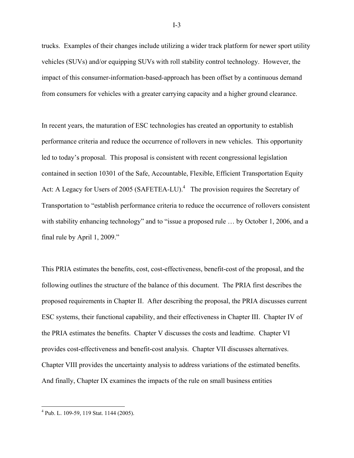trucks. Examples of their changes include utilizing a wider track platform for newer sport utility vehicles (SUVs) and/or equipping SUVs with roll stability control technology. However, the impact of this consumer-information-based-approach has been offset by a continuous demand from consumers for vehicles with a greater carrying capacity and a higher ground clearance.

In recent years, the maturation of ESC technologies has created an opportunity to establish performance criteria and reduce the occurrence of rollovers in new vehicles. This opportunity led to today's proposal. This proposal is consistent with recent congressional legislation contained in section 10301 of the Safe, Accountable, Flexible, Efficient Transportation Equity Act: A Legacy for Users of 2005 (SAFETEA-LU).<sup>4</sup> The provision requires the Secretary of Transportation to "establish performance criteria to reduce the occurrence of rollovers consistent with stability enhancing technology" and to "issue a proposed rule ... by October 1, 2006, and a final rule by April 1, 2009."

This PRIA estimates the benefits, cost, cost-effectiveness, benefit-cost of the proposal, and the following outlines the structure of the balance of this document. The PRIA first describes the proposed requirements in Chapter II. After describing the proposal, the PRIA discusses current ESC systems, their functional capability, and their effectiveness in Chapter III. Chapter IV of the PRIA estimates the benefits. Chapter V discusses the costs and leadtime. Chapter VI provides cost-effectiveness and benefit-cost analysis. Chapter VII discusses alternatives. Chapter VIII provides the uncertainty analysis to address variations of the estimated benefits. And finally, Chapter IX examines the impacts of the rule on small business entities

<u>.</u>

<sup>4</sup> Pub. L. 109-59, 119 Stat. 1144 (2005).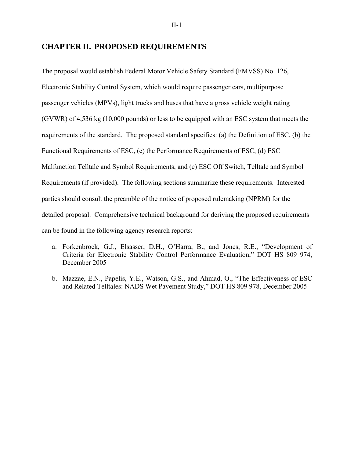## **CHAPTER II. PROPOSED REQUIREMENTS**

The proposal would establish Federal Motor Vehicle Safety Standard (FMVSS) No. 126, Electronic Stability Control System, which would require passenger cars, multipurpose passenger vehicles (MPVs), light trucks and buses that have a gross vehicle weight rating (GVWR) of 4,536 kg (10,000 pounds) or less to be equipped with an ESC system that meets the requirements of the standard. The proposed standard specifies: (a) the Definition of ESC, (b) the Functional Requirements of ESC, (c) the Performance Requirements of ESC, (d) ESC Malfunction Telltale and Symbol Requirements, and (e) ESC Off Switch, Telltale and Symbol Requirements (if provided). The following sections summarize these requirements. Interested parties should consult the preamble of the notice of proposed rulemaking (NPRM) for the detailed proposal. Comprehensive technical background for deriving the proposed requirements can be found in the following agency research reports:

- a. Forkenbrock, G.J., Elsasser, D.H., O'Harra, B., and Jones, R.E., "Development of Criteria for Electronic Stability Control Performance Evaluation," DOT HS 809 974, December 2005
- b. Mazzae, E.N., Papelis, Y.E., Watson, G.S., and Ahmad, O., "The Effectiveness of ESC and Related Telltales: NADS Wet Pavement Study," DOT HS 809 978, December 2005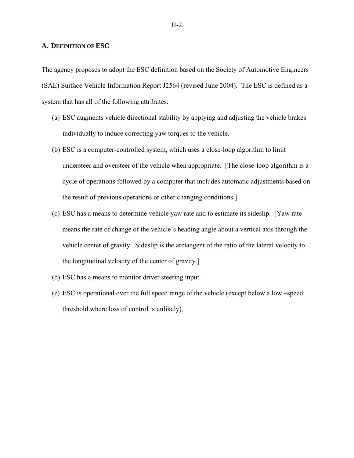#### **A. DEFINITION OF ESC**

The agency proposes to adopt the ESC definition based on the Society of Automotive Engineers (SAE) Surface Vehicle Information Report J2564 (revised June 2004). The ESC is defined as a system that has all of the following attributes:

- (a) ESC augments vehicle directional stability by applying and adjusting the vehicle brakes individually to induce correcting yaw torques to the vehicle.
- (b) ESC is a computer-controlled system, which uses a close-loop algorithm to limit understeer and oversteer of the vehicle when appropriate. [The close-loop algorithm is a cycle of operations followed by a computer that includes automatic adjustments based on the result of previous operations or other changing conditions.]
- (c) ESC has a means to determine vehicle yaw rate and to estimate its sideslip. [Yaw rate means the rate of change of the vehicle's heading angle about a vertical axis through the vehicle center of gravity. Sideslip is the arctangent of the ratio of the lateral velocity to the longitudinal velocity of the center of gravity.]
- (d) ESC has a means to monitor driver steering input.
- (e) ESC is operational over the full speed range of the vehicle (except below a low –speed threshold where loss of control is unlikely).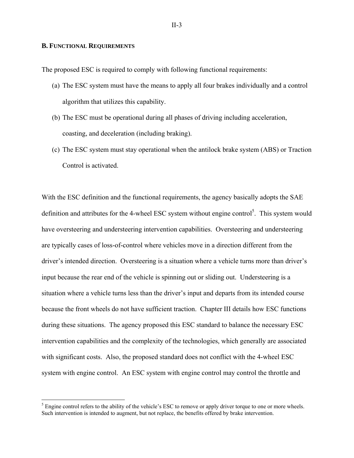#### **B. FUNCTIONAL REQUIREMENTS**

 $\overline{a}$ 

The proposed ESC is required to comply with following functional requirements:

- (a) The ESC system must have the means to apply all four brakes individually and a control algorithm that utilizes this capability.
- (b) The ESC must be operational during all phases of driving including acceleration, coasting, and deceleration (including braking).
- (c) The ESC system must stay operational when the antilock brake system (ABS) or Traction Control is activated.

With the ESC definition and the functional requirements, the agency basically adopts the SAE definition and attributes for the 4-wheel ESC system without engine control<sup>5</sup>. This system would have oversteering and understeering intervention capabilities. Oversteering and understeering are typically cases of loss-of-control where vehicles move in a direction different from the driver's intended direction. Oversteering is a situation where a vehicle turns more than driver's input because the rear end of the vehicle is spinning out or sliding out. Understeering is a situation where a vehicle turns less than the driver's input and departs from its intended course because the front wheels do not have sufficient traction. Chapter III details how ESC functions during these situations. The agency proposed this ESC standard to balance the necessary ESC intervention capabilities and the complexity of the technologies, which generally are associated with significant costs. Also, the proposed standard does not conflict with the 4-wheel ESC system with engine control. An ESC system with engine control may control the throttle and

 $<sup>5</sup>$  Engine control refers to the ability of the vehicle's ESC to remove or apply driver torque to one or more wheels.</sup> Such intervention is intended to augment, but not replace, the benefits offered by brake intervention.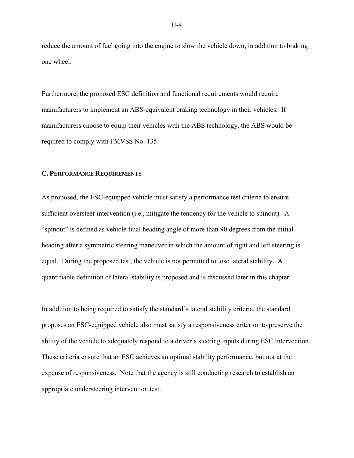reduce the amount of fuel going into the engine to slow the vehicle down, in addition to braking one wheel.

Furthermore, the proposed ESC definition and functional requirements would require manufacturers to implement an ABS-equivalent braking technology in their vehicles. If manufacturers choose to equip their vehicles with the ABS technology, the ABS would be required to comply with FMVSS No. 135.

#### **C. PERFORMANCE REQUIREMENTS**

As proposed, the ESC-equipped vehicle must satisfy a performance test criteria to ensure sufficient oversteer intervention (i.e., mitigate the tendency for the vehicle to spinout). A "spinout" is defined as vehicle final heading angle of more than 90 degrees from the initial heading after a symmetric steering maneuver in which the amount of right and left steering is equal. During the proposed test, the vehicle is not permitted to lose lateral stability. A quantifiable definition of lateral stability is proposed and is discussed later in this chapter.

In addition to being required to satisfy the standard's lateral stability criteria, the standard proposes an ESC-equipped vehicle also must satisfy a responsiveness criterion to preserve the ability of the vehicle to adequately respond to a driver's steering inputs during ESC intervention. These criteria ensure that an ESC achieves an optimal stability performance, but not at the expense of responsiveness. Note that the agency is still conducting research to establish an appropriate understeering intervention test.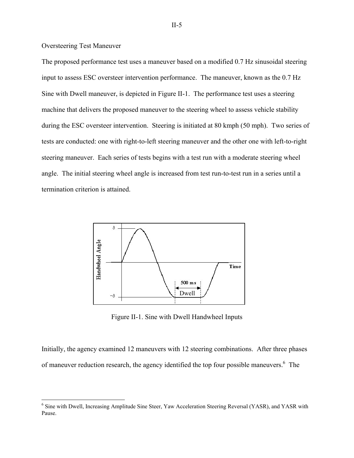#### Oversteering Test Maneuver

The proposed performance test uses a maneuver based on a modified 0.7 Hz sinusoidal steering input to assess ESC oversteer intervention performance. The maneuver, known as the 0.7 Hz Sine with Dwell maneuver, is depicted in Figure II-1. The performance test uses a steering machine that delivers the proposed maneuver to the steering wheel to assess vehicle stability during the ESC oversteer intervention. Steering is initiated at 80 kmph (50 mph). Two series of tests are conducted: one with right-to-left steering maneuver and the other one with left-to-right steering maneuver. Each series of tests begins with a test run with a moderate steering wheel angle. The initial steering wheel angle is increased from test run-to-test run in a series until a termination criterion is attained.



Figure II-1. Sine with Dwell Handwheel Inputs

Initially, the agency examined 12 maneuvers with 12 steering combinations. After three phases of maneuver reduction research, the agency identified the top four possible maneuvers.<sup>6</sup> The

<sup>&</sup>lt;sup>6</sup> Sine with Dwell, Increasing Amplitude Sine Steer, Yaw Acceleration Steering Reversal (YASR), and YASR with Pause.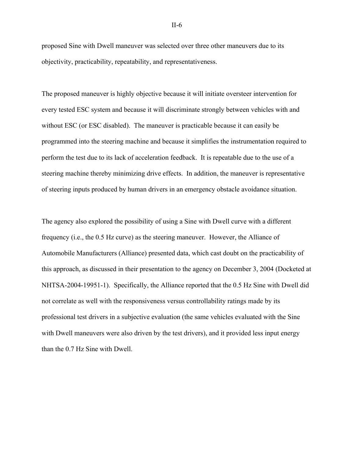proposed Sine with Dwell maneuver was selected over three other maneuvers due to its objectivity, practicability, repeatability, and representativeness.

The proposed maneuver is highly objective because it will initiate oversteer intervention for every tested ESC system and because it will discriminate strongly between vehicles with and without ESC (or ESC disabled). The maneuver is practicable because it can easily be programmed into the steering machine and because it simplifies the instrumentation required to perform the test due to its lack of acceleration feedback. It is repeatable due to the use of a steering machine thereby minimizing drive effects. In addition, the maneuver is representative of steering inputs produced by human drivers in an emergency obstacle avoidance situation.

The agency also explored the possibility of using a Sine with Dwell curve with a different frequency (i.e., the 0.5 Hz curve) as the steering maneuver. However, the Alliance of Automobile Manufacturers (Alliance) presented data, which cast doubt on the practicability of this approach, as discussed in their presentation to the agency on December 3, 2004 (Docketed at NHTSA-2004-19951-1). Specifically, the Alliance reported that the 0.5 Hz Sine with Dwell did not correlate as well with the responsiveness versus controllability ratings made by its professional test drivers in a subjective evaluation (the same vehicles evaluated with the Sine with Dwell maneuvers were also driven by the test drivers), and it provided less input energy than the 0.7 Hz Sine with Dwell.

II-6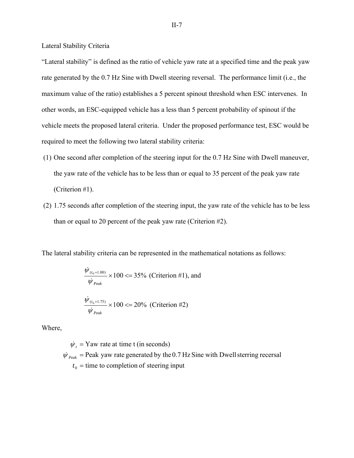Lateral Stability Criteria

"Lateral stability" is defined as the ratio of vehicle yaw rate at a specified time and the peak yaw rate generated by the 0.7 Hz Sine with Dwell steering reversal. The performance limit (i.e., the maximum value of the ratio) establishes a 5 percent spinout threshold when ESC intervenes. In other words, an ESC-equipped vehicle has a less than 5 percent probability of spinout if the vehicle meets the proposed lateral criteria. Under the proposed performance test, ESC would be required to meet the following two lateral stability criteria:

- (1) One second after completion of the steering input for the 0.7 Hz Sine with Dwell maneuver, the yaw rate of the vehicle has to be less than or equal to 35 percent of the peak yaw rate (Criterion #1).
- (2) 1.75 seconds after completion of the steering input, the yaw rate of the vehicle has to be less than or equal to 20 percent of the peak yaw rate (Criterion #2).

The lateral stability criteria can be represented in the mathematical notations as follows:

$$
\frac{\dot{\psi}_{(t_0+1.00)}}{\dot{\psi}_{\text{Peak}}} \times 100 \ll 35\% \text{ (Criterion #1), and}
$$
\n
$$
\frac{\dot{\psi}_{(t_0+1.75)}}{\dot{\psi}_{\text{Peak}}} \times 100 \ll 20\% \text{ (Criterion #2)}
$$

Where,

 $t_0$  = time to completion of steering input  $\dot{\psi}_{\text{Peak}}$  = Peak yaw rate generated by the 0.7 Hz Sine with Dwell sterring recersal  $\dot{\psi}_t$  = Yaw rate at time t (in seconds)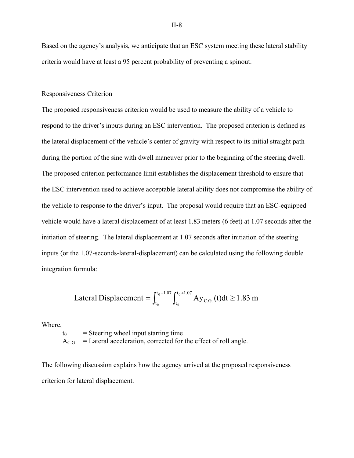Based on the agency's analysis, we anticipate that an ESC system meeting these lateral stability criteria would have at least a 95 percent probability of preventing a spinout.

#### Responsiveness Criterion

The proposed responsiveness criterion would be used to measure the ability of a vehicle to respond to the driver's inputs during an ESC intervention. The proposed criterion is defined as the lateral displacement of the vehicle's center of gravity with respect to its initial straight path during the portion of the sine with dwell maneuver prior to the beginning of the steering dwell. The proposed criterion performance limit establishes the displacement threshold to ensure that the ESC intervention used to achieve acceptable lateral ability does not compromise the ability of the vehicle to response to the driver's input. The proposal would require that an ESC-equipped vehicle would have a lateral displacement of at least 1.83 meters (6 feet) at 1.07 seconds after the initiation of steering. The lateral displacement at 1.07 seconds after initiation of the steering inputs (or the 1.07-seconds-lateral-displacement) can be calculated using the following double integration formula:

Lateral Displacement = 
$$
\int_{t_0}^{t_0+1.07} \int_{t_0}^{t_0+1.07} Ay_{C.G.}(t)dt \ge 1.83 \text{ m}
$$

Where,

 $t_0$  = Steering wheel input starting time  $A_{CG}$  = Lateral acceleration, corrected for the effect of roll angle.

The following discussion explains how the agency arrived at the proposed responsiveness criterion for lateral displacement.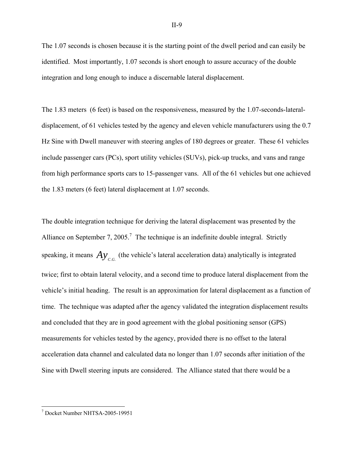The 1.07 seconds is chosen because it is the starting point of the dwell period and can easily be identified. Most importantly, 1.07 seconds is short enough to assure accuracy of the double integration and long enough to induce a discernable lateral displacement.

The 1.83 meters (6 feet) is based on the responsiveness, measured by the 1.07-seconds-lateraldisplacement, of 61 vehicles tested by the agency and eleven vehicle manufacturers using the 0.7 Hz Sine with Dwell maneuver with steering angles of 180 degrees or greater. These 61 vehicles include passenger cars (PCs), sport utility vehicles (SUVs), pick-up trucks, and vans and range from high performance sports cars to 15-passenger vans. All of the 61 vehicles but one achieved the 1.83 meters (6 feet) lateral displacement at 1.07 seconds.

The double integration technique for deriving the lateral displacement was presented by the Alliance on September 7, 2005.<sup>7</sup> The technique is an indefinite double integral. Strictly speaking, it means  $Ay_{c,c}$  (the vehicle's lateral acceleration data) analytically is integrated twice; first to obtain lateral velocity, and a second time to produce lateral displacement from the vehicle's initial heading. The result is an approximation for lateral displacement as a function of time. The technique was adapted after the agency validated the integration displacement results and concluded that they are in good agreement with the global positioning sensor (GPS) measurements for vehicles tested by the agency, provided there is no offset to the lateral acceleration data channel and calculated data no longer than 1.07 seconds after initiation of the Sine with Dwell steering inputs are considered. The Alliance stated that there would be a

 7 Docket Number NHTSA-2005-19951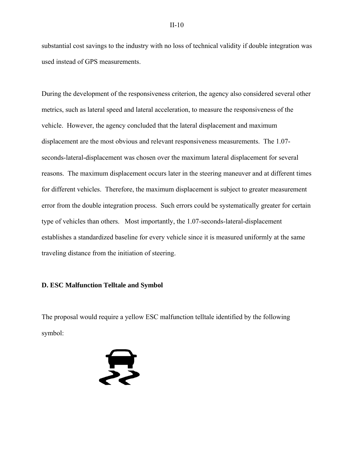substantial cost savings to the industry with no loss of technical validity if double integration was used instead of GPS measurements.

During the development of the responsiveness criterion, the agency also considered several other metrics, such as lateral speed and lateral acceleration, to measure the responsiveness of the vehicle. However, the agency concluded that the lateral displacement and maximum displacement are the most obvious and relevant responsiveness measurements. The 1.07 seconds-lateral-displacement was chosen over the maximum lateral displacement for several reasons. The maximum displacement occurs later in the steering maneuver and at different times for different vehicles. Therefore, the maximum displacement is subject to greater measurement error from the double integration process. Such errors could be systematically greater for certain type of vehicles than others. Most importantly, the 1.07-seconds-lateral-displacement establishes a standardized baseline for every vehicle since it is measured uniformly at the same traveling distance from the initiation of steering.

#### **D. ESC Malfunction Telltale and Symbol**

The proposal would require a yellow ESC malfunction telltale identified by the following symbol:

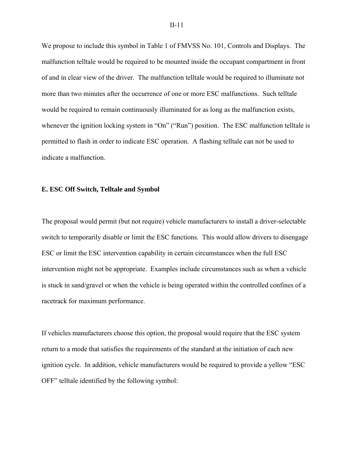We propose to include this symbol in Table 1 of FMVSS No. 101, Controls and Displays. The malfunction telltale would be required to be mounted inside the occupant compartment in front of and in clear view of the driver. The malfunction telltale would be required to illuminate not more than two minutes after the occurrence of one or more ESC malfunctions. Such telltale would be required to remain continuously illuminated for as long as the malfunction exists, whenever the ignition locking system in "On" ("Run") position. The ESC malfunction telltale is permitted to flash in order to indicate ESC operation. A flashing telltale can not be used to indicate a malfunction.

#### **E. ESC Off Switch, Telltale and Symbol**

The proposal would permit (but not require) vehicle manufacturers to install a driver-selectable switch to temporarily disable or limit the ESC functions. This would allow drivers to disengage ESC or limit the ESC intervention capability in certain circumstances when the full ESC intervention might not be appropriate. Examples include circumstances such as when a vehicle is stuck in sand/gravel or when the vehicle is being operated within the controlled confines of a racetrack for maximum performance.

If vehicles manufacturers choose this option, the proposal would require that the ESC system return to a mode that satisfies the requirements of the standard at the initiation of each new ignition cycle. In addition, vehicle manufacturers would be required to provide a yellow "ESC OFF" telltale identified by the following symbol: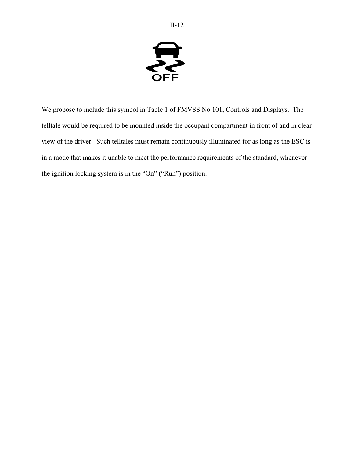

We propose to include this symbol in Table 1 of FMVSS No 101, Controls and Displays. The telltale would be required to be mounted inside the occupant compartment in front of and in clear view of the driver. Such telltales must remain continuously illuminated for as long as the ESC is in a mode that makes it unable to meet the performance requirements of the standard, whenever the ignition locking system is in the "On" ("Run") position.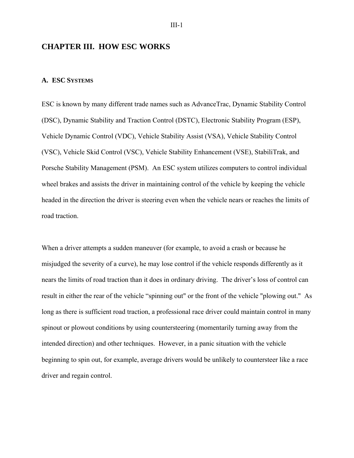## **CHAPTER III. HOW ESC WORKS**

#### **A. ESC SYSTEMS**

ESC is known by many different trade names such as AdvanceTrac, Dynamic Stability Control (DSC), Dynamic Stability and Traction Control (DSTC), Electronic Stability Program (ESP), Vehicle Dynamic Control (VDC), Vehicle Stability Assist (VSA), Vehicle Stability Control (VSC), Vehicle Skid Control (VSC), Vehicle Stability Enhancement (VSE), StabiliTrak, and Porsche Stability Management (PSM). An ESC system utilizes computers to control individual wheel brakes and assists the driver in maintaining control of the vehicle by keeping the vehicle headed in the direction the driver is steering even when the vehicle nears or reaches the limits of road traction.

When a driver attempts a sudden maneuver (for example, to avoid a crash or because he misjudged the severity of a curve), he may lose control if the vehicle responds differently as it nears the limits of road traction than it does in ordinary driving. The driver's loss of control can result in either the rear of the vehicle "spinning out" or the front of the vehicle "plowing out." As long as there is sufficient road traction, a professional race driver could maintain control in many spinout or plowout conditions by using countersteering (momentarily turning away from the intended direction) and other techniques. However, in a panic situation with the vehicle beginning to spin out, for example, average drivers would be unlikely to countersteer like a race driver and regain control.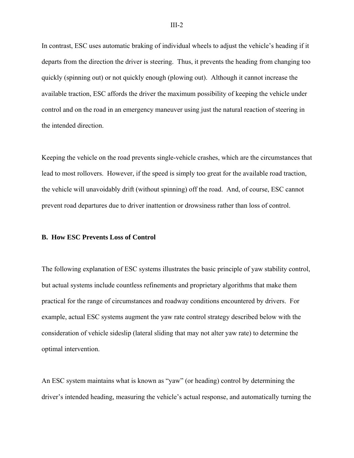In contrast, ESC uses automatic braking of individual wheels to adjust the vehicle's heading if it departs from the direction the driver is steering. Thus, it prevents the heading from changing too quickly (spinning out) or not quickly enough (plowing out). Although it cannot increase the available traction, ESC affords the driver the maximum possibility of keeping the vehicle under control and on the road in an emergency maneuver using just the natural reaction of steering in the intended direction.

Keeping the vehicle on the road prevents single-vehicle crashes, which are the circumstances that lead to most rollovers. However, if the speed is simply too great for the available road traction, the vehicle will unavoidably drift (without spinning) off the road. And, of course, ESC cannot prevent road departures due to driver inattention or drowsiness rather than loss of control.

#### **B. How ESC Prevents Loss of Control**

The following explanation of ESC systems illustrates the basic principle of yaw stability control, but actual systems include countless refinements and proprietary algorithms that make them practical for the range of circumstances and roadway conditions encountered by drivers. For example, actual ESC systems augment the yaw rate control strategy described below with the consideration of vehicle sideslip (lateral sliding that may not alter yaw rate) to determine the optimal intervention.

An ESC system maintains what is known as "yaw" (or heading) control by determining the driver's intended heading, measuring the vehicle's actual response, and automatically turning the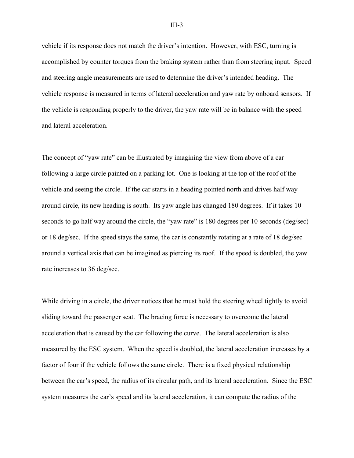vehicle if its response does not match the driver's intention. However, with ESC, turning is accomplished by counter torques from the braking system rather than from steering input. Speed and steering angle measurements are used to determine the driver's intended heading. The vehicle response is measured in terms of lateral acceleration and yaw rate by onboard sensors. If the vehicle is responding properly to the driver, the yaw rate will be in balance with the speed and lateral acceleration.

The concept of "yaw rate" can be illustrated by imagining the view from above of a car following a large circle painted on a parking lot. One is looking at the top of the roof of the vehicle and seeing the circle. If the car starts in a heading pointed north and drives half way around circle, its new heading is south. Its yaw angle has changed 180 degrees. If it takes 10 seconds to go half way around the circle, the "yaw rate" is 180 degrees per 10 seconds (deg/sec) or 18 deg/sec. If the speed stays the same, the car is constantly rotating at a rate of 18 deg/sec around a vertical axis that can be imagined as piercing its roof. If the speed is doubled, the yaw rate increases to 36 deg/sec.

While driving in a circle, the driver notices that he must hold the steering wheel tightly to avoid sliding toward the passenger seat. The bracing force is necessary to overcome the lateral acceleration that is caused by the car following the curve. The lateral acceleration is also measured by the ESC system. When the speed is doubled, the lateral acceleration increases by a factor of four if the vehicle follows the same circle. There is a fixed physical relationship between the car's speed, the radius of its circular path, and its lateral acceleration. Since the ESC system measures the car's speed and its lateral acceleration, it can compute the radius of the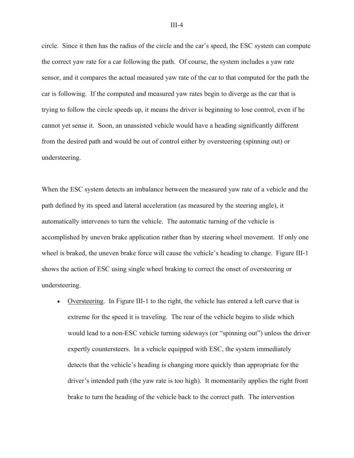circle. Since it then has the radius of the circle and the car's speed, the ESC system can compute the correct yaw rate for a car following the path. Of course, the system includes a yaw rate sensor, and it compares the actual measured yaw rate of the car to that computed for the path the car is following. If the computed and measured yaw rates begin to diverge as the car that is trying to follow the circle speeds up, it means the driver is beginning to lose control, even if he cannot yet sense it. Soon, an unassisted vehicle would have a heading significantly different from the desired path and would be out of control either by oversteering (spinning out) or understeering.

When the ESC system detects an imbalance between the measured yaw rate of a vehicle and the path defined by its speed and lateral acceleration (as measured by the steering angle), it automatically intervenes to turn the vehicle. The automatic turning of the vehicle is accomplished by uneven brake application rather than by steering wheel movement. If only one wheel is braked, the uneven brake force will cause the vehicle's heading to change. Figure III-1 shows the action of ESC using single wheel braking to correct the onset of oversteering or understeering.

• Oversteering. In Figure III-1 to the right, the vehicle has entered a left curve that is extreme for the speed it is traveling. The rear of the vehicle begins to slide which would lead to a non-ESC vehicle turning sideways (or "spinning out") unless the driver expertly countersteers. In a vehicle equipped with ESC, the system immediately detects that the vehicle's heading is changing more quickly than appropriate for the driver's intended path (the yaw rate is too high). It momentarily applies the right front brake to turn the heading of the vehicle back to the correct path. The intervention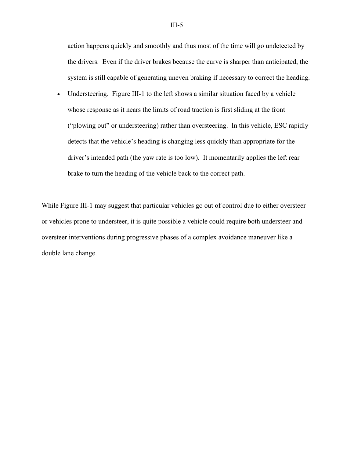action happens quickly and smoothly and thus most of the time will go undetected by the drivers. Even if the driver brakes because the curve is sharper than anticipated, the system is still capable of generating uneven braking if necessary to correct the heading.

• Understeering. Figure III-1 to the left shows a similar situation faced by a vehicle whose response as it nears the limits of road traction is first sliding at the front ("plowing out" or understeering) rather than oversteering. In this vehicle, ESC rapidly detects that the vehicle's heading is changing less quickly than appropriate for the driver's intended path (the yaw rate is too low). It momentarily applies the left rear brake to turn the heading of the vehicle back to the correct path.

While Figure III-1 may suggest that particular vehicles go out of control due to either oversteer or vehicles prone to understeer, it is quite possible a vehicle could require both understeer and oversteer interventions during progressive phases of a complex avoidance maneuver like a double lane change.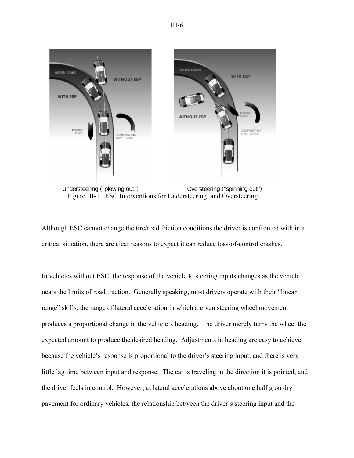

Figure III-1. ESC Interventions for Understeering and Oversteering

Although ESC cannot change the tire/road friction conditions the driver is confronted with in a critical situation, there are clear reasons to expect it can reduce loss-of-control crashes.

In vehicles without ESC, the response of the vehicle to steering inputs changes as the vehicle nears the limits of road traction. Generally speaking, most drivers operate with their "linear range" skills, the range of lateral acceleration in which a given steering wheel movement produces a proportional change in the vehicle's heading. The driver merely turns the wheel the expected amount to produce the desired heading. Adjustments in heading are easy to achieve because the vehicle's response is proportional to the driver's steering input, and there is very little lag time between input and response. The car is traveling in the direction it is pointed, and the driver feels in control. However, at lateral accelerations above about one half g on dry pavement for ordinary vehicles, the relationship between the driver's steering input and the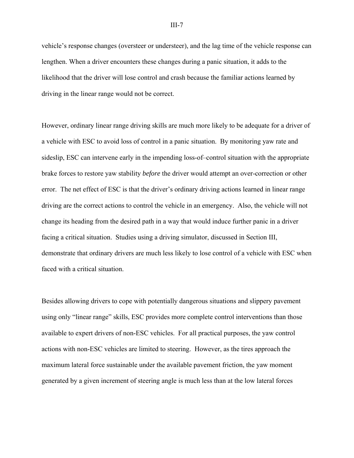vehicle's response changes (oversteer or understeer), and the lag time of the vehicle response can lengthen. When a driver encounters these changes during a panic situation, it adds to the likelihood that the driver will lose control and crash because the familiar actions learned by driving in the linear range would not be correct.

However, ordinary linear range driving skills are much more likely to be adequate for a driver of a vehicle with ESC to avoid loss of control in a panic situation. By monitoring yaw rate and sideslip, ESC can intervene early in the impending loss-of–control situation with the appropriate brake forces to restore yaw stability *before* the driver would attempt an over-correction or other error. The net effect of ESC is that the driver's ordinary driving actions learned in linear range driving are the correct actions to control the vehicle in an emergency. Also, the vehicle will not change its heading from the desired path in a way that would induce further panic in a driver facing a critical situation. Studies using a driving simulator, discussed in Section III, demonstrate that ordinary drivers are much less likely to lose control of a vehicle with ESC when faced with a critical situation.

Besides allowing drivers to cope with potentially dangerous situations and slippery pavement using only "linear range" skills, ESC provides more complete control interventions than those available to expert drivers of non-ESC vehicles. For all practical purposes, the yaw control actions with non-ESC vehicles are limited to steering. However, as the tires approach the maximum lateral force sustainable under the available pavement friction, the yaw moment generated by a given increment of steering angle is much less than at the low lateral forces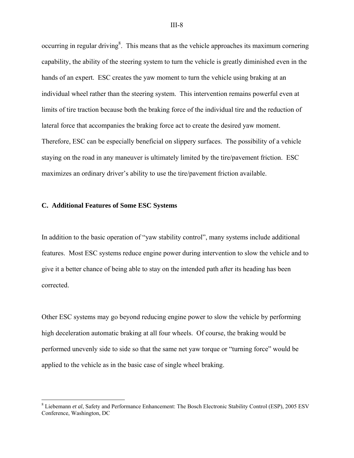occurring in regular driving<sup>8</sup>. This means that as the vehicle approaches its maximum cornering capability, the ability of the steering system to turn the vehicle is greatly diminished even in the hands of an expert. ESC creates the yaw moment to turn the vehicle using braking at an individual wheel rather than the steering system. This intervention remains powerful even at limits of tire traction because both the braking force of the individual tire and the reduction of lateral force that accompanies the braking force act to create the desired yaw moment. Therefore, ESC can be especially beneficial on slippery surfaces. The possibility of a vehicle staying on the road in any maneuver is ultimately limited by the tire/pavement friction. ESC maximizes an ordinary driver's ability to use the tire/pavement friction available.

#### **C. Additional Features of Some ESC Systems**

1

In addition to the basic operation of "yaw stability control", many systems include additional features. Most ESC systems reduce engine power during intervention to slow the vehicle and to give it a better chance of being able to stay on the intended path after its heading has been corrected.

Other ESC systems may go beyond reducing engine power to slow the vehicle by performing high deceleration automatic braking at all four wheels. Of course, the braking would be performed unevenly side to side so that the same net yaw torque or "turning force" would be applied to the vehicle as in the basic case of single wheel braking.

<sup>&</sup>lt;sup>8</sup> Liebemann *et al*, Safety and Performance Enhancement: The Bosch Electronic Stability Control (ESP), 2005 ESV Conference, Washington, DC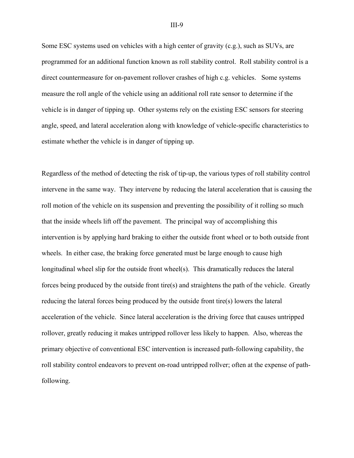Some ESC systems used on vehicles with a high center of gravity (c.g.), such as SUVs, are programmed for an additional function known as roll stability control. Roll stability control is a direct countermeasure for on-pavement rollover crashes of high c.g. vehicles. Some systems measure the roll angle of the vehicle using an additional roll rate sensor to determine if the vehicle is in danger of tipping up. Other systems rely on the existing ESC sensors for steering angle, speed, and lateral acceleration along with knowledge of vehicle-specific characteristics to estimate whether the vehicle is in danger of tipping up.

Regardless of the method of detecting the risk of tip-up, the various types of roll stability control intervene in the same way. They intervene by reducing the lateral acceleration that is causing the roll motion of the vehicle on its suspension and preventing the possibility of it rolling so much that the inside wheels lift off the pavement. The principal way of accomplishing this intervention is by applying hard braking to either the outside front wheel or to both outside front wheels. In either case, the braking force generated must be large enough to cause high longitudinal wheel slip for the outside front wheel(s). This dramatically reduces the lateral forces being produced by the outside front tire(s) and straightens the path of the vehicle. Greatly reducing the lateral forces being produced by the outside front tire(s) lowers the lateral acceleration of the vehicle. Since lateral acceleration is the driving force that causes untripped rollover, greatly reducing it makes untripped rollover less likely to happen. Also, whereas the primary objective of conventional ESC intervention is increased path-following capability, the roll stability control endeavors to prevent on-road untripped rollver; often at the expense of pathfollowing.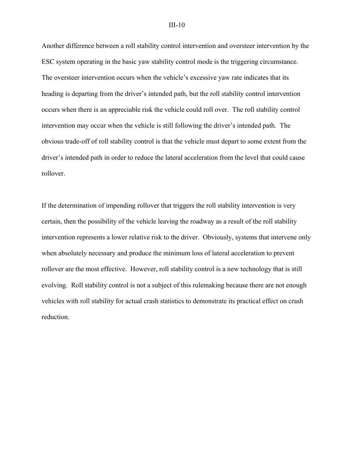Another difference between a roll stability control intervention and oversteer intervention by the ESC system operating in the basic yaw stability control mode is the triggering circumstance. The oversteer intervention occurs when the vehicle's excessive yaw rate indicates that its heading is departing from the driver's intended path, but the roll stability control intervention occurs when there is an appreciable risk the vehicle could roll over. The roll stability control intervention may occur when the vehicle is still following the driver's intended path. The obvious trade-off of roll stability control is that the vehicle must depart to some extent from the driver's intended path in order to reduce the lateral acceleration from the level that could cause rollover.

If the determination of impending rollover that triggers the roll stability intervention is very certain, then the possibility of the vehicle leaving the roadway as a result of the roll stability intervention represents a lower relative risk to the driver. Obviously, systems that intervene only when absolutely necessary and produce the minimum loss of lateral acceleration to prevent rollover are the most effective. However, roll stability control is a new technology that is still evolving. Roll stability control is not a subject of this rulemaking because there are not enough vehicles with roll stability for actual crash statistics to demonstrate its practical effect on crash reduction.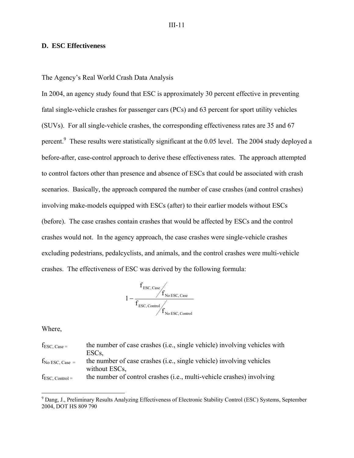# **D. ESC Effectiveness**

The Agency's Real World Crash Data Analysis

In 2004, an agency study found that ESC is approximately 30 percent effective in preventing fatal single-vehicle crashes for passenger cars (PCs) and 63 percent for sport utility vehicles (SUVs). For all single-vehicle crashes, the corresponding effectiveness rates are 35 and 67 percent.<sup>9</sup> These results were statistically significant at the 0.05 level. The 2004 study deployed a before-after, case-control approach to derive these effectiveness rates. The approach attempted to control factors other than presence and absence of ESCs that could be associated with crash scenarios. Basically, the approach compared the number of case crashes (and control crashes) involving make-models equipped with ESCs (after) to their earlier models without ESCs (before). The case crashes contain crashes that would be affected by ESCs and the control crashes would not. In the agency approach, the case crashes were single-vehicle crashes excluding pedestrians, pedalcyclists, and animals, and the control crashes were multi-vehicle crashes. The effectiveness of ESC was derived by the following formula:



Where,

1

| $f_{\text{ESC, Case}} =$    | the number of case crashes (i.e., single vehicle) involving vehicles with |
|-----------------------------|---------------------------------------------------------------------------|
|                             | ESC <sub>s</sub>                                                          |
| $f_{\text{No ESC, Case}} =$ | the number of case crashes (i.e., single vehicle) involving vehicles      |
|                             | without ESCs.                                                             |
| $f_{\text{ESC, Control}} =$ | the number of control crashes (i.e., multi-vehicle crashes) involving     |

<sup>&</sup>lt;sup>9</sup> Dang, J., Preliminary Results Analyzing Effectiveness of Electronic Stability Control (ESC) Systems, September 2004, DOT HS 809 790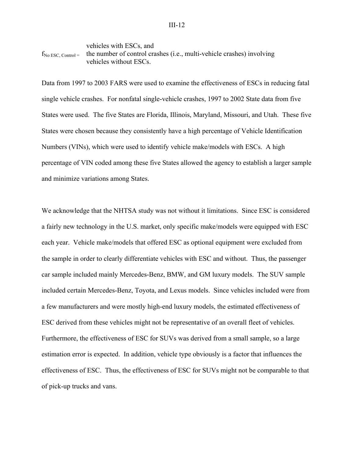```
vehicles with ESCs, and 
f_{\text{No ESC, Control}} = the number of control crashes (i.e., multi-vehicle crashes) involving
                 vehicles without ESCs.
```
Data from 1997 to 2003 FARS were used to examine the effectiveness of ESCs in reducing fatal single vehicle crashes. For nonfatal single-vehicle crashes, 1997 to 2002 State data from five States were used. The five States are Florida, Illinois, Maryland, Missouri, and Utah. These five States were chosen because they consistently have a high percentage of Vehicle Identification Numbers (VINs), which were used to identify vehicle make/models with ESCs. A high percentage of VIN coded among these five States allowed the agency to establish a larger sample and minimize variations among States.

We acknowledge that the NHTSA study was not without it limitations. Since ESC is considered a fairly new technology in the U.S. market, only specific make/models were equipped with ESC each year. Vehicle make/models that offered ESC as optional equipment were excluded from the sample in order to clearly differentiate vehicles with ESC and without. Thus, the passenger car sample included mainly Mercedes-Benz, BMW, and GM luxury models. The SUV sample included certain Mercedes-Benz, Toyota, and Lexus models. Since vehicles included were from a few manufacturers and were mostly high-end luxury models, the estimated effectiveness of ESC derived from these vehicles might not be representative of an overall fleet of vehicles. Furthermore, the effectiveness of ESC for SUVs was derived from a small sample, so a large estimation error is expected. In addition, vehicle type obviously is a factor that influences the effectiveness of ESC. Thus, the effectiveness of ESC for SUVs might not be comparable to that of pick-up trucks and vans.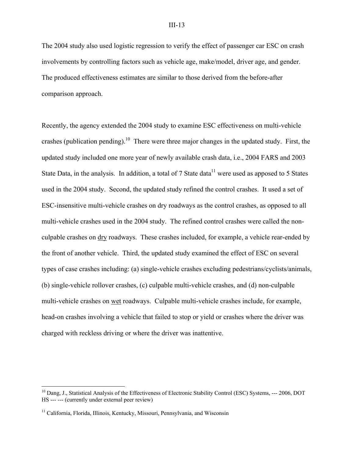The 2004 study also used logistic regression to verify the effect of passenger car ESC on crash involvements by controlling factors such as vehicle age, make/model, driver age, and gender. The produced effectiveness estimates are similar to those derived from the before-after comparison approach.

Recently, the agency extended the 2004 study to examine ESC effectiveness on multi-vehicle crashes (publication pending).<sup>10</sup> There were three major changes in the updated study. First, the updated study included one more year of newly available crash data, i.e., 2004 FARS and 2003 State Data, in the analysis. In addition, a total of 7 State data<sup>11</sup> were used as apposed to 5 States used in the 2004 study. Second, the updated study refined the control crashes. It used a set of ESC-insensitive multi-vehicle crashes on dry roadways as the control crashes, as opposed to all multi-vehicle crashes used in the 2004 study. The refined control crashes were called the nonculpable crashes on dry roadways. These crashes included, for example, a vehicle rear-ended by the front of another vehicle. Third, the updated study examined the effect of ESC on several types of case crashes including: (a) single-vehicle crashes excluding pedestrians/cyclists/animals, (b) single-vehicle rollover crashes, (c) culpable multi-vehicle crashes, and (d) non-culpable multi-vehicle crashes on wet roadways. Culpable multi-vehicle crashes include, for example, head-on crashes involving a vehicle that failed to stop or yield or crashes where the driver was charged with reckless driving or where the driver was inattentive.

<u>.</u>

<sup>&</sup>lt;sup>10</sup> Dang, J., Statistical Analysis of the Effectiveness of Electronic Stability Control (ESC) Systems, --- 2006, DOT HS --- --- (currently under external peer review)

<sup>&</sup>lt;sup>11</sup> California, Florida, Illinois, Kentucky, Missouri, Pennsylvania, and Wisconsin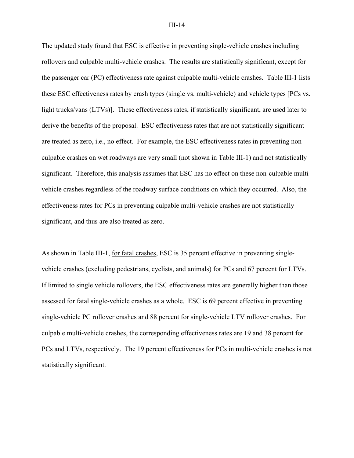The updated study found that ESC is effective in preventing single-vehicle crashes including rollovers and culpable multi-vehicle crashes. The results are statistically significant, except for the passenger car (PC) effectiveness rate against culpable multi-vehicle crashes. Table III-1 lists these ESC effectiveness rates by crash types (single vs. multi-vehicle) and vehicle types [PCs vs. light trucks/vans (LTVs)]. These effectiveness rates, if statistically significant, are used later to derive the benefits of the proposal. ESC effectiveness rates that are not statistically significant are treated as zero, i.e., no effect. For example, the ESC effectiveness rates in preventing nonculpable crashes on wet roadways are very small (not shown in Table III-1) and not statistically significant. Therefore, this analysis assumes that ESC has no effect on these non-culpable multivehicle crashes regardless of the roadway surface conditions on which they occurred. Also, the effectiveness rates for PCs in preventing culpable multi-vehicle crashes are not statistically significant, and thus are also treated as zero.

As shown in Table III-1, for fatal crashes, ESC is 35 percent effective in preventing singlevehicle crashes (excluding pedestrians, cyclists, and animals) for PCs and 67 percent for LTVs. If limited to single vehicle rollovers, the ESC effectiveness rates are generally higher than those assessed for fatal single-vehicle crashes as a whole. ESC is 69 percent effective in preventing single-vehicle PC rollover crashes and 88 percent for single-vehicle LTV rollover crashes. For culpable multi-vehicle crashes, the corresponding effectiveness rates are 19 and 38 percent for PCs and LTVs, respectively. The 19 percent effectiveness for PCs in multi-vehicle crashes is not statistically significant.

#### III-14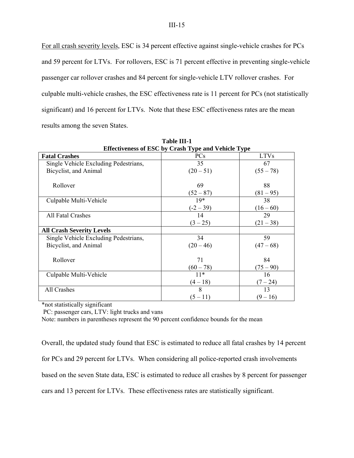For all crash severity levels, ESC is 34 percent effective against single-vehicle crashes for PCs and 59 percent for LTVs. For rollovers, ESC is 71 percent effective in preventing single-vehicle passenger car rollover crashes and 84 percent for single-vehicle LTV rollover crashes. For culpable multi-vehicle crashes, the ESC effectiveness rate is 11 percent for PCs (not statistically significant) and 16 percent for LTVs. Note that these ESC effectiveness rates are the mean results among the seven States.

|                                       | <b>Effectiveness of ESC by Crash Type and Vehicle Type</b> |                   |
|---------------------------------------|------------------------------------------------------------|-------------------|
| <b>Fatal Crashes</b>                  | <b>PCs</b>                                                 | <b>LTVs</b>       |
| Single Vehicle Excluding Pedestrians, | 35                                                         | 67                |
| Bicyclist, and Animal                 | $(20-51)$                                                  | $(55 - 78)$       |
| Rollover                              | 69<br>$(52 - 87)$                                          | 88<br>$(81 - 95)$ |
| Culpable Multi-Vehicle                | $19*$                                                      | 38                |
|                                       | $(-2 - 39)$                                                | $(16-60)$         |
| All Fatal Crashes                     | 14                                                         | 29                |
|                                       | $(3 - 25)$                                                 | $(21 - 38)$       |
| <b>All Crash Severity Levels</b>      |                                                            |                   |
| Single Vehicle Excluding Pedestrians, | 34                                                         | 59                |
| Bicyclist, and Animal                 | $(20 - 46)$                                                | $(47-68)$         |
| Rollover                              | 71<br>$(60 - 78)$                                          | 84<br>$(75 - 90)$ |
| Culpable Multi-Vehicle                | $11*$                                                      | 16                |
|                                       | $(4-18)$                                                   | $(7 - 24)$        |
| All Crashes                           | 8                                                          | 13                |
|                                       | $(5 - 11)$                                                 | $(9-16)$          |

**Table III-1** 

\*not statistically significant

PC: passenger cars, LTV: light trucks and vans

Note: numbers in parentheses represent the 90 percent confidence bounds for the mean

Overall, the updated study found that ESC is estimated to reduce all fatal crashes by 14 percent for PCs and 29 percent for LTVs. When considering all police-reported crash involvements based on the seven State data, ESC is estimated to reduce all crashes by 8 percent for passenger cars and 13 percent for LTVs. These effectiveness rates are statistically significant.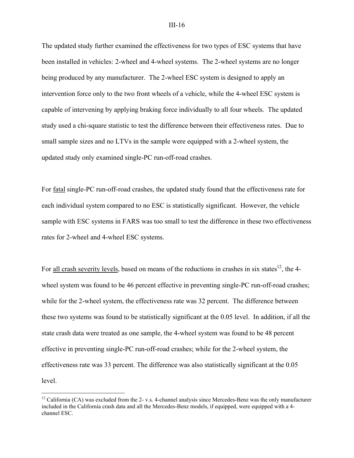The updated study further examined the effectiveness for two types of ESC systems that have been installed in vehicles: 2-wheel and 4-wheel systems. The 2-wheel systems are no longer being produced by any manufacturer. The 2-wheel ESC system is designed to apply an intervention force only to the two front wheels of a vehicle, while the 4-wheel ESC system is capable of intervening by applying braking force individually to all four wheels. The updated study used a chi-square statistic to test the difference between their effectiveness rates. Due to small sample sizes and no LTVs in the sample were equipped with a 2-wheel system, the updated study only examined single-PC run-off-road crashes.

For fatal single-PC run-off-road crashes, the updated study found that the effectiveness rate for each individual system compared to no ESC is statistically significant. However, the vehicle sample with ESC systems in FARS was too small to test the difference in these two effectiveness rates for 2-wheel and 4-wheel ESC systems.

For all crash severity levels, based on means of the reductions in crashes in six states<sup>12</sup>, the 4wheel system was found to be 46 percent effective in preventing single-PC run-off-road crashes; while for the 2-wheel system, the effectiveness rate was 32 percent. The difference between these two systems was found to be statistically significant at the 0.05 level. In addition, if all the state crash data were treated as one sample, the 4-wheel system was found to be 48 percent effective in preventing single-PC run-off-road crashes; while for the 2-wheel system, the effectiveness rate was 33 percent. The difference was also statistically significant at the 0.05 level.

 $\overline{a}$ 

<sup>&</sup>lt;sup>12</sup> California (CA) was excluded from the 2- v.s. 4-channel analysis since Mercedes-Benz was the only manufacturer included in the California crash data and all the Mercedes-Benz models, if equipped, were equipped with a 4 channel ESC.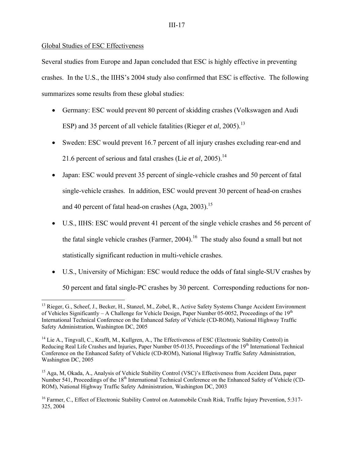## Global Studies of ESC Effectiveness

1

Several studies from Europe and Japan concluded that ESC is highly effective in preventing crashes. In the U.S., the IIHS's 2004 study also confirmed that ESC is effective. The following summarizes some results from these global studies:

- Germany: ESC would prevent 80 percent of skidding crashes (Volkswagen and Audi ESP) and 35 percent of all vehicle fatalities (Rieger *et al*, 2005).<sup>13</sup>
- Sweden: ESC would prevent 16.7 percent of all injury crashes excluding rear-end and 21.6 percent of serious and fatal crashes (Lie *et al*, 2005).<sup>14</sup>
- Japan: ESC would prevent 35 percent of single-vehicle crashes and 50 percent of fatal single-vehicle crashes. In addition, ESC would prevent 30 percent of head-on crashes and 40 percent of fatal head-on crashes  $(Aga, 2003)$ .<sup>15</sup>
- U.S., IIHS: ESC would prevent 41 percent of the single vehicle crashes and 56 percent of the fatal single vehicle crashes (Farmer,  $2004$ ).<sup>16</sup> The study also found a small but not statistically significant reduction in multi-vehicle crashes.
- U.S., University of Michigan: ESC would reduce the odds of fatal single-SUV crashes by 50 percent and fatal single-PC crashes by 30 percent. Corresponding reductions for non-

<sup>&</sup>lt;sup>13</sup> Rieger, G., Scheef, J., Becker, H., Stanzel, M., Zobel, R., Active Safety Systems Change Accident Environment of Vehicles Significantly – A Challenge for Vehicle Design, Paper Number 05-0052, Proceedings of the  $19<sup>th</sup>$ International Technical Conference on the Enhanced Safety of Vehicle (CD-ROM), National Highway Traffic Safety Administration, Washington DC, 2005

<sup>&</sup>lt;sup>14</sup> Lie A., Tingvall, C., Krafft, M., Kullgren, A., The Effectiveness of ESC (Electronic Stability Control) in Reducing Real Life Crashes and Injuries, Paper Number 05-0135, Proceedings of the 19<sup>th</sup> International Technical Conference on the Enhanced Safety of Vehicle (CD-ROM), National Highway Traffic Safety Administration, Washington DC, 2005

<sup>&</sup>lt;sup>15</sup> Aga, M, Okada, A., Analysis of Vehicle Stability Control (VSC)'s Effectiveness from Accident Data, paper Number 541, Proceedings of the 18<sup>th</sup> International Technical Conference on the Enhanced Safety of Vehicle (CD-ROM), National Highway Traffic Safety Administration, Washington DC, 2003

<sup>&</sup>lt;sup>16</sup> Farmer, C., Effect of Electronic Stability Control on Automobile Crash Risk, Traffic Injury Prevention, 5:317-325, 2004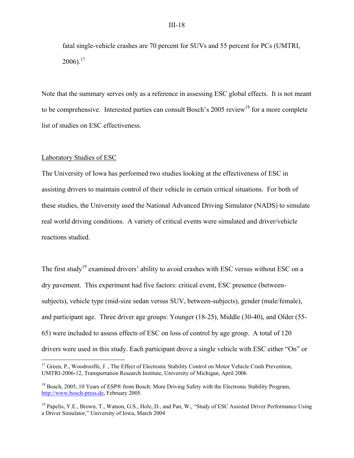fatal single-vehicle crashes are 70 percent for SUVs and 55 percent for PCs (UMTRI,  $2006$ ).<sup>17</sup>

Note that the summary serves only as a reference in assessing ESC global effects. It is not meant to be comprehensive. Interested parties can consult Bosch's 2005 review<sup>18</sup> for a more complete list of studies on ESC effectiveness.

#### Laboratory Studies of ESC

1

The University of Iowa has performed two studies looking at the effectiveness of ESC in assisting drivers to maintain control of their vehicle in certain critical situations. For both of these studies, the University used the National Advanced Driving Simulator (NADS) to simulate real world driving conditions. A variety of critical events were simulated and driver/vehicle reactions studied.

The first study<sup>19</sup> examined drivers' ability to avoid crashes with ESC versus without ESC on a dry pavement. This experiment had five factors: critical event, ESC presence (betweensubjects), vehicle type (mid-size sedan versus SUV, between-subjects), gender (male/female), and participant age. Three driver age groups: Younger (18-25), Middle (30-40), and Older (55- 65) were included to assess effects of ESC on loss of control by age group. A total of 120 drivers were used in this study. Each participant drove a single vehicle with ESC either "On" or

<sup>&</sup>lt;sup>17</sup> Green, P., Woodrooffe, J., The Effect of Electronic Stability Control on Motor Vehicle Crash Prevention, UMTRI-2006-12, Transportation Research Institute, University of Michigan, April 2006

<sup>&</sup>lt;sup>18</sup> Bosch, 2005, 10 Years of ESP® from Bosch: More Driving Safety with the Electronic Stability Program, http://www.bosch-press.de, February 2005.

<sup>&</sup>lt;sup>19</sup> Papelis, Y.E., Brown, T., Watson, G.S., Holz, D., and Pan, W., "Study of ESC Assisted Driver Performance Using a Driver Simulator," University of Iowa, March 2004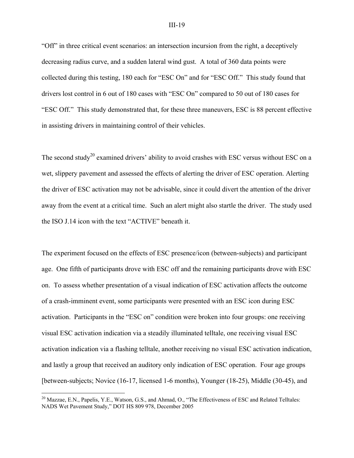"Off" in three critical event scenarios: an intersection incursion from the right, a deceptively decreasing radius curve, and a sudden lateral wind gust. A total of 360 data points were collected during this testing, 180 each for "ESC On" and for "ESC Off." This study found that drivers lost control in 6 out of 180 cases with "ESC On" compared to 50 out of 180 cases for "ESC Off." This study demonstrated that, for these three maneuvers, ESC is 88 percent effective in assisting drivers in maintaining control of their vehicles.

The second study<sup>20</sup> examined drivers' ability to avoid crashes with ESC versus without ESC on a wet, slippery pavement and assessed the effects of alerting the driver of ESC operation. Alerting the driver of ESC activation may not be advisable, since it could divert the attention of the driver away from the event at a critical time. Such an alert might also startle the driver. The study used the ISO J.14 icon with the text "ACTIVE" beneath it.

The experiment focused on the effects of ESC presence/icon (between-subjects) and participant age. One fifth of participants drove with ESC off and the remaining participants drove with ESC on. To assess whether presentation of a visual indication of ESC activation affects the outcome of a crash-imminent event, some participants were presented with an ESC icon during ESC activation. Participants in the "ESC on" condition were broken into four groups: one receiving visual ESC activation indication via a steadily illuminated telltale, one receiving visual ESC activation indication via a flashing telltale, another receiving no visual ESC activation indication, and lastly a group that received an auditory only indication of ESC operation. Four age groups [between-subjects; Novice (16-17, licensed 1-6 months), Younger (18-25), Middle (30-45), and

1

<sup>&</sup>lt;sup>20</sup> Mazzae, E.N., Papelis, Y.E., Watson, G.S., and Ahmad, O., "The Effectiveness of ESC and Related Telltales: NADS Wet Pavement Study," DOT HS 809 978, December 2005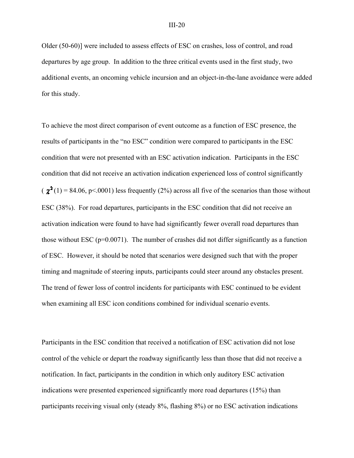Older (50-60)] were included to assess effects of ESC on crashes, loss of control, and road departures by age group. In addition to the three critical events used in the first study, two additional events, an oncoming vehicle incursion and an object-in-the-lane avoidance were added for this study.

To achieve the most direct comparison of event outcome as a function of ESC presence, the results of participants in the "no ESC" condition were compared to participants in the ESC condition that were not presented with an ESC activation indication. Participants in the ESC condition that did not receive an activation indication experienced loss of control significantly  $(\chi^2(1) = 84.06, p \le 0.001)$  less frequently (2%) across all five of the scenarios than those without ESC (38%). For road departures, participants in the ESC condition that did not receive an activation indication were found to have had significantly fewer overall road departures than those without ESC ( $p=0.0071$ ). The number of crashes did not differ significantly as a function of ESC. However, it should be noted that scenarios were designed such that with the proper timing and magnitude of steering inputs, participants could steer around any obstacles present. The trend of fewer loss of control incidents for participants with ESC continued to be evident when examining all ESC icon conditions combined for individual scenario events.

Participants in the ESC condition that received a notification of ESC activation did not lose control of the vehicle or depart the roadway significantly less than those that did not receive a notification. In fact, participants in the condition in which only auditory ESC activation indications were presented experienced significantly more road departures (15%) than participants receiving visual only (steady 8%, flashing 8%) or no ESC activation indications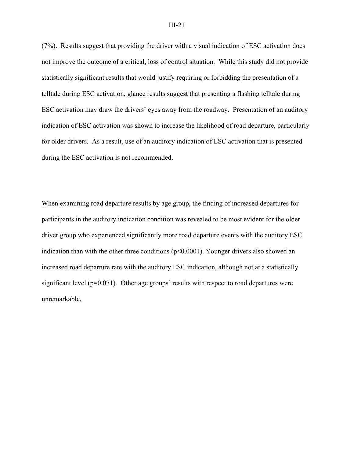(7%). Results suggest that providing the driver with a visual indication of ESC activation does not improve the outcome of a critical, loss of control situation. While this study did not provide statistically significant results that would justify requiring or forbidding the presentation of a telltale during ESC activation, glance results suggest that presenting a flashing telltale during ESC activation may draw the drivers' eyes away from the roadway. Presentation of an auditory indication of ESC activation was shown to increase the likelihood of road departure, particularly for older drivers. As a result, use of an auditory indication of ESC activation that is presented during the ESC activation is not recommended.

When examining road departure results by age group, the finding of increased departures for participants in the auditory indication condition was revealed to be most evident for the older driver group who experienced significantly more road departure events with the auditory ESC indication than with the other three conditions  $(p<0.0001)$ . Younger drivers also showed an increased road departure rate with the auditory ESC indication, although not at a statistically significant level  $(p=0.071)$ . Other age groups' results with respect to road departures were unremarkable.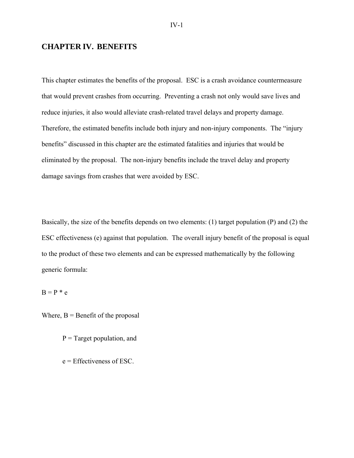# **CHAPTER IV. BENEFITS**

This chapter estimates the benefits of the proposal. ESC is a crash avoidance countermeasure that would prevent crashes from occurring. Preventing a crash not only would save lives and reduce injuries, it also would alleviate crash-related travel delays and property damage. Therefore, the estimated benefits include both injury and non-injury components. The "injury benefits" discussed in this chapter are the estimated fatalities and injuries that would be eliminated by the proposal. The non-injury benefits include the travel delay and property damage savings from crashes that were avoided by ESC.

Basically, the size of the benefits depends on two elements: (1) target population (P) and (2) the ESC effectiveness (e) against that population. The overall injury benefit of the proposal is equal to the product of these two elements and can be expressed mathematically by the following generic formula:

 $B = P * e$ 

Where,  $B =$  Benefit of the proposal

- $P = Target population$ , and
- e = Effectiveness of ESC.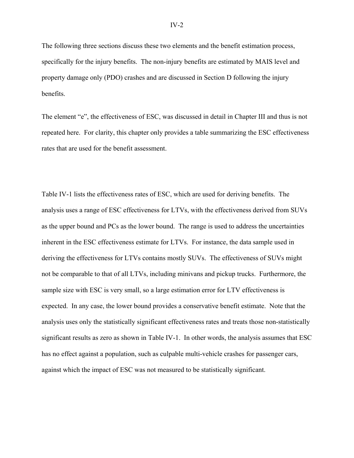The following three sections discuss these two elements and the benefit estimation process, specifically for the injury benefits. The non-injury benefits are estimated by MAIS level and property damage only (PDO) crashes and are discussed in Section D following the injury benefits.

The element "e", the effectiveness of ESC, was discussed in detail in Chapter III and thus is not repeated here. For clarity, this chapter only provides a table summarizing the ESC effectiveness rates that are used for the benefit assessment.

Table IV-1 lists the effectiveness rates of ESC, which are used for deriving benefits. The analysis uses a range of ESC effectiveness for LTVs, with the effectiveness derived from SUVs as the upper bound and PCs as the lower bound. The range is used to address the uncertainties inherent in the ESC effectiveness estimate for LTVs. For instance, the data sample used in deriving the effectiveness for LTVs contains mostly SUVs. The effectiveness of SUVs might not be comparable to that of all LTVs, including minivans and pickup trucks. Furthermore, the sample size with ESC is very small, so a large estimation error for LTV effectiveness is expected. In any case, the lower bound provides a conservative benefit estimate. Note that the analysis uses only the statistically significant effectiveness rates and treats those non-statistically significant results as zero as shown in Table IV-1. In other words, the analysis assumes that ESC has no effect against a population, such as culpable multi-vehicle crashes for passenger cars, against which the impact of ESC was not measured to be statistically significant.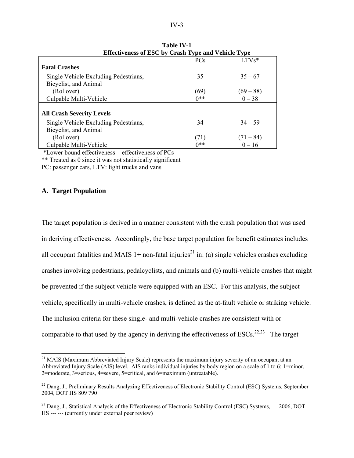| Encenveness of EDC by Crash Type and Venicie Type |            |             |
|---------------------------------------------------|------------|-------------|
|                                                   | <b>PCs</b> | $LTVs*$     |
| <b>Fatal Crashes</b>                              |            |             |
| Single Vehicle Excluding Pedestrians,             | 35         | $35 - 67$   |
| Bicyclist, and Animal                             |            |             |
| (Rollover)                                        | (69)       | $(69 - 88)$ |
| Culpable Multi-Vehicle                            | $0**$      | $0 - 38$    |
|                                                   |            |             |
| <b>All Crash Severity Levels</b>                  |            |             |
| Single Vehicle Excluding Pedestrians,             | 34         | $34 - 59$   |
| Bicyclist, and Animal                             |            |             |
| (Rollover)                                        | (71)       | $(71 - 84)$ |
| Culpable Multi-Vehicle                            | $0**$      | $0 - 16$    |

**Table IV-1 Effectiveness of ESC by Crash Type and Vehicle Type** 

\*Lower bound effectiveness = effectiveness of PCs

\*\* Treated as 0 since it was not statistically significant

PC: passenger cars, LTV: light trucks and vans

## **A. Target Population**

 $\overline{a}$ 

The target population is derived in a manner consistent with the crash population that was used in deriving effectiveness. Accordingly, the base target population for benefit estimates includes all occupant fatalities and MAIS  $1+$  non-fatal injuries<sup>21</sup> in: (a) single vehicles crashes excluding crashes involving pedestrians, pedalcyclists, and animals and (b) multi-vehicle crashes that might be prevented if the subject vehicle were equipped with an ESC. For this analysis, the subject vehicle, specifically in multi-vehicle crashes, is defined as the at-fault vehicle or striking vehicle. The inclusion criteria for these single- and multi-vehicle crashes are consistent with or comparable to that used by the agency in deriving the effectiveness of  $ESCs$ <sup>22,23</sup> The target

<sup>&</sup>lt;sup>21</sup> MAIS (Maximum Abbreviated Injury Scale) represents the maximum injury severity of an occupant at an Abbreviated Injury Scale (AIS) level. AIS ranks individual injuries by body region on a scale of 1 to 6: 1=minor, 2=moderate, 3=serious, 4=severe, 5=critical, and 6=maximum (untreatable).

<sup>&</sup>lt;sup>22</sup> Dang, J., Preliminary Results Analyzing Effectiveness of Electronic Stability Control (ESC) Systems, September 2004, DOT HS 809 790

<sup>&</sup>lt;sup>23</sup> Dang, J., Statistical Analysis of the Effectiveness of Electronic Stability Control (ESC) Systems, --- 2006, DOT HS --- --- (currently under external peer review)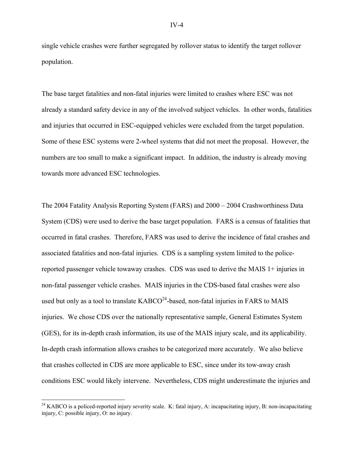single vehicle crashes were further segregated by rollover status to identify the target rollover population.

The base target fatalities and non-fatal injuries were limited to crashes where ESC was not already a standard safety device in any of the involved subject vehicles. In other words, fatalities and injuries that occurred in ESC-equipped vehicles were excluded from the target population. Some of these ESC systems were 2-wheel systems that did not meet the proposal. However, the numbers are too small to make a significant impact. In addition, the industry is already moving towards more advanced ESC technologies.

The 2004 Fatality Analysis Reporting System (FARS) and 2000 – 2004 Crashworthiness Data System (CDS) were used to derive the base target population. FARS is a census of fatalities that occurred in fatal crashes. Therefore, FARS was used to derive the incidence of fatal crashes and associated fatalities and non-fatal injuries. CDS is a sampling system limited to the policereported passenger vehicle towaway crashes. CDS was used to derive the MAIS 1+ injuries in non-fatal passenger vehicle crashes. MAIS injuries in the CDS-based fatal crashes were also used but only as a tool to translate  $KABCO^{24}$ -based, non-fatal injuries in FARS to MAIS injuries. We chose CDS over the nationally representative sample, General Estimates System (GES), for its in-depth crash information, its use of the MAIS injury scale, and its applicability. In-depth crash information allows crashes to be categorized more accurately. We also believe that crashes collected in CDS are more applicable to ESC, since under its tow-away crash conditions ESC would likely intervene. Nevertheless, CDS might underestimate the injuries and

1

<sup>&</sup>lt;sup>24</sup> KABCO is a policed-reported injury severity scale. K: fatal injury, A: incapacitating injury, B: non-incapacitating injury, C: possible injury, O: no injury.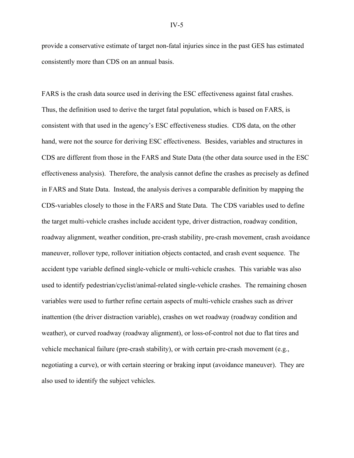provide a conservative estimate of target non-fatal injuries since in the past GES has estimated consistently more than CDS on an annual basis.

FARS is the crash data source used in deriving the ESC effectiveness against fatal crashes. Thus, the definition used to derive the target fatal population, which is based on FARS, is consistent with that used in the agency's ESC effectiveness studies. CDS data, on the other hand, were not the source for deriving ESC effectiveness. Besides, variables and structures in CDS are different from those in the FARS and State Data (the other data source used in the ESC effectiveness analysis). Therefore, the analysis cannot define the crashes as precisely as defined in FARS and State Data. Instead, the analysis derives a comparable definition by mapping the CDS-variables closely to those in the FARS and State Data. The CDS variables used to define the target multi-vehicle crashes include accident type, driver distraction, roadway condition, roadway alignment, weather condition, pre-crash stability, pre-crash movement, crash avoidance maneuver, rollover type, rollover initiation objects contacted, and crash event sequence. The accident type variable defined single-vehicle or multi-vehicle crashes. This variable was also used to identify pedestrian/cyclist/animal-related single-vehicle crashes. The remaining chosen variables were used to further refine certain aspects of multi-vehicle crashes such as driver inattention (the driver distraction variable), crashes on wet roadway (roadway condition and weather), or curved roadway (roadway alignment), or loss-of-control not due to flat tires and vehicle mechanical failure (pre-crash stability), or with certain pre-crash movement (e.g., negotiating a curve), or with certain steering or braking input (avoidance maneuver). They are also used to identify the subject vehicles.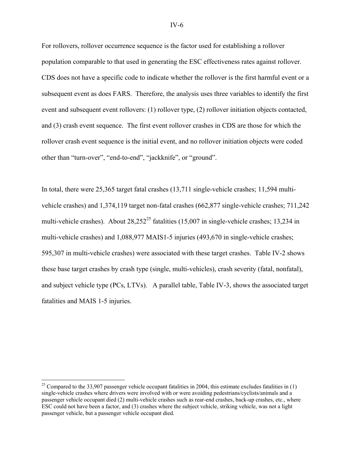For rollovers, rollover occurrence sequence is the factor used for establishing a rollover population comparable to that used in generating the ESC effectiveness rates against rollover. CDS does not have a specific code to indicate whether the rollover is the first harmful event or a subsequent event as does FARS. Therefore, the analysis uses three variables to identify the first event and subsequent event rollovers: (1) rollover type, (2) rollover initiation objects contacted, and (3) crash event sequence. The first event rollover crashes in CDS are those for which the rollover crash event sequence is the initial event, and no rollover initiation objects were coded other than "turn-over", "end-to-end", "jackknife", or "ground".

In total, there were 25,365 target fatal crashes (13,711 single-vehicle crashes; 11,594 multivehicle crashes) and 1,374,119 target non-fatal crashes (662,877 single-vehicle crashes; 711,242 multi-vehicle crashes). About  $28.252^{25}$  fatalities (15,007 in single-vehicle crashes; 13,234 in multi-vehicle crashes) and 1,088,977 MAIS1-5 injuries (493,670 in single-vehicle crashes; 595,307 in multi-vehicle crashes) were associated with these target crashes. Table IV-2 shows these base target crashes by crash type (single, multi-vehicles), crash severity (fatal, nonfatal), and subject vehicle type (PCs, LTVs). A parallel table, Table IV-3, shows the associated target fatalities and MAIS 1-5 injuries.

 $\overline{a}$ 

<sup>&</sup>lt;sup>25</sup> Compared to the 33,907 passenger vehicle occupant fatalities in 2004, this estimate excludes fatalities in  $(1)$ single-vehicle crashes where drivers were involved with or were avoiding pedestrians/cyclists/animals and a passenger vehicle occupant died (2) multi-vehicle crashes such as rear-end crashes, back-up crashes, etc., where ESC could not have been a factor, and (3) crashes where the subject vehicle, striking vehicle, was not a light passenger vehicle, but a passenger vehicle occupant died.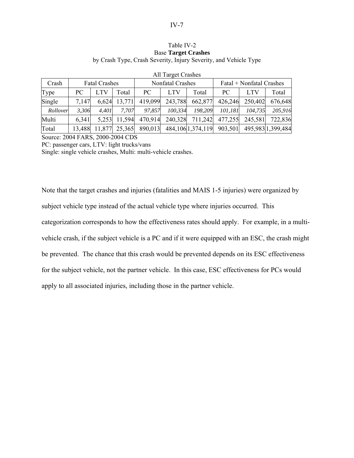#### Table IV-2 Base **Target Crashes** by Crash Type, Crash Severity, Injury Severity, and Vehicle Type

| Crash    |        | <b>Fatal Crashes</b> |        |         | Nonfatal Crashes |                      | Fatal + Nonfatal Crashes |         |                   |  |
|----------|--------|----------------------|--------|---------|------------------|----------------------|--------------------------|---------|-------------------|--|
| Type     | PC.    |                      | Total  | PC      | <b>LTV</b>       | Total                | PC.                      | LTV     | Total             |  |
| Single   | 7.147  | 6,624                | 13,771 | 419,099 | 243,788          | 662,877              | 426,246                  | 250,402 | 676,648           |  |
| Rollover | 3.306  | 4.401                | 7.707  | 97.857  | 100,334          | 198.209              | 101,181                  | 104.735 | 205,916           |  |
| Multi    | 6,341  | 5.253                | 11,594 | 470,914 | 240,328          | 711,242              | 477,255                  | 245,581 | 722,836           |  |
| Total    | 13,488 | 11,877               | 25,365 | 890,013 |                  | 484, 106 1, 374, 119 | 903,501                  |         | 495,983 1,399,484 |  |

## All Target Crashes

Source: 2004 FARS, 2000-2004 CDS

PC: passenger cars, LTV: light trucks/vans

Single: single vehicle crashes, Multi: multi-vehicle crashes.

Note that the target crashes and injuries (fatalities and MAIS 1-5 injuries) were organized by subject vehicle type instead of the actual vehicle type where injuries occurred. This categorization corresponds to how the effectiveness rates should apply. For example, in a multivehicle crash, if the subject vehicle is a PC and if it were equipped with an ESC, the crash might be prevented. The chance that this crash would be prevented depends on its ESC effectiveness for the subject vehicle, not the partner vehicle. In this case, ESC effectiveness for PCs would apply to all associated injuries, including those in the partner vehicle.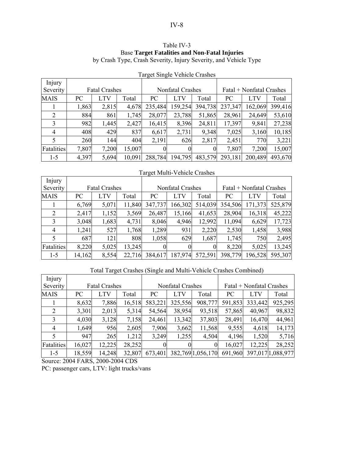## Table IV-3 Base **Target Fatalities and Non-Fatal Injuries** by Crash Type, Crash Severity, Injury Severity, and Vehicle Type

| Injury         |       |                      |        |                         |            |         |                          |         |         |
|----------------|-------|----------------------|--------|-------------------------|------------|---------|--------------------------|---------|---------|
| Severity       |       | <b>Fatal Crashes</b> |        | <b>Nonfatal Crashes</b> |            |         | Fatal + Nonfatal Crashes |         |         |
| <b>MAIS</b>    | PC    | LTV                  | Total  | PC                      | <b>LTV</b> | Total   | PC                       | LTV     | Total   |
|                | 1,863 | 2,815                | 4,678  | 235,484                 | 159,254    | 394,738 | 237,347                  | 162,069 | 399,416 |
| 2              | 884   | 861                  | 1,745  | 28,077                  | 23,788     | 51,865  | 28,961                   | 24,649  | 53,610  |
| 3              | 982   | 1,445                | 2,427  | 16,415                  | 8,396      | 24,811  | 17,397                   | 9,841   | 27,238  |
| $\overline{4}$ | 408   | 429                  | 837    | 6,617                   | 2,731      | 9,348   | 7,025                    | 3,160   | 10,185  |
| 5              | 260   | 144                  | 404    | 2,191                   | 626        | 2,817   | 2,451                    | 770     | 3,221   |
| Fatalities     | 7,807 | 7,200                | 15,007 |                         | 0          |         | 7,807                    | 7.200   | 15,007  |
| $1 - 5$        | 4,397 | 5,694                | 10,091 | 288,784                 | 194,795    | 483,579 | 293,181                  | 200,489 | 493,670 |

Target Single Vehicle Crashes

#### Target Multi-Vehicle Crashes

| Injury            |        |                      |        |                |                  |         |                          |            |         |  |
|-------------------|--------|----------------------|--------|----------------|------------------|---------|--------------------------|------------|---------|--|
| Severity          |        | <b>Fatal Crashes</b> |        |                | Nonfatal Crashes |         | Fatal + Nonfatal Crashes |            |         |  |
| <b>MAIS</b>       | PC     | LTV                  | Total  | PC             | <b>LTV</b>       | Total   | PC                       | <b>LTV</b> | Total   |  |
|                   | 6,769  | 5,071                | 11,840 | 347,737        | 166,302          | 514,039 | 354,506                  | 171,373    | 525,879 |  |
| 2                 | 2,417  | 1,152                | 3,569  | 26,487         | 15,166           | 41,653  | 28,904                   | 16,318     | 45,222  |  |
| 3                 | 3,048  | 1,683                | 4,731  | 8,046          | 4,946            | 12,992  | 11,094                   | 6,629      | 17,723  |  |
| $\overline{4}$    | 1,241  | 527                  | 1,768  | 1,289          | 931              | 2,220   | 2,530                    | 1,458      | 3,988   |  |
| 5                 | 687    | 121                  | 808    | 1,058          | 629              | 1,687   | 1,745                    | 750        | 2,495   |  |
| <b>Fatalities</b> | 8,220  | 5,025                | 13,245 | $\overline{0}$ | 0                |         | 8,220                    | 5,025      | 13,245  |  |
| $1-5$             | 14,162 | 8,554                | 22,716 | 384,617        | 187,974          | 572,591 | 398,779                  | 196,528    | 595,307 |  |

# Total Target Crashes (Single and Multi-Vehicle Crashes Combined)

| Injury         |        |                      |        |                |                  |                  |                          |            |                  |
|----------------|--------|----------------------|--------|----------------|------------------|------------------|--------------------------|------------|------------------|
| Severity       |        | <b>Fatal Crashes</b> |        |                | Nonfatal Crashes |                  | Fatal + Nonfatal Crashes |            |                  |
| <b>MAIS</b>    | PC     | <b>LTV</b>           | Total  | PC             | <b>LTV</b>       | Total            | PC.                      | <b>LTV</b> | Total            |
|                | 8,632  | 7,886                | 16,518 | 583,221        | 325,556          | 908,777          | 591,853                  | 333,442    | 925,295          |
| 2              | 3,301  | 2,013                | 5,314  | 54,564         | 38,954           | 93,518           | 57,865                   | 40,967     | 98,832           |
| 3              | 4,030  | 3,128                | 7,158  | 24,461         | 13,342           | 37,803           | 28,491                   | 16,470     | 44,961           |
| $\overline{4}$ | 1,649  | 956                  | 2,605  | 7,906          | 3,662            | 11,568           | 9,555                    | 4,618      | 14,173           |
|                | 947    | 265                  | 1,212  | 3,249          | 1,255            | 4,504            | 4,196                    | 1,520      | 5,716            |
| Fatalities     | 16,027 | 12,225               | 28,252 | $\overline{0}$ |                  | $\Omega$         | 16,027                   | 12,225     | 28,252           |
| $1 - 5$        | 18,559 | 14,248               | 32,807 | 673,401        |                  | 382,7691,056,170 | 691,960                  |            | 397,0171,088,977 |

Source: 2004 FARS, 2000-2004 CDS

PC: passenger cars, LTV: light trucks/vans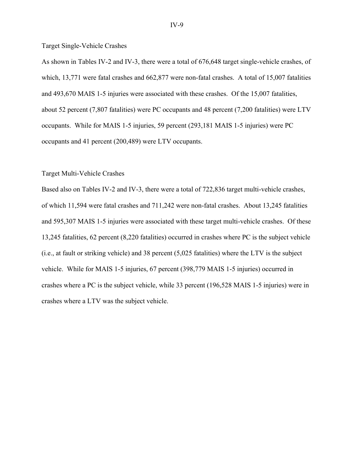Target Single-Vehicle Crashes

As shown in Tables IV-2 and IV-3, there were a total of 676,648 target single-vehicle crashes, of which, 13,771 were fatal crashes and 662,877 were non-fatal crashes. A total of 15,007 fatalities and 493,670 MAIS 1-5 injuries were associated with these crashes. Of the 15,007 fatalities, about 52 percent (7,807 fatalities) were PC occupants and 48 percent (7,200 fatalities) were LTV occupants. While for MAIS 1-5 injuries, 59 percent (293,181 MAIS 1-5 injuries) were PC occupants and 41 percent (200,489) were LTV occupants.

#### Target Multi-Vehicle Crashes

Based also on Tables IV-2 and IV-3, there were a total of 722,836 target multi-vehicle crashes, of which 11,594 were fatal crashes and 711,242 were non-fatal crashes. About 13,245 fatalities and 595,307 MAIS 1-5 injuries were associated with these target multi-vehicle crashes. Of these 13,245 fatalities, 62 percent (8,220 fatalities) occurred in crashes where PC is the subject vehicle (i.e., at fault or striking vehicle) and 38 percent (5,025 fatalities) where the LTV is the subject vehicle. While for MAIS 1-5 injuries, 67 percent (398,779 MAIS 1-5 injuries) occurred in crashes where a PC is the subject vehicle, while 33 percent (196,528 MAIS 1-5 injuries) were in crashes where a LTV was the subject vehicle.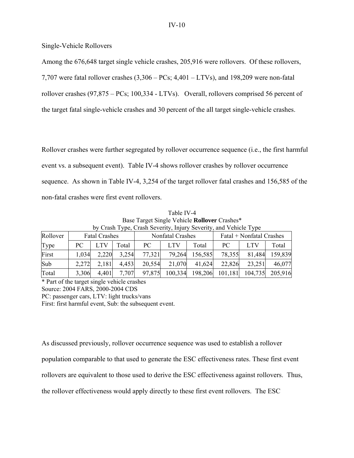Single-Vehicle Rollovers

Among the 676,648 target single vehicle crashes, 205,916 were rollovers. Of these rollovers,

7,707 were fatal rollover crashes (3,306 – PCs; 4,401 – LTVs), and 198,209 were non-fatal

rollover crashes (97,875 – PCs; 100,334 - LTVs). Overall, rollovers comprised 56 percent of

the target fatal single-vehicle crashes and 30 percent of the all target single-vehicle crashes.

Rollover crashes were further segregated by rollover occurrence sequence (i.e., the first harmful event vs. a subsequent event). Table IV-4 shows rollover crashes by rollover occurrence sequence. As shown in Table IV-4, 3,254 of the target rollover fatal crashes and 156,585 of the non-fatal crashes were first event rollovers.

Table IV-4 Base Target Single Vehicle **Rollover** Crashes\* by Crash Type, Crash Severity, Injury Severity, and Vehicle Type

| Rollover | <b>Fatal Crashes</b> |       |       |        | Nonfatal Crashes |         | Fatal + Nonfatal Crashes |            |         |  |
|----------|----------------------|-------|-------|--------|------------------|---------|--------------------------|------------|---------|--|
| Type     | PC.                  |       | Total | PC     | <b>LTV</b>       | Total   | PC.                      | <b>LTV</b> | Total   |  |
| First    | 1,034                | 2,220 | 3,254 | 77,321 | 79,264           | 156,585 | 78,355                   | 81,484     | 159,839 |  |
| Sub      | 2,272                | 2,181 | 4,453 | 20,554 | 21,070           | 41,624  | 22,826                   | 23,251     | 46,077  |  |
| Total    | 3,306                | 4,401 | 7,707 | 97,875 | 100,334          | 198,206 | 101,181                  | 104,735    | 205,916 |  |

\* Part of the target single vehicle crashes Source: 2004 FARS, 2000-2004 CDS PC: passenger cars, LTV: light trucks/vans First: first harmful event, Sub: the subsequent event.

As discussed previously, rollover occurrence sequence was used to establish a rollover population comparable to that used to generate the ESC effectiveness rates. These first event rollovers are equivalent to those used to derive the ESC effectiveness against rollovers. Thus, the rollover effectiveness would apply directly to these first event rollovers. The ESC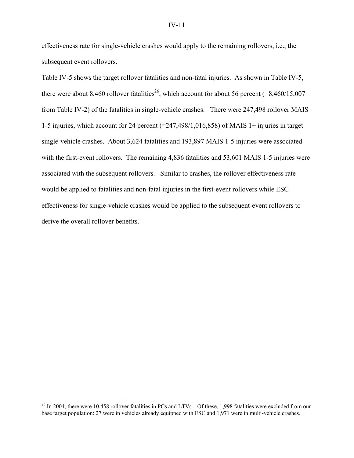effectiveness rate for single-vehicle crashes would apply to the remaining rollovers, i.e., the subsequent event rollovers.

Table IV-5 shows the target rollover fatalities and non-fatal injuries. As shown in Table IV-5, there were about 8,460 rollover fatalities<sup>26</sup>, which account for about 56 percent (=8,460/15,007) from Table IV-2) of the fatalities in single-vehicle crashes. There were 247,498 rollover MAIS 1-5 injuries, which account for 24 percent (=247,498/1,016,858) of MAIS 1+ injuries in target single-vehicle crashes. About 3,624 fatalities and 193,897 MAIS 1-5 injuries were associated with the first-event rollovers. The remaining 4,836 fatalities and 53,601 MAIS 1-5 injuries were associated with the subsequent rollovers. Similar to crashes, the rollover effectiveness rate would be applied to fatalities and non-fatal injuries in the first-event rollovers while ESC effectiveness for single-vehicle crashes would be applied to the subsequent-event rollovers to derive the overall rollover benefits.

 $\overline{a}$ 

 $^{26}$  In 2004, there were 10,458 rollover fatalities in PCs and LTVs. Of these, 1,998 fatalities were excluded from our base target population: 27 were in vehicles already equipped with ESC and 1,971 were in multi-vehicle crashes.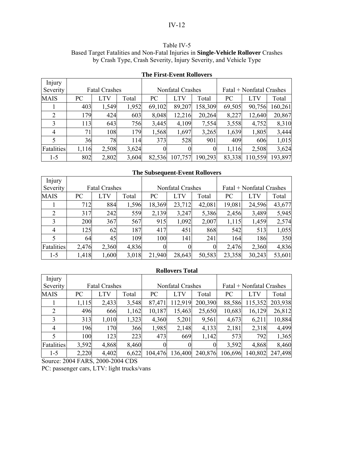## Table IV-5

Based Target Fatalities and Non-Fatal Injuries in **Single-Vehicle Rollover** Crashes by Crash Type, Crash Severity, Injury Severity, and Vehicle Type

| Injury         |       |                      |       |                |                  |          |                          |            |         |
|----------------|-------|----------------------|-------|----------------|------------------|----------|--------------------------|------------|---------|
| Severity       |       | <b>Fatal Crashes</b> |       |                | Nonfatal Crashes |          | Fatal + Nonfatal Crashes |            |         |
| <b>MAIS</b>    | PC    | LTV                  | Total | PC             | <b>LTV</b>       | Total    | PC                       | <b>LTV</b> | Total   |
|                | 403   | 1,549                | 1,952 | 69,102         | 89,207           | 158,309  | 69,505                   | 90,756     | 160,261 |
| 2              | 179   | 424                  | 603   | 8,048          | 12,216           | 20,264   | 8,227                    | 12,640     | 20,867  |
| 3              | 113   | 643                  | 756   | 3,445          | 4,109            | 7,554    | 3,558                    | 4,752      | 8,310   |
| $\overline{4}$ | 71    | 108                  | 179   | 1,568          | 1,697            | 3,265    | 1,639                    | 1,805      | 3,444   |
| 5              | 36    | 78                   | 114   | 373            | 528              | 901      | 409                      | 606        | 1,015   |
| Fatalities     | 1,116 | 2,508                | 3,624 | $\overline{0}$ | $\theta$         | $\Omega$ | 1,116                    | 2,508      | 3,624   |
| $1 - 5$        | 802   | 2,802                | 3,604 | 82,536         | 107,757          | 190,293  | 83,338                   | 110,559    | 193,897 |

## **The First-Event Rollovers**

#### **The Subsequent-Event Rollovers**

| Injury      |       |                      |       |                  |            |          |                          |            |        |
|-------------|-------|----------------------|-------|------------------|------------|----------|--------------------------|------------|--------|
| Severity    |       | <b>Fatal Crashes</b> |       | Nonfatal Crashes |            |          | Fatal + Nonfatal Crashes |            |        |
| <b>MAIS</b> | PC    | <b>LTV</b>           | Total | PC               | <b>LTV</b> | Total    | PC                       | <b>LTV</b> | Total  |
|             | 712   | 884                  | 1,596 | 18,369           | 23,712     | 42,081   | 19,081                   | 24,596     | 43,677 |
| 2           | 317   | 242                  | 559   | 2,139            | 3,247      | 5,386    | 2,456                    | 3,489      | 5,945  |
| 3           | 200   | 367                  | 567   | 915              | 1,092      | 2,007    | 1,115                    | 1,459      | 2,574  |
| 4           | 125   | 62                   | 187   | 417              | 451        | 868      | 542                      | 513        | 1,055  |
|             | 64    | 45                   | 109   | 100              | 141        | 241      | 164                      | 186        | 350    |
| Fatalities  | 2,476 | 2,360                | 4,836 |                  | 0          | $\theta$ | 2,476                    | 2,360      | 4,836  |
| $1 - 5$     | 1,418 | 1,600                | 3,018 | 21,940           | 28,643     | 50,583   | 23,358                   | 30,243     | 53,601 |

## **Rollovers Total**

| Injury      |       |                      |       |          |                  |          |                          |            |         |  |
|-------------|-------|----------------------|-------|----------|------------------|----------|--------------------------|------------|---------|--|
| Severity    |       | <b>Fatal Crashes</b> |       |          | Nonfatal Crashes |          | Fatal + Nonfatal Crashes |            |         |  |
| <b>MAIS</b> | PC    | <b>LTV</b>           | Total | PC       | <b>LTV</b>       | Total    | PC                       | <b>LTV</b> | Total   |  |
|             | 1,115 | 2,433                | 3,548 | 87,471   | 112,919          | 200,390  | 88,586                   | 115,352    | 203,938 |  |
| 2           | 496   | 666                  | 1,162 | 10,187   | 15,463           | 25,650   | 10,683                   | 16,129     | 26,812  |  |
| 3           | 313   | 1,010                | 1,323 | 4,360    | 5,201            | 9,561    | 4,673                    | 6,211      | 10,884  |  |
| 4           | 196   | 170                  | 366   | 1,985    | 2,148            | 4,133    | 2,181                    | 2,318      | 4,499   |  |
|             | 100   | 123                  | 223   | 473      | 669              | 1,142    | 573                      | 792        | 1,365   |  |
| Fatalities  | 3,592 | 4,868                | 8,460 | $\Omega$ | 0                | $\theta$ | 3,592                    | 4,868      | 8,460   |  |
| $1 - 5$     | 2,220 | 4,402                | 6,622 | 104,476  | 136,400          | 240,876  | 106,696                  | 140,802    | 247,498 |  |

Source: 2004 FARS, 2000-2004 CDS

PC: passenger cars, LTV: light trucks/vans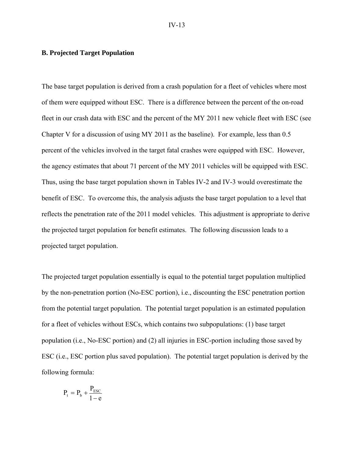#### **B. Projected Target Population**

The base target population is derived from a crash population for a fleet of vehicles where most of them were equipped without ESC. There is a difference between the percent of the on-road fleet in our crash data with ESC and the percent of the MY 2011 new vehicle fleet with ESC (see Chapter V for a discussion of using MY 2011 as the baseline). For example, less than 0.5 percent of the vehicles involved in the target fatal crashes were equipped with ESC. However, the agency estimates that about 71 percent of the MY 2011 vehicles will be equipped with ESC. Thus, using the base target population shown in Tables IV-2 and IV-3 would overestimate the benefit of ESC. To overcome this, the analysis adjusts the base target population to a level that reflects the penetration rate of the 2011 model vehicles. This adjustment is appropriate to derive the projected target population for benefit estimates. The following discussion leads to a projected target population.

The projected target population essentially is equal to the potential target population multiplied by the non-penetration portion (No-ESC portion), i.e., discounting the ESC penetration portion from the potential target population. The potential target population is an estimated population for a fleet of vehicles without ESCs, which contains two subpopulations: (1) base target population (i.e., No-ESC portion) and (2) all injuries in ESC-portion including those saved by ESC (i.e., ESC portion plus saved population). The potential target population is derived by the following formula:

$$
P_t = P_b + \frac{P_{\text{esc}}}{1-e}
$$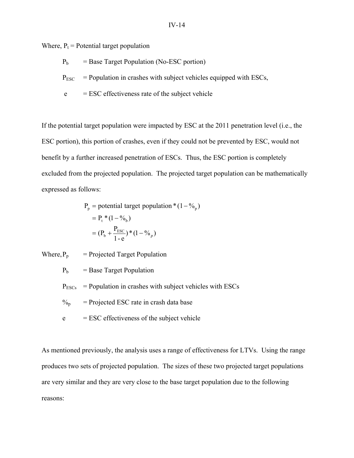Where,  $P_t$  = Potential target population

- $P_b$  = Base Target Population (No-ESC portion)
- $P_{\text{ESC}}$  = Population in crashes with subject vehicles equipped with ESCs,
- $e$  = ESC effectiveness rate of the subject vehicle

If the potential target population were impacted by ESC at the 2011 penetration level (i.e., the ESC portion), this portion of crashes, even if they could not be prevented by ESC, would not benefit by a further increased penetration of ESCs. Thus, the ESC portion is completely excluded from the projected population. The projected target population can be mathematically expressed as follows:

$$
P_p = potential target population * (1 - %_p)
$$
  
=  $P_t * (1 - %_b)$   
=  $(P_b + \frac{P_{\text{ESC}}}{1 - e}) * (1 - %_p)$ 

Where,  $P_p$  = Projected Target Population

 $P_b$  = Base Target Population

 $P_{ESCs}$  = Population in crashes with subject vehicles with ESCs

 $\%$ <sub>p</sub> = Projected ESC rate in crash data base

 $e$  = ESC effectiveness of the subject vehicle

As mentioned previously, the analysis uses a range of effectiveness for LTVs. Using the range produces two sets of projected population. The sizes of these two projected target populations are very similar and they are very close to the base target population due to the following reasons: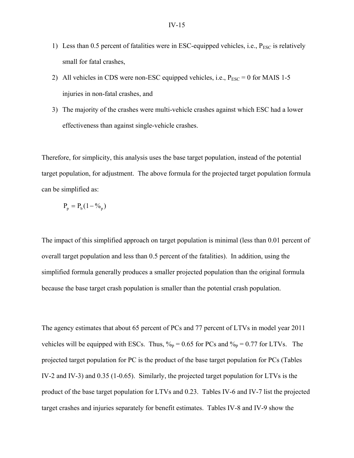- 1) Less than 0.5 percent of fatalities were in ESC-equipped vehicles, i.e.,  $P_{\text{ESC}}$  is relatively small for fatal crashes,
- 2) All vehicles in CDS were non-ESC equipped vehicles, i.e.,  $P_{\text{FSC}} = 0$  for MAIS 1-5 injuries in non-fatal crashes, and
- 3) The majority of the crashes were multi-vehicle crashes against which ESC had a lower effectiveness than against single-vehicle crashes.

Therefore, for simplicity, this analysis uses the base target population, instead of the potential target population, for adjustment. The above formula for the projected target population formula can be simplified as:

$$
P_p = P_b(1 - \%_p)
$$

The impact of this simplified approach on target population is minimal (less than 0.01 percent of overall target population and less than 0.5 percent of the fatalities). In addition, using the simplified formula generally produces a smaller projected population than the original formula because the base target crash population is smaller than the potential crash population.

The agency estimates that about 65 percent of PCs and 77 percent of LTVs in model year 2011 vehicles will be equipped with ESCs. Thus,  $\%_{p} = 0.65$  for PCs and  $\%_{p} = 0.77$  for LTVs. The projected target population for PC is the product of the base target population for PCs (Tables IV-2 and IV-3) and 0.35 (1-0.65). Similarly, the projected target population for LTVs is the product of the base target population for LTVs and 0.23. Tables IV-6 and IV-7 list the projected target crashes and injuries separately for benefit estimates. Tables IV-8 and IV-9 show the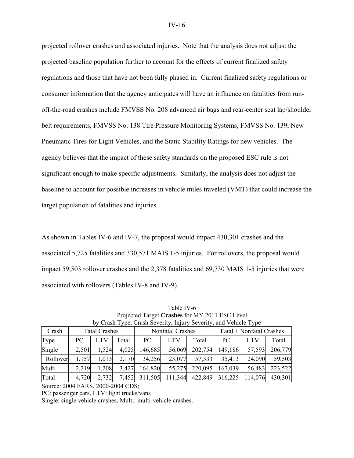projected rollover crashes and associated injuries. Note that the analysis does not adjust the projected baseline population further to account for the effects of current finalized safety regulations and those that have not been fully phased in. Current finalized safety regulations or consumer information that the agency anticipates will have an influence on fatalities from runoff-the-road crashes include FMVSS No. 208 advanced air bags and rear-center seat lap/shoulder belt requirements, FMVSS No. 138 Tire Pressure Monitoring Systems, FMVSS No. 139, New Pneumatic Tires for Light Vehicles, and the Static Stability Ratings for new vehicles. The agency believes that the impact of these safety standards on the proposed ESC rule is not significant enough to make specific adjustments. Similarly, the analysis does not adjust the baseline to account for possible increases in vehicle miles traveled (VMT) that could increase the target population of fatalities and injuries.

As shown in Tables IV-6 and IV-7, the proposal would impact 430,301 crashes and the associated 5,725 fatalities and 330,571 MAIS 1-5 injuries. For rollovers, the proposal would impact 59,503 rollover crashes and the 2,378 fatalities and 69,730 MAIS 1-5 injuries that were associated with rollovers (Tables IV-8 and IV-9).

|          |       |                      |       |         | by Clash Type, Clash Severity, highly Severity, and vehicle Type |         |                          |            |         |
|----------|-------|----------------------|-------|---------|------------------------------------------------------------------|---------|--------------------------|------------|---------|
| Crash    |       | <b>Fatal Crashes</b> |       |         | Nonfatal Crashes                                                 |         | Fatal + Nonfatal Crashes |            |         |
| Type     | PC.   | LTV                  | Total | PC      | <b>LTV</b>                                                       | Total   | PC.                      | <b>LTV</b> | Total   |
| Single   | 2,501 | 1,524                | 4,025 | 146,685 | 56,069                                                           | 202,754 | 149,186                  | 57,593     | 206,779 |
| Rollover | 1,157 | 1,013                | 2,170 | 34,256  | 23,077                                                           | 57,333  | 35,413                   | 24,090     | 59,503  |
| Multi    | 2,219 | 1,208                | 3,427 | 164,820 | 55,275                                                           | 220,095 | 167,039                  | 56,483     | 223,522 |
| Total    | 4,720 | 2,732                | 7,452 | 311,505 | 111,344                                                          | 422,849 | 316,225                  | 114,076    | 430,301 |

Table IV-6 Projected Target **Crashes** for MY 2011 ESC Level by Crash Type, Crash Severity, Injury Severity, and Vehicle Type

Source: 2004 FARS, 2000-2004 CDS;

PC: passenger cars, LTV: light trucks/vans

Single: single vehicle crashes, Multi: multi-vehicle crashes.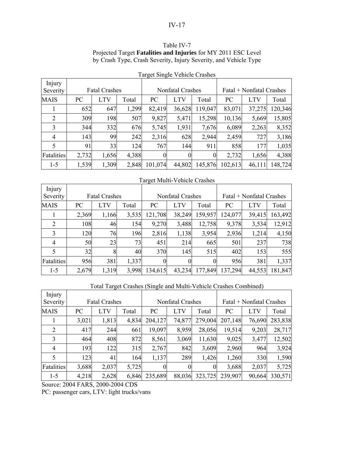### Table IV-7 Projected Target **Fatalities and Injuries** for MY 2011 ESC Level by Crash Type, Crash Severity, Injury Severity, and Vehicle Type

| Injury<br>Severity | <b>Fatal Crashes</b> |            |       |                | Nonfatal Crashes |          | Fatal + Nonfatal Crashes |            |         |  |
|--------------------|----------------------|------------|-------|----------------|------------------|----------|--------------------------|------------|---------|--|
| <b>MAIS</b>        | PC                   | <b>LTV</b> | Total | PC             | <b>LTV</b>       | Total    | PC                       | <b>LTV</b> | Total   |  |
|                    | 652                  | 647        | 1,299 | 82,419         | 36,628           | 119,047  | 83,071                   | 37,275     | 120,346 |  |
| 2                  | 309                  | 198        | 507   | 9,827          | 5,471            | 15,298   | 10,136                   | 5,669      | 15,805  |  |
| 3                  | 344                  | 332        | 676   | 5,745          | 1,931            | 7,676    | 6,089                    | 2,263      | 8,352   |  |
| $\overline{4}$     | 143                  | 99         | 242   | 2,316          | 628              | 2,944    | 2,459                    | 727        | 3,186   |  |
| 5                  | 91                   | 33         | 124   | 767            | 144              | 911      | 858                      | 177        | 1,035   |  |
| Fatalities         | 2,732                | 1,656      | 4,388 | $\overline{0}$ | $\overline{0}$   | $\theta$ | 2,732                    | 1,656      | 4,388   |  |
| $1 - 5$            | 1,539                | 1,309      | 2,848 | 101,074        | 44,802           | 145,876  | 102,613                  | 46,111     | 148,724 |  |

Target Single Vehicle Crashes

# Target Multi-Vehicle Crashes

| Injury<br>Severity |       | <b>Fatal Crashes</b> |       | ۔ ت      | Nonfatal Crashes |          | Fatal + Nonfatal Crashes |        |         |  |
|--------------------|-------|----------------------|-------|----------|------------------|----------|--------------------------|--------|---------|--|
| <b>MAIS</b>        | PC    | LTV                  | Total | PC       | LTV              | Total    | PC                       | LTV    | Total   |  |
|                    | 2,369 | 1,166                | 3,535 | 121,708  | 38,249           | 159,957  | 124,077                  | 39,415 | 163,492 |  |
| 2                  | 108   | 46                   | 154   | 9,270    | 3,488            | 12,758   | 9,378                    | 3,534  | 12,912  |  |
| 3                  | 120   | 76                   | 196   | 2,816    | 1,138            | 3,954    | 2,936                    | 1,214  | 4,150   |  |
| $\overline{4}$     | 50    | 23                   | 73    | 451      | 214              | 665      | 501                      | 237    | 738     |  |
| 5                  | 32    | 8                    | 40    | 370      | 145              | 515      | 402                      | 153    | 555     |  |
| Fatalities         | 956   | 381                  | 1,337 | $\Omega$ | 0                | $\Omega$ | 956                      | 381    | 1,337   |  |
| $1 - 5$            | 2,679 | 1,319                | 3,998 | 134,615  | 43,234           | 177,849  | 137,294                  | 44,553 | 181,847 |  |

## Total Target Crashes (Single and Multi-Vehicle Crashes Combined)

| Injury<br>Severity |       | <b>Fatal Crashes</b> |       |                | Nonfatal Crashes |         | Fatal + Nonfatal Crashes |        |         |  |
|--------------------|-------|----------------------|-------|----------------|------------------|---------|--------------------------|--------|---------|--|
| <b>MAIS</b>        | PC    | <b>LTV</b>           | Total | PC             | <b>LTV</b>       | Total   | PC                       | LTV    | Total   |  |
|                    | 3,021 | 1,813                | 4,834 | 204,127        | 74,877           | 279,004 | 207,148                  | 76,690 | 283,838 |  |
| 2                  | 417   | 244                  | 661   | 19,097         | 8,959            | 28,056  | 19,514                   | 9,203  | 28,717  |  |
| 3                  | 464   | 408                  | 872   | 8,561          | 3,069            | 11,630  | 9,025                    | 3,477  | 12,502  |  |
| 4                  | 193   | 122                  | 315   | 2,767          | 842              | 3,609   | 2,960                    | 964    | 3,924   |  |
| 5                  | 123   | 41                   | 164   | 1,137          | 289              | 1,426   | 1,260                    | 330    | 1,590   |  |
| Fatalities         | 3,688 | 2,037                | 5,725 | $\overline{0}$ | $\theta$         |         | 3,688                    | 2,037  | 5,725   |  |
| $1 - 5$            | 4,218 | 2,628                | 6,846 | 235,689        | 88,036           | 323,725 | 239,907                  | 90,664 | 330,571 |  |

Source: 2004 FARS, 2000-2004 CDS

PC: passenger cars, LTV: light trucks/vans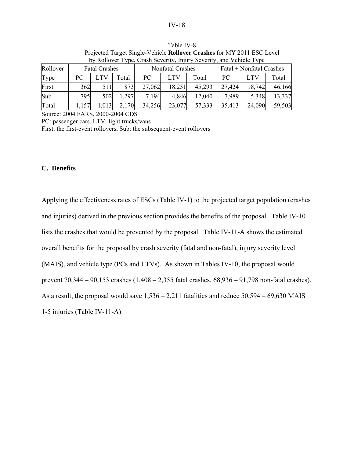|          |                         |                      |       |        |                         |        |                          | by Rollover Type, Crash Severity, Injury Severity, and Vehicle Type |        |  |
|----------|-------------------------|----------------------|-------|--------|-------------------------|--------|--------------------------|---------------------------------------------------------------------|--------|--|
| Rollover |                         | <b>Fatal Crashes</b> |       |        | <b>Nonfatal Crashes</b> |        | Fatal + Nonfatal Crashes |                                                                     |        |  |
| Type     | PC.                     | LTV                  | Total | PC     | <b>LTV</b>              | Total  | PC.                      | <b>LTV</b>                                                          | Total  |  |
| First    | 362                     | 511                  | 873   | 27,062 | 18,231                  | 45,293 | 27,424                   | 18,742                                                              | 46,166 |  |
| Sub      | 795                     | 502                  | 1,297 | 7.194  | 4,846                   | 12,040 | 7,989                    | 5,348                                                               | 13,337 |  |
| Total    | 2,170<br>1,013<br>1,157 |                      |       | 34,256 | 23,077                  | 57,333 | 35,413                   | 24,090                                                              | 59,503 |  |

Table IV-8 Projected Target Single-Vehicle **Rollover Crashes** for MY 2011 ESC Level by Rollover Type, Crash Severity, Injury Severity, and Vehicle Type

Source: 2004 FARS, 2000-2004 CDS

PC: passenger cars, LTV: light trucks/vans

First: the first-event rollovers, Sub: the subsequent-event rollovers

## **C. Benefits**

Applying the effectiveness rates of ESCs (Table IV-1) to the projected target population (crashes and injuries) derived in the previous section provides the benefits of the proposal. Table IV-10 lists the crashes that would be prevented by the proposal. Table IV-11-A shows the estimated overall benefits for the proposal by crash severity (fatal and non-fatal), injury severity level (MAIS), and vehicle type (PCs and LTVs). As shown in Tables IV-10, the proposal would prevent 70,344 – 90,153 crashes (1,408 – 2,355 fatal crashes, 68,936 – 91,798 non-fatal crashes). As a result, the proposal would save 1,536 – 2,211 fatalities and reduce 50,594 – 69,630 MAIS 1-5 injuries (Table IV-11-A).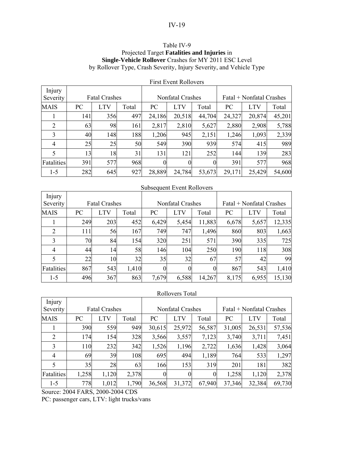## Table IV-9 Projected Target **Fatalities and Injuries** in **Single-Vehicle Rollover** Crashes for MY 2011 ESC Level by Rollover Type, Crash Severity, Injury Severity, and Vehicle Type

|                    |     |                      |       |          | ТИМ ЕУСШ КОПОУСІ У |          |                          |            |        |  |
|--------------------|-----|----------------------|-------|----------|--------------------|----------|--------------------------|------------|--------|--|
| Injury<br>Severity |     | <b>Fatal Crashes</b> |       |          | Nonfatal Crashes   |          | Fatal + Nonfatal Crashes |            |        |  |
| <b>MAIS</b>        | PC  | <b>LTV</b>           | Total | PC       | <b>LTV</b>         | Total    | PC                       | <b>LTV</b> | Total  |  |
|                    | 141 | 356                  | 497   | 24,186   | 20,518             | 44,704   | 24,327                   | 20,874     | 45,201 |  |
| 2                  | 63  | 98                   | 161   | 2,817    | 2,810              | 5,627    | 2,880                    | 2,908      | 5,788  |  |
| 3                  | 40  | 148                  | 188   | 1,206    | 945                | 2,151    | 1,246                    | 1,093      | 2,339  |  |
| 4                  | 25  | 25                   | 50    | 549      | 390                | 939      | 574                      | 415        | 989    |  |
| 5                  | 13  | 18                   | 31    | 131      | 121                | 252      | 144                      | 139        | 283    |  |
| Fatalities         | 391 | 577                  | 968   | $\theta$ | $\boldsymbol{0}$   | $\theta$ | 391                      | 577        | 968    |  |
| $1 - 5$            | 282 | 645                  | 927   | 28,889   | 24,784             | 53,673   | 29,171                   | 25,429     | 54,600 |  |

# First Event Rollovers

## Subsequent Event Rollovers

| Injury         |     |                      |       |                  |                  |        |                          |            |        |  |
|----------------|-----|----------------------|-------|------------------|------------------|--------|--------------------------|------------|--------|--|
| Severity       |     | <b>Fatal Crashes</b> |       |                  | Nonfatal Crashes |        | Fatal + Nonfatal Crashes |            |        |  |
| <b>MAIS</b>    | PC  | <b>LTV</b>           | Total | PC               | <b>LTV</b>       | Total  | PC                       | <b>LTV</b> | Total  |  |
|                | 249 | 203                  | 452   | 6,429            | 5,454            | 11,883 | 6,678                    | 5,657      | 12,335 |  |
| $\overline{2}$ | 111 | 56                   | 167   | 749              | 747              | 1,496  | 860                      | 803        | 1,663  |  |
| 3              | 70  | 84                   | 154   | 320              | 251              | 571    | 390                      | 335        | 725    |  |
| 4              | 44  | 14                   | 58    | 146              | 104              | 250    | 190                      | 118        | 308    |  |
|                | 22  | 10                   | 32    | 35               | 32               | 67     | 57                       | 42         | 99     |  |
| Fatalities     | 867 | 543                  | 1,410 | $\boldsymbol{0}$ | 0                | 0      | 867                      | 543        | 1,410  |  |
| $1 - 5$        | 496 | 367                  | 863   | 7,679            | 6,588            | 14,267 | 8,175                    | 6,955      | 15,130 |  |

#### Rollovers Total

| Injury<br>Severity |       | <b>Fatal Crashes</b> |       |                | Nonfatal Crashes |                | Fatal + Nonfatal Crashes |            |        |  |
|--------------------|-------|----------------------|-------|----------------|------------------|----------------|--------------------------|------------|--------|--|
| <b>MAIS</b>        | PC    | <b>LTV</b>           | Total | PC             | <b>LTV</b>       | Total          | PC                       | <b>LTV</b> | Total  |  |
|                    | 390   | 559                  | 949   | 30,615         | 25,972           | 56,587         | 31,005                   | 26,531     | 57,536 |  |
| 2                  | 174   | 154                  | 328   | 3,566          | 3,557            | 7,123          | 3,740                    | 3,711      | 7,451  |  |
| 3                  | 110   | 232                  | 342   | 1,526          | 1,196            | 2,722          | 1,636                    | 1,428      | 3,064  |  |
| 4                  | 69    | 39                   | 108   | 695            | 494              | 1,189          | 764                      | 533        | 1,297  |  |
| 5                  | 35    | 28                   | 63    | 166            | 153              | 319            | 201                      | 181        | 382    |  |
| Fatalities         | 1,258 | 1,120                | 2,378 | $\overline{0}$ | $\boldsymbol{0}$ | $\overline{0}$ | 1,258                    | 1,120      | 2,378  |  |
| $1 - 5$            | 778   | 1,012                | 1,790 | 36,568         | 31,372           | 67,940         | 37,346                   | 32,384     | 69,730 |  |

Source: 2004 FARS, 2000-2004 CDS

PC: passenger cars, LTV: light trucks/vans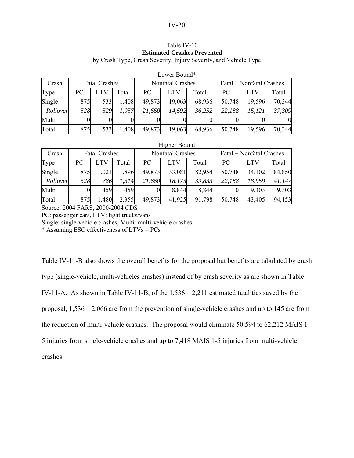#### Table IV-10 **Estimated Crashes Prevented**  by Crash Type, Crash Severity, Injury Severity, and Vehicle Type

|          |     |                      |       |        | LUWEI DUUIIU     |        |                          |            |        |  |
|----------|-----|----------------------|-------|--------|------------------|--------|--------------------------|------------|--------|--|
| Crash    |     | <b>Fatal Crashes</b> |       |        | Nonfatal Crashes |        | Fatal + Nonfatal Crashes |            |        |  |
| Type     | PС  | LTV                  | Total | PC     | <b>LTV</b>       | Total  | PC.                      | <b>LTV</b> | Total  |  |
| Single   | 875 | 533                  | 1,408 | 49,873 | 19,063           | 68,936 | 50,748                   | 19,596     | 70,344 |  |
| Rollover | 528 | 529                  | 1,057 | 21,660 | 14,592           | 36,252 | 22,188                   | 15,121     | 37,309 |  |
| Multi    |     |                      |       |        |                  |        |                          |            | 0.     |  |
| Total    | 875 | 533                  | 1,408 | 49,873 | 19,063           | 68,936 | 50,748                   | 19,596     | 70,344 |  |

# Lower Bound\*

## Higher Bound

| Crash    |     | <b>Fatal Crashes</b> |       | Fatal + Nonfatal Crashes<br>Nonfatal Crashes |            |        |        |            |        |
|----------|-----|----------------------|-------|----------------------------------------------|------------|--------|--------|------------|--------|
| Type     | PС  |                      | Total | PC                                           | <b>LTV</b> | Total  | PC.    | <b>LTV</b> | Total  |
| Single   | 875 | 1,021                | 1,896 | 49,873                                       | 33,081     | 82,954 | 50,748 | 34,102     | 84,850 |
| Rollover | 528 | 786                  | 1,314 | 21,660                                       | 18,173     | 39,833 | 22,188 | 18,959     | 41,147 |
| Multi    | 0   | 459                  | 459   |                                              | 8,844      | 8,844  |        | 9,303      | 9,303  |
| Total    | 875 | ,480                 | 2,355 | 49,873                                       | 41,925     | 91,798 | 50,748 | 43,405     | 94,153 |

Source: 2004 FARS, 2000-2004 CDS

PC: passenger cars, LTV: light trucks/vans

Single: single-vehicle crashes, Multi: multi-vehicle crashes

\* Assuming ESC effectiveness of LTVs = PCs

Table IV-11-B also shows the overall benefits for the proposal but benefits are tabulated by crash type (single-vehicle, multi-vehicles crashes) instead of by crash severity as are shown in Table IV-11-A. As shown in Table IV-11-B, of the 1,536 – 2,211 estimated fatalities saved by the proposal, 1,536 – 2,066 are from the prevention of single-vehicle crashes and up to 145 are from the reduction of multi-vehicle crashes. The proposal would eliminate 50,594 to 62,212 MAIS 1- 5 injuries from single-vehicle crashes and up to 7,418 MAIS 1-5 injuries from multi-vehicle crashes.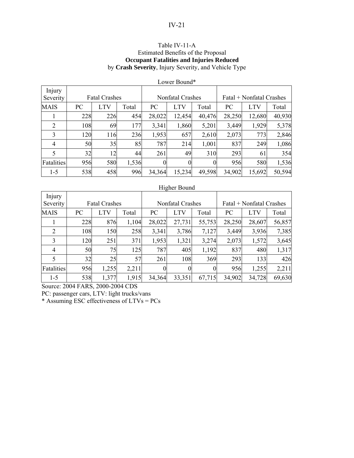## Table IV-11-A Estimated Benefits of the Proposal **Occupant Fatalities and Injuries Reduced**  by **Crash Severity**, Injury Severity, and Vehicle Type

|                    |     |                      |       |          | Lower Bound*     |          |                          |            |        |  |
|--------------------|-----|----------------------|-------|----------|------------------|----------|--------------------------|------------|--------|--|
| Injury<br>Severity |     | <b>Fatal Crashes</b> |       |          | Nonfatal Crashes |          | Fatal + Nonfatal Crashes |            |        |  |
| <b>MAIS</b>        | PC  | <b>LTV</b>           | Total | PC       | <b>LTV</b>       | Total    | PC                       | <b>LTV</b> | Total  |  |
| 1                  | 228 | 226                  | 454   | 28,022   | 12,454           | 40,476   | 28,250                   | 12,680     | 40,930 |  |
| $\overline{2}$     | 108 | 69                   | 177   | 3,341    | 1,860            | 5,201    | 3,449                    | 1,929      | 5,378  |  |
| 3                  | 120 | 116                  | 236   | 1,953    | 657              | 2,610    | 2,073                    | 773        | 2,846  |  |
| $\overline{4}$     | 50  | 35                   | 85    | 787      | 214              | 1,001    | 837                      | 249        | 1,086  |  |
| 5                  | 32  | 12                   | 44    | 261      | 49               | 310      | 293                      | 61         | 354    |  |
| Fatalities         | 956 | 580                  | 1,536 | $\Omega$ | 0                | $\Omega$ | 956                      | 580        | 1,536  |  |
| $1 - 5$            | 538 | 458                  | 996   | 34,364   | 15,234           | 49,598   | 34,902                   | 15,692     | 50,594 |  |

## Higher Bound

| Injury      |     |                      |       |        |                  |          |                          |            |        |  |
|-------------|-----|----------------------|-------|--------|------------------|----------|--------------------------|------------|--------|--|
| Severity    |     | <b>Fatal Crashes</b> |       |        | Nonfatal Crashes |          | Fatal + Nonfatal Crashes |            |        |  |
| <b>MAIS</b> | PC  | <b>LTV</b>           | Total | PC     | <b>LTV</b>       | Total    | PC                       | <b>LTV</b> | Total  |  |
|             | 228 | 876                  | 1,104 | 28,022 | 27,731           | 55,753   | 28,250                   | 28,607     | 56,857 |  |
| 2           | 108 | 150                  | 258   | 3,341  | 3,786            | 7,127    | 3,449                    | 3,936      | 7,385  |  |
| 3           | 120 | 251                  | 371   | 1,953  | 1,321            | 3,274    | 2,073                    | 1,572      | 3,645  |  |
| 4           | 50  | 75                   | 125   | 787    | 405              | 1,192    | 837                      | 480        | 1,317  |  |
|             | 32  | 25                   | 57    | 261    | 108              | 369      | 293                      | 133        | 426    |  |
| Fatalities  | 956 | 1,255                | 2,211 |        | $\theta$         | $\theta$ | 956                      | 1,255      | 2,211  |  |
| $1 - 5$     | 538 | 1,377                | 1,915 | 34,364 | 33,351           | 67,715   | 34,902                   | 34,728     | 69,630 |  |

Source: 2004 FARS, 2000-2004 CDS

PC: passenger cars, LTV: light trucks/vans

\* Assuming ESC effectiveness of LTVs = PCs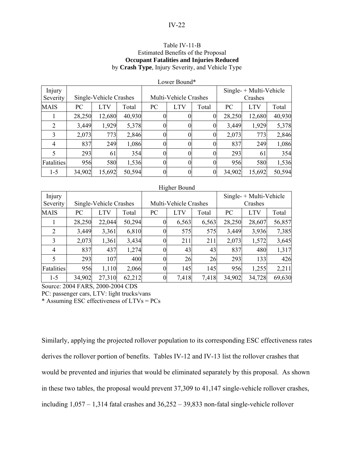### Table IV-11-B Estimated Benefits of the Proposal **Occupant Fatalities and Injuries Reduced**  by **Crash Type**, Injury Severity, and Vehicle Type

|             |        |                        |        |          | Lower Bound*          |                |         |                           |        |  |  |
|-------------|--------|------------------------|--------|----------|-----------------------|----------------|---------|---------------------------|--------|--|--|
| Injury      |        |                        |        |          |                       |                |         | $Single- + Multi-Vehicle$ |        |  |  |
| Severity    |        | Single-Vehicle Crashes |        |          | Multi-Vehicle Crashes |                | Crashes |                           |        |  |  |
| <b>MAIS</b> | PC     | <b>LTV</b>             | Total  | PC       | <b>LTV</b>            | Total          | PC      | <b>LTV</b>                | Total  |  |  |
|             | 28,250 | 12,680                 | 40,930 |          |                       | $\Omega$       | 28,250  | 12,680                    | 40,930 |  |  |
| 2           | 3,449  | 1,929                  | 5,378  | 0        | O                     | $\Omega$       | 3,449   | 1,929                     | 5,378  |  |  |
| 3           | 2,073  | 773                    | 2,846  |          | 0                     | $\overline{0}$ | 2,073   | 773                       | 2,846  |  |  |
| 4           | 837    | 249                    | 1,086  | $\Omega$ | $\theta$              | 0              | 837     | 249                       | 1,086  |  |  |
| 5           | 293    | 61                     | 354    | $\Omega$ | 0                     | 0              | 293     | 61                        | 354    |  |  |
| Fatalities  | 956    | 580                    | 1,536  | $\Omega$ | $\overline{0}$        | $\Omega$       | 956     | 580                       | 1,536  |  |  |
| $1 - 5$     | 34,902 | 15,692                 | 50,594 |          |                       | $\overline{0}$ | 34,902  | 15,692                    | 50,594 |  |  |

#### Higher Bound

| Injury         |        |                        |        |                |                       |       |         | $Single- + Multi-Vehicle$ |        |  |  |
|----------------|--------|------------------------|--------|----------------|-----------------------|-------|---------|---------------------------|--------|--|--|
| Severity       |        | Single-Vehicle Crashes |        |                | Multi-Vehicle Crashes |       | Crashes |                           |        |  |  |
| <b>MAIS</b>    | PC     | <b>LTV</b>             | Total  | PC             | <b>LTV</b>            | Total | PC      | <b>LTV</b>                | Total  |  |  |
|                | 28,250 | 22,044                 | 50,294 | $\overline{0}$ | 6,563                 | 6,563 | 28,250  | 28,607                    | 56,857 |  |  |
| 2              | 3,449  | 3,361                  | 6,810  | 0              | 575                   | 575   | 3,449   | 3,936                     | 7,385  |  |  |
| 3              | 2,073  | 1,361                  | 3,434  | 0              | 211                   | 211   | 2,073   | 1,572                     | 3,645  |  |  |
| $\overline{4}$ | 837    | 437                    | 1,274  | $\Omega$       | 43                    | 43    | 837     | 480                       | 1,317  |  |  |
|                | 293    | 107                    | 400    | $\Omega$       | 26                    | 26    | 293     | 133                       | 426    |  |  |
| Fatalities     | 956    | 1,110                  | 2,066  | $\Omega$       | 145                   | 145   | 956     | 1,255                     | 2,211  |  |  |
| $1 - 5$        | 34,902 | 27,310                 | 62,212 |                | 7,418                 | 7,418 | 34,902  | 34,728                    | 69,630 |  |  |

Source: 2004 FARS, 2000-2004 CDS

PC: passenger cars, LTV: light trucks/vans

\* Assuming ESC effectiveness of LTVs = PCs

Similarly, applying the projected rollover population to its corresponding ESC effectiveness rates derives the rollover portion of benefits. Tables IV-12 and IV-13 list the rollover crashes that would be prevented and injuries that would be eliminated separately by this proposal. As shown in these two tables, the proposal would prevent 37,309 to 41,147 single-vehicle rollover crashes, including 1,057 – 1,314 fatal crashes and 36,252 – 39,833 non-fatal single-vehicle rollover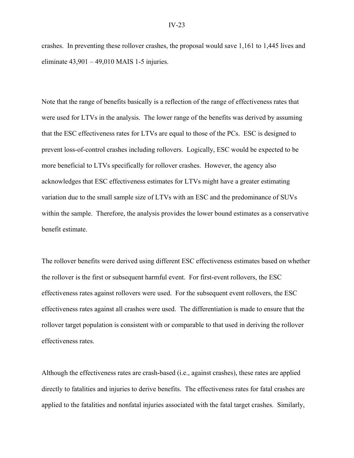crashes. In preventing these rollover crashes, the proposal would save 1,161 to 1,445 lives and eliminate  $43,901 - 49,010$  MAIS 1-5 injuries.

Note that the range of benefits basically is a reflection of the range of effectiveness rates that were used for LTVs in the analysis. The lower range of the benefits was derived by assuming that the ESC effectiveness rates for LTVs are equal to those of the PCs. ESC is designed to prevent loss-of-control crashes including rollovers. Logically, ESC would be expected to be more beneficial to LTVs specifically for rollover crashes. However, the agency also acknowledges that ESC effectiveness estimates for LTVs might have a greater estimating variation due to the small sample size of LTVs with an ESC and the predominance of SUVs within the sample. Therefore, the analysis provides the lower bound estimates as a conservative benefit estimate.

The rollover benefits were derived using different ESC effectiveness estimates based on whether the rollover is the first or subsequent harmful event. For first-event rollovers, the ESC effectiveness rates against rollovers were used. For the subsequent event rollovers, the ESC effectiveness rates against all crashes were used. The differentiation is made to ensure that the rollover target population is consistent with or comparable to that used in deriving the rollover effectiveness rates.

Although the effectiveness rates are crash-based (i.e., against crashes), these rates are applied directly to fatalities and injuries to derive benefits. The effectiveness rates for fatal crashes are applied to the fatalities and nonfatal injuries associated with the fatal target crashes. Similarly,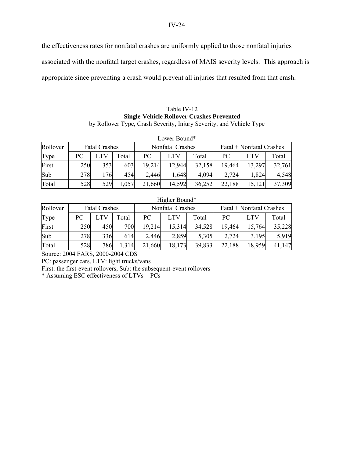the effectiveness rates for nonfatal crashes are uniformly applied to those nonfatal injuries

associated with the nonfatal target crashes, regardless of MAIS severity levels. This approach is

appropriate since preventing a crash would prevent all injuries that resulted from that crash.

#### Table IV-12 **Single-Vehicle Rollover Crashes Prevented**  by Rollover Type, Crash Severity, Injury Severity, and Vehicle Type

|          |     |                      |       |        | Lower Bound*     |        |                          |            |        |
|----------|-----|----------------------|-------|--------|------------------|--------|--------------------------|------------|--------|
| Rollover |     | <b>Fatal Crashes</b> |       |        | Nonfatal Crashes |        | Fatal + Nonfatal Crashes |            |        |
| Type     | PC  |                      | Total | PС     | <b>LTV</b>       | Total  | PC.                      | <b>LTV</b> | Total  |
| First    | 250 | 353                  | 603   | 19,214 | 12,944           | 32,158 | 19,464                   | 13,297     | 32,761 |
| Sub      | 278 | 176                  | 454   | 2,446  | 1,648            | 4,094  | 2,724                    | 1,824      | 4,548  |
| Total    | 528 | 529                  | 1,057 | 21,660 | 14,592           | 36,252 | 22,188                   | 15,121     | 37,309 |

#### Higher Bound\*

| Rollover | <b>Fatal Crashes</b> |     |       |        | Nonfatal Crashes |        | Fatal + Nonfatal Crashes |        |        |
|----------|----------------------|-----|-------|--------|------------------|--------|--------------------------|--------|--------|
| Type     | PC                   |     | Total | PC     | LTV              | Total  | PC                       | LTV    | Total  |
| First    | 250                  | 450 | 700   | 19,214 | 15,314           | 34,528 | 19,464                   | 15,764 | 35,228 |
| Sub      | 278                  | 336 | 614   | 2,446  | 2,859            | 5,305  | 2,724                    | 3,195  | 5,919  |
| Total    | 528                  | 786 | 1,314 | 21,660 | 18,173           | 39,833 | 22,188                   | 18,959 | 41,147 |

Source: 2004 FARS, 2000-2004 CDS

PC: passenger cars, LTV: light trucks/vans

First: the first-event rollovers, Sub: the subsequent-event rollovers

\* Assuming ESC effectiveness of LTVs = PCs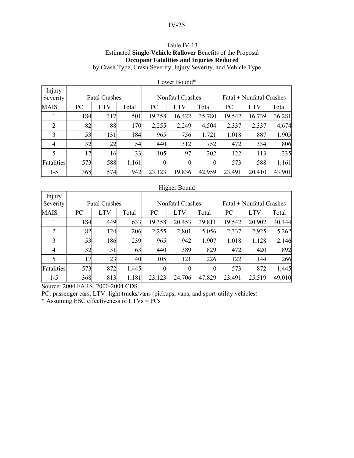## Table IV-13 Estimated **Single-Vehicle Rollover** Benefits of the Proposal **Occupant Fatalities and Injuries Reduced**

by Crash Type, Crash Severity, Injury Severity, and Vehicle Type

|                    |                      |            |       |                  | LUWUL DUULIU     |          |                          |            |        |
|--------------------|----------------------|------------|-------|------------------|------------------|----------|--------------------------|------------|--------|
| Injury<br>Severity | <b>Fatal Crashes</b> |            |       |                  | Nonfatal Crashes |          | Fatal + Nonfatal Crashes |            |        |
| <b>MAIS</b>        | PC                   | <b>LTV</b> | Total | PC               | <b>LTV</b>       | Total    | PC                       | <b>LTV</b> | Total  |
|                    | 184                  | 317        | 501   | 19,358           | 16,422           | 35,780   | 19,542                   | 16,739     | 36,281 |
| 2                  | 82                   | 88         | 170   | 2,255            | 2,249            | 4,504    | 2,337                    | 2,337      | 4,674  |
| 3                  | 53                   | 131        | 184   | 965              | 756              | 1,721    | 1,018                    | 887        | 1,905  |
| $\overline{4}$     | 32                   | 22         | 54    | 440              | 312              | 752      | 472                      | 334        | 806    |
| 5                  | 17                   | 16         | 33    | 105              | 97               | 202      | 122                      | 113        | 235    |
| Fatalities         | 573                  | 588        | 1,161 | $\boldsymbol{0}$ | 0                | $\theta$ | 573                      | 588        | 1,161  |
| $1 - 5$            | 368                  | 574        | 942   | 23,123           | 19,836           | 42,959   | 23,491                   | 20,410     | 43,901 |

#### Lower Bound\*

#### Higher Bound

| Injury         |                      |     |       |          |                  |          |                          |        |        |
|----------------|----------------------|-----|-------|----------|------------------|----------|--------------------------|--------|--------|
| Severity       | <b>Fatal Crashes</b> |     |       |          | Nonfatal Crashes |          | Fatal + Nonfatal Crashes |        |        |
| <b>MAIS</b>    | PC                   | LTV | Total | PC       | LTV              | Total    | PC                       | LTV    | Total  |
|                | 184                  | 449 | 633   | 19,358   | 20,453           | 39,811   | 19,542                   | 20,902 | 40,444 |
| 2              | 82                   | 124 | 206   | 2,255    | 2,801            | 5,056    | 2,337                    | 2,925  | 5,262  |
| 3              | 53                   | 186 | 239   | 965      | 942              | 1,907    | 1,018                    | 1,128  | 2,146  |
| $\overline{4}$ | 32                   | 31  | 63    | 440      | 389              | 829      | 472                      | 420    | 892    |
| 5              | 17                   | 23  | 40    | 105      | 121              | 226      | 122                      | 144    | 266    |
| Fatalities     | 573                  | 872 | 1,445 | $\Omega$ | $\boldsymbol{0}$ | $\theta$ | 573                      | 872    | 1,445  |
| $1 - 5$        | 368                  | 813 | 1,181 | 23,123   | 24,706           | 47,829   | 23,491                   | 25,519 | 49,010 |

Source: 2004 FARS, 2000-2004 CDS

PC: passenger cars, LTV: light trucks/vans (pickups, vans, and sport-utility vehicles)

\* Assuming ESC effectiveness of LTVs =  $\overrightarrow{PCs}$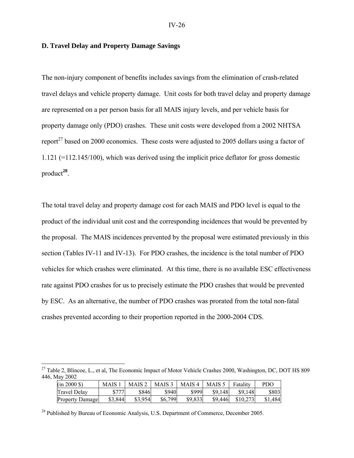### **D. Travel Delay and Property Damage Savings**

The non-injury component of benefits includes savings from the elimination of crash-related travel delays and vehicle property damage. Unit costs for both travel delay and property damage are represented on a per person basis for all MAIS injury levels, and per vehicle basis for property damage only (PDO) crashes. These unit costs were developed from a 2002 NHTSA report<sup>27</sup> based on 2000 economics. These costs were adjusted to 2005 dollars using a factor of 1.121 (=112.145/100), which was derived using the implicit price deflator for gross domestic product**<sup>28</sup>**.

The total travel delay and property damage cost for each MAIS and PDO level is equal to the product of the individual unit cost and the corresponding incidences that would be prevented by the proposal. The MAIS incidences prevented by the proposal were estimated previously in this section (Tables IV-11 and IV-13). For PDO crashes, the incidence is the total number of PDO vehicles for which crashes were eliminated. At this time, there is no available ESC effectiveness rate against PDO crashes for us to precisely estimate the PDO crashes that would be prevented by ESC. As an alternative, the number of PDO crashes was prorated from the total non-fatal crashes prevented according to their proportion reported in the 2000-2004 CDS.

<sup>&</sup>lt;sup>27</sup> Table 2, Blincoe, L., et al, The Economic Impact of Motor Vehicle Crashes 2000, Washington, DC, DOT HS 809 446, May 2002

| $(in 2000 \text{ } $)$ | <b>MAIS</b> | MAIS $\angle$ | MAIS <sub>3</sub> | MAIS <sub>4</sub> | MAIS .  | Fatality | <b>PDO</b> |
|------------------------|-------------|---------------|-------------------|-------------------|---------|----------|------------|
| Travel Delav           |             | \$846         | \$940             | \$999             | \$9.148 | \$9.148  | \$803      |
| <b>Property Damage</b> | \$3,844     | \$3,954       | \$6,799           | \$9,833           | \$9.446 | \$10.273 | 484        |

<sup>28</sup> Published by Bureau of Economic Analysis, U.S. Department of Commerce, December 2005.

1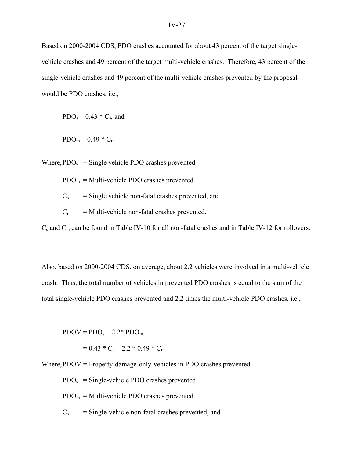Based on 2000-2004 CDS, PDO crashes accounted for about 43 percent of the target singlevehicle crashes and 49 percent of the target multi-vehicle crashes. Therefore, 43 percent of the single-vehicle crashes and 49 percent of the multi-vehicle crashes prevented by the proposal would be PDO crashes, i.e.,

 $PDO<sub>s</sub> = 0.43 * C<sub>s</sub>$ , and

 $PDO<sub>m</sub> = 0.49 * C<sub>m</sub>$ 

Where,  $PDO<sub>s</sub> = Single vehicle PDO crashes prevented$ 

 $PDO<sub>m</sub> = Multi-vehicle PDO crashes prevented$ 

 $C_s$  = Single vehicle non-fatal crashes prevented, and

 $C_m$  = Multi-vehicle non-fatal crashes prevented.

 $C_s$  and  $C_m$  can be found in Table IV-10 for all non-fatal crashes and in Table IV-12 for rollovers.

Also, based on 2000-2004 CDS, on average, about 2.2 vehicles were involved in a multi-vehicle crash. Thus, the total number of vehicles in prevented PDO crashes is equal to the sum of the total single-vehicle PDO crashes prevented and 2.2 times the multi-vehicle PDO crashes, i.e.,

 $\text{PDOV} = \text{PDO}_s + 2.2^* \text{PDO}_m$ 

 $= 0.43 * C_s + 2.2 * 0.49 * C_m$ 

Where, PDOV = Property-damage-only-vehicles in PDO crashes prevented

 $PDO<sub>s</sub> = Single-vehicle PDO crashes prevented$ 

 $PDO<sub>m</sub> = Multi-vehicle PDO crashes prevented$ 

 $C_s$  = Single-vehicle non-fatal crashes prevented, and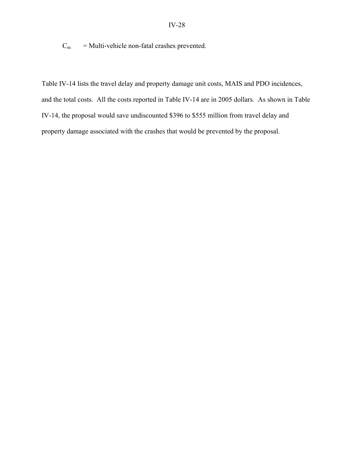$C_m$  = Multi-vehicle non-fatal crashes prevented.

Table IV-14 lists the travel delay and property damage unit costs, MAIS and PDO incidences, and the total costs. All the costs reported in Table IV-14 are in 2005 dollars. As shown in Table IV-14, the proposal would save undiscounted \$396 to \$555 million from travel delay and property damage associated with the crashes that would be prevented by the proposal.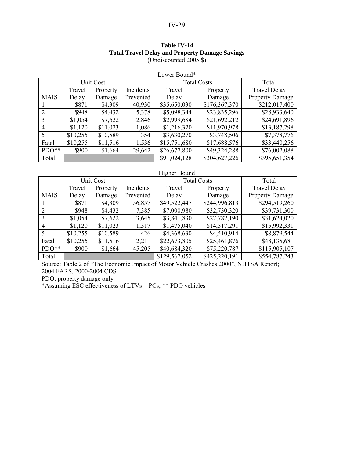### IV-29

### **Table IV-14 Total Travel Delay and Property Damage Savings**  (Undiscounted 2005 \$)

|             |           |          |           | LOWEI DOUILLET     |               |                     |
|-------------|-----------|----------|-----------|--------------------|---------------|---------------------|
|             | Unit Cost |          |           | <b>Total Costs</b> |               | Total               |
|             | Travel    | Property | Incidents | Travel             | Property      | <b>Travel Delay</b> |
| <b>MAIS</b> | Delay     | Damage   | Prevented | Delay              | Damage        | +Property Damage    |
|             | \$871     | \$4,309  | 40,930    | \$35,650,030       | \$176,367,370 | \$212,017,400       |
| 2           | \$948     | \$4,432  | 5,378     | \$5,098,344        | \$23,835,296  | \$28,933,640        |
| 3           | \$1,054   | \$7,622  | 2,846     | \$2,999,684        | \$21,692,212  | \$24,691,896        |
| 4           | \$1,120   | \$11,023 | 1,086     | \$1,216,320        | \$11,970,978  | \$13,187,298        |
|             | \$10,255  | \$10,589 | 354       | \$3,630,270        | \$3,748,506   | \$7,378,776         |
| Fatal       | \$10,255  | \$11,516 | 1,536     | \$15,751,680       | \$17,688,576  | \$33,440,256        |
| $PDO**$     | \$900     | \$1,664  | 29,642    | \$26,677,800       | \$49,324,288  | \$76,002,088        |
| Total       |           |          |           | \$91,024,128       | \$304,627,226 | \$395,651,354       |

Lower Bound\*

#### Higher Bound

|             |          | Unit Cost |           | <b>Total Costs</b> |               | Total               |
|-------------|----------|-----------|-----------|--------------------|---------------|---------------------|
|             | Travel   | Property  | Incidents | Travel             | Property      | <b>Travel Delay</b> |
| <b>MAIS</b> | Delay    | Damage    | Prevented | Delay              | Damage        | +Property Damage    |
|             | \$871    | \$4,309   | 56,857    | \$49,522,447       | \$244,996,813 | \$294,519,260       |
| 2           | \$948    | \$4,432   | 7,385     | \$7,000,980        | \$32,730,320  | \$39,731,300        |
| 3           | \$1,054  | \$7,622   | 3,645     | \$3,841,830        | \$27,782,190  | \$31,624,020        |
| 4           | \$1,120  | \$11,023  | 1,317     | \$1,475,040        | \$14,517,291  | \$15,992,331        |
|             | \$10,255 | \$10,589  | 426       | \$4,368,630        | \$4,510,914   | \$8,879,544         |
| Fatal       | \$10,255 | \$11,516  | 2,211     | \$22,673,805       | \$25,461,876  | \$48,135,681        |
| $PDO**$     | \$900    | \$1,664   | 45,205    | \$40,684,320       | \$75,220,787  | \$115,905,107       |
| Total       |          |           |           | \$129,567,052      | \$425,220,191 | \$554,787,243       |

Source: Table 2 of "The Economic Impact of Motor Vehicle Crashes 2000", NHTSA Report; 2004 FARS, 2000-2004 CDS

PDO: property damage only

\*Assuming ESC effectiveness of LTVs = PCs; \*\* PDO vehicles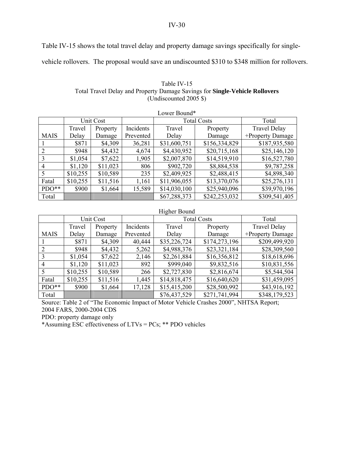IV-30

Table IV-15 shows the total travel delay and property damage savings specifically for single-

vehicle rollovers. The proposal would save an undiscounted \$310 to \$348 million for rollovers.

| Table IV-15                                                                 |
|-----------------------------------------------------------------------------|
| Total Travel Delay and Property Damage Savings for Single-Vehicle Rollovers |
| (Undiscounted 2005 $\})$ )                                                  |

| Lower Bound* |          |           |           |                    |               |                     |
|--------------|----------|-----------|-----------|--------------------|---------------|---------------------|
|              |          | Unit Cost |           | <b>Total Costs</b> |               | Total               |
|              | Travel   | Property  | Incidents | Travel             | Property      | <b>Travel Delay</b> |
| <b>MAIS</b>  | Delay    | Damage    | Prevented | Delay              | Damage        | +Property Damage    |
|              | \$871    | \$4,309   | 36,281    | \$31,600,751       | \$156,334,829 | \$187,935,580       |
| 2            | \$948    | \$4,432   | 4,674     | \$4,430,952        | \$20,715,168  | \$25,146,120        |
| 3            | \$1,054  | \$7,622   | 1,905     | \$2,007,870        | \$14,519,910  | \$16,527,780        |
| 4            | \$1,120  | \$11,023  | 806       | \$902,720          | \$8,884,538   | \$9,787,258         |
|              | \$10,255 | \$10,589  | 235       | \$2,409,925        | \$2,488,415   | \$4,898,340         |
| Fatal        | \$10,255 | \$11,516  | 1,161     | \$11,906,055       | \$13,370,076  | \$25,276,131        |
| $PDO**$      | \$900    | \$1,664   | 15,589    | \$14,030,100       | \$25,940,096  | \$39,970,196        |
| Total        |          |           |           | \$67,288,373       | \$242,253,032 | \$309,541,405       |

## Higher Bound

|                |          | Unit Cost |           | <b>Total Costs</b> |               | Total               |
|----------------|----------|-----------|-----------|--------------------|---------------|---------------------|
|                | Travel   | Property  | Incidents | Travel             | Property      | <b>Travel Delay</b> |
| <b>MAIS</b>    | Delay    | Damage    | Prevented | Delay              | Damage        | +Property Damage    |
|                | \$871    | \$4,309   | 40,444    | \$35,226,724       | \$174,273,196 | \$209,499,920       |
|                | \$948    | \$4,432   | 5,262     | \$4,988,376        | \$23,321,184  | \$28,309,560        |
| 3              | \$1,054  | \$7,622   | 2,146     | \$2,261,884        | \$16,356,812  | \$18,618,696        |
| $\overline{4}$ | \$1,120  | \$11,023  | 892       | \$999,040          | \$9,832,516   | \$10,831,556        |
| 5              | \$10,255 | \$10,589  | 266       | \$2,727,830        | \$2,816,674   | \$5,544,504         |
| Fatal          | \$10,255 | \$11,516  | 1,445     | \$14,818,475       | \$16,640,620  | \$31,459,095        |
| $PDO**$        | \$900    | \$1,664   | 17,128    | \$15,415,200       | \$28,500,992  | \$43,916,192        |
| Total          |          |           |           | \$76,437,529       | \$271,741,994 | \$348,179,523       |

Source: Table 2 of "The Economic Impact of Motor Vehicle Crashes 2000", NHTSA Report; 2004 FARS, 2000-2004 CDS

PDO: property damage only

\*Assuming ESC effectiveness of LTVs = PCs; \*\* PDO vehicles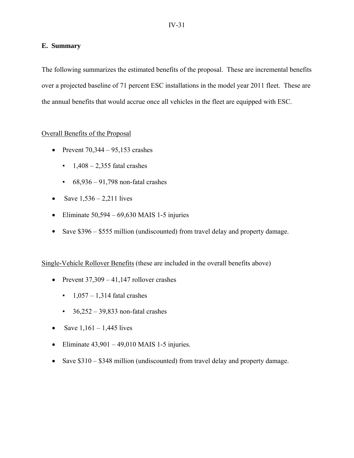### **E. Summary**

The following summarizes the estimated benefits of the proposal. These are incremental benefits over a projected baseline of 71 percent ESC installations in the model year 2011 fleet. These are the annual benefits that would accrue once all vehicles in the fleet are equipped with ESC.

## Overall Benefits of the Proposal

- Prevent  $70,344 95,153$  crashes
	- $\blacksquare$  1,408 2,355 fatal crashes
	- $\cdot$  68,936 91,798 non-fatal crashes
- Save  $1,536 2,211$  lives
- Eliminate  $50,594 69,630$  MAIS 1-5 injuries
- Save \$396 \$555 million (undiscounted) from travel delay and property damage.

## Single-Vehicle Rollover Benefits (these are included in the overall benefits above)

- Prevent  $37,309 41,147$  rollover crashes
	- $\cdot$  1,057 1,314 fatal crashes
	- $\cdot$  36,252 39,833 non-fatal crashes
- Save  $1,161 1,445$  lives
- Eliminate  $43,901 49,010$  MAIS 1-5 injuries.
- Save \$310 \$348 million (undiscounted) from travel delay and property damage.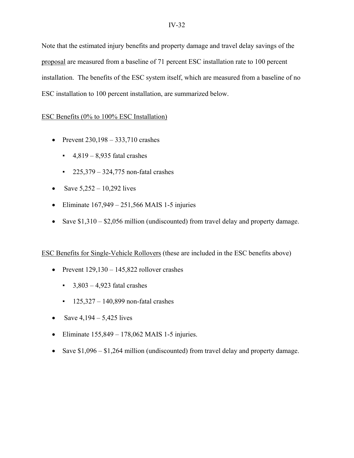Note that the estimated injury benefits and property damage and travel delay savings of the proposal are measured from a baseline of 71 percent ESC installation rate to 100 percent installation. The benefits of the ESC system itself, which are measured from a baseline of no ESC installation to 100 percent installation, are summarized below.

# ESC Benefits (0% to 100% ESC Installation)

- Prevent  $230,198 333,710$  crashes
	- $\cdot$  4,819 8,935 fatal crashes
	- $\cdot$  225,379 324,775 non-fatal crashes
- Save  $5,252 10,292$  lives
- Eliminate  $167.949 251.566$  MAIS 1-5 injuries
- Save \$1,310 \$2,056 million (undiscounted) from travel delay and property damage.

## ESC Benefits for Single-Vehicle Rollovers (these are included in the ESC benefits above)

- Prevent  $129,130 145,822$  rollover crashes
	- $\cdot$  3,803 4,923 fatal crashes
	- $\cdot$  125,327 140,899 non-fatal crashes
- Save  $4,194 5,425$  lives
- Eliminate  $155,849 178,062$  MAIS 1-5 injuries.
- Save \$1,096 \$1,264 million (undiscounted) from travel delay and property damage.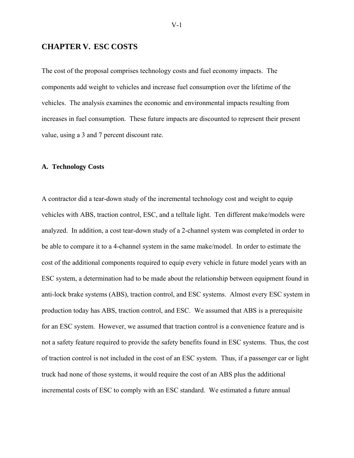### **CHAPTER V. ESC COSTS**

The cost of the proposal comprises technology costs and fuel economy impacts. The components add weight to vehicles and increase fuel consumption over the lifetime of the vehicles. The analysis examines the economic and environmental impacts resulting from increases in fuel consumption. These future impacts are discounted to represent their present value, using a 3 and 7 percent discount rate.

### **A. Technology Costs**

A contractor did a tear-down study of the incremental technology cost and weight to equip vehicles with ABS, traction control, ESC, and a telltale light. Ten different make/models were analyzed. In addition, a cost tear-down study of a 2-channel system was completed in order to be able to compare it to a 4-channel system in the same make/model. In order to estimate the cost of the additional components required to equip every vehicle in future model years with an ESC system, a determination had to be made about the relationship between equipment found in anti-lock brake systems (ABS), traction control, and ESC systems. Almost every ESC system in production today has ABS, traction control, and ESC. We assumed that ABS is a prerequisite for an ESC system. However, we assumed that traction control is a convenience feature and is not a safety feature required to provide the safety benefits found in ESC systems. Thus, the cost of traction control is not included in the cost of an ESC system. Thus, if a passenger car or light truck had none of those systems, it would require the cost of an ABS plus the additional incremental costs of ESC to comply with an ESC standard. We estimated a future annual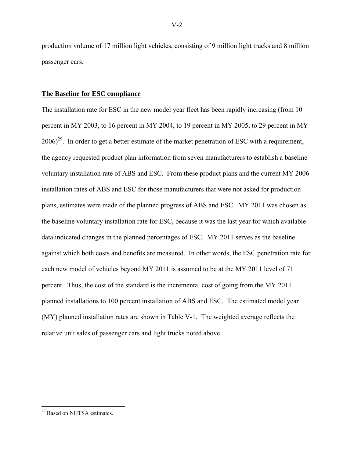production volume of 17 million light vehicles, consisting of 9 million light trucks and 8 million passenger cars.

#### **The Baseline for ESC compliance**

The installation rate for ESC in the new model year fleet has been rapidly increasing (from 10 percent in MY 2003, to 16 percent in MY 2004, to 19 percent in MY 2005, to 29 percent in MY  $2006)^{29}$ . In order to get a better estimate of the market penetration of ESC with a requirement, the agency requested product plan information from seven manufacturers to establish a baseline voluntary installation rate of ABS and ESC. From these product plans and the current MY 2006 installation rates of ABS and ESC for those manufacturers that were not asked for production plans, estimates were made of the planned progress of ABS and ESC. MY 2011 was chosen as the baseline voluntary installation rate for ESC, because it was the last year for which available data indicated changes in the planned percentages of ESC. MY 2011 serves as the baseline against which both costs and benefits are measured. In other words, the ESC penetration rate for each new model of vehicles beyond MY 2011 is assumed to be at the MY 2011 level of 71 percent. Thus, the cost of the standard is the incremental cost of going from the MY 2011 planned installations to 100 percent installation of ABS and ESC. The estimated model year (MY) planned installation rates are shown in Table V-1. The weighted average reflects the relative unit sales of passenger cars and light trucks noted above.

 $\overline{a}$ 

<sup>&</sup>lt;sup>29</sup> Based on NHTSA estimates.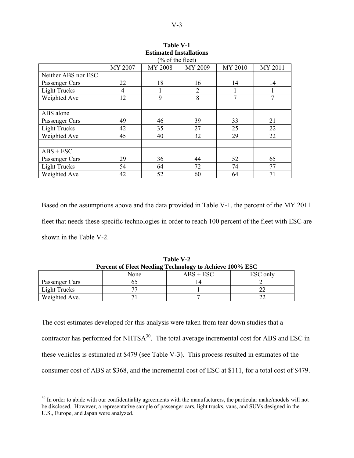| % of the fleet)     |         |         |                |         |         |
|---------------------|---------|---------|----------------|---------|---------|
|                     | MY 2007 | MY 2008 | MY 2009        | MY 2010 | MY 2011 |
| Neither ABS nor ESC |         |         |                |         |         |
| Passenger Cars      | 22      | 18      | 16             | 14      | 14      |
| <b>Light Trucks</b> | 4       |         | $\overline{2}$ |         |         |
| Weighted Ave        | 12      | 9       | 8              | 7       | 7       |
|                     |         |         |                |         |         |
| ABS alone           |         |         |                |         |         |
| Passenger Cars      | 49      | 46      | 39             | 33      | 21      |
| <b>Light Trucks</b> | 42      | 35      | 27             | 25      | 22      |
| Weighted Ave        | 45      | 40      | 32             | 29      | 22      |
|                     |         |         |                |         |         |
| $ABS + ESC$         |         |         |                |         |         |
| Passenger Cars      | 29      | 36      | 44             | 52      | 65      |
| <b>Light Trucks</b> | 54      | 64      | 72             | 74      | 77      |
| Weighted Ave        | 42      | 52      | 60             | 64      | 71      |

| <b>Table V-1</b>               |  |  |  |  |  |
|--------------------------------|--|--|--|--|--|
| <b>Estimated Installations</b> |  |  |  |  |  |
| $(0/$ of the floot             |  |  |  |  |  |

Based on the assumptions above and the data provided in Table V-1, the percent of the MY 2011 fleet that needs these specific technologies in order to reach 100 percent of the fleet with ESC are shown in the Table V-2.

| Percent of Fleet Needing Technology to Achieve 100% ESC |      |             |          |  |  |  |
|---------------------------------------------------------|------|-------------|----------|--|--|--|
|                                                         | None | $ABS + ESC$ | ESC only |  |  |  |
| Passenger Cars                                          |      |             |          |  |  |  |
| Light Trucks                                            |      |             |          |  |  |  |
| Weighted Ave.                                           |      |             |          |  |  |  |

**Table V-2 Percent of Fleet Needing Technology to Achieve 100% ESC**

The cost estimates developed for this analysis were taken from tear down studies that a contractor has performed for  $NHTSA^{30}$ . The total average incremental cost for ABS and ESC in these vehicles is estimated at \$479 (see Table V-3). This process resulted in estimates of the consumer cost of ABS at \$368, and the incremental cost of ESC at \$111, for a total cost of \$479.

 $\overline{a}$ 

 $30$  In order to abide with our confidentiality agreements with the manufacturers, the particular make/models will not be disclosed. However, a representative sample of passenger cars, light trucks, vans, and SUVs designed in the U.S., Europe, and Japan were analyzed.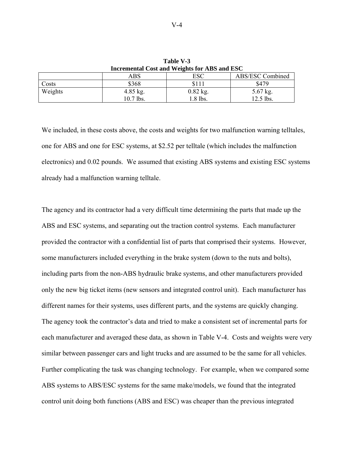| Incremental Cost and weights for ADS and ESC |             |            |                  |  |  |  |
|----------------------------------------------|-------------|------------|------------------|--|--|--|
|                                              | ABS         | ESC        | ABS/ESC Combined |  |  |  |
| Costs                                        | \$368       |            | \$479            |  |  |  |
| Weights                                      | $4.85$ kg.  | $0.82$ kg. | $5.67$ kg.       |  |  |  |
|                                              | $10.7$ lbs. | $.8$ lbs.  | $12.5$ lbs.      |  |  |  |

**Table V-3 Incremental Cost and Weights for ABS and ESC** 

We included, in these costs above, the costs and weights for two malfunction warning telltales, one for ABS and one for ESC systems, at \$2.52 per telltale (which includes the malfunction electronics) and 0.02 pounds. We assumed that existing ABS systems and existing ESC systems already had a malfunction warning telltale.

The agency and its contractor had a very difficult time determining the parts that made up the ABS and ESC systems, and separating out the traction control systems. Each manufacturer provided the contractor with a confidential list of parts that comprised their systems. However, some manufacturers included everything in the brake system (down to the nuts and bolts), including parts from the non-ABS hydraulic brake systems, and other manufacturers provided only the new big ticket items (new sensors and integrated control unit). Each manufacturer has different names for their systems, uses different parts, and the systems are quickly changing. The agency took the contractor's data and tried to make a consistent set of incremental parts for each manufacturer and averaged these data, as shown in Table V-4. Costs and weights were very similar between passenger cars and light trucks and are assumed to be the same for all vehicles. Further complicating the task was changing technology. For example, when we compared some ABS systems to ABS/ESC systems for the same make/models, we found that the integrated control unit doing both functions (ABS and ESC) was cheaper than the previous integrated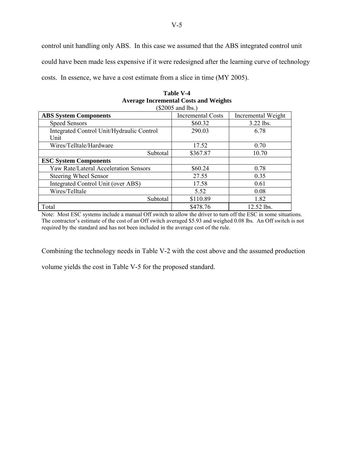control unit handling only ABS. In this case we assumed that the ABS integrated control unit could have been made less expensive if it were redesigned after the learning curve of technology costs. In essence, we have a cost estimate from a slice in time (MY 2005).

| $(\$2005$ and lbs.)                       |                          |                    |  |  |  |
|-------------------------------------------|--------------------------|--------------------|--|--|--|
| <b>ABS System Components</b>              | <b>Incremental Costs</b> | Incremental Weight |  |  |  |
| <b>Speed Sensors</b>                      | \$60.32                  | 3.22 lbs.          |  |  |  |
| Integrated Control Unit/Hydraulic Control | 290.03                   | 6.78               |  |  |  |
| Unit                                      |                          |                    |  |  |  |
| Wires/Telltale/Hardware                   | 17.52                    | 0.70               |  |  |  |
| Subtotal                                  | \$367.87                 | 10.70              |  |  |  |
| <b>ESC System Components</b>              |                          |                    |  |  |  |
| Yaw Rate/Lateral Acceleration Sensors     | \$60.24                  | 0.78               |  |  |  |
| Steering Wheel Sensor                     | 27.55                    | 0.35               |  |  |  |
| Integrated Control Unit (over ABS)        | 17.58                    | 0.61               |  |  |  |
| Wires/Telltale                            | 5.52                     | 0.08               |  |  |  |
| Subtotal                                  | \$110.89                 | 1.82               |  |  |  |
| Total                                     | \$478.76                 | 12.52 lbs.         |  |  |  |

| <b>Table V-4</b>                             |
|----------------------------------------------|
| <b>Average Incremental Costs and Weights</b> |
| (0.0005, 0.010)                              |

Note: Most ESC systems include a manual Off switch to allow the driver to turn off the ESC in some situations. The contractor's estimate of the cost of an Off switch averaged \$5.93 and weighed 0.08 lbs. An Off switch is not required by the standard and has not been included in the average cost of the rule.

Combining the technology needs in Table V-2 with the cost above and the assumed production

volume yields the cost in Table V-5 for the proposed standard.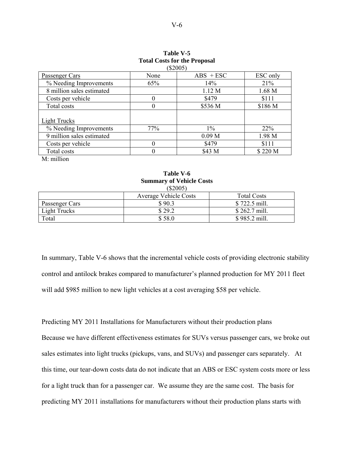|                           | $(\$2005)$ |                   |          |
|---------------------------|------------|-------------------|----------|
| Passenger Cars            | None       | $ABS + ESC$       | ESC only |
| % Needing Improvements    | 65%        | 14%               | 21%      |
| 8 million sales estimated |            | 1.12 M            | 1.68 M   |
| Costs per vehicle         | $\theta$   | \$479             | \$111    |
| Total costs               | $\theta$   | \$536 M           | \$186 M  |
| Light Trucks              |            |                   |          |
| % Needing Improvements    | 77%        | $1\%$             | $22\%$   |
| 9 million sales estimated |            | 0.09 <sub>M</sub> | 1.98 M   |
| Costs per vehicle         | 0          | \$479             | \$111    |
| Total costs               | 0          | \$43 M            | \$220 M  |
| $M \cdot$ million         |            |                   |          |

# **Table V-5 Total Costs for the Proposal**

**Table V-6 Summary of Vehicle Costs** 

|                     | \$2005                       |                    |
|---------------------|------------------------------|--------------------|
|                     | <b>Average Vehicle Costs</b> | <b>Total Costs</b> |
| Passenger Cars      | \$90.3                       | \$722.5 mill.      |
| <b>Light Trucks</b> | \$29.2                       | \$262.7 mill.      |
| Total               | \$58.0                       | \$985.2 mill.      |

In summary, Table V-6 shows that the incremental vehicle costs of providing electronic stability control and antilock brakes compared to manufacturer's planned production for MY 2011 fleet will add \$985 million to new light vehicles at a cost averaging \$58 per vehicle.

Predicting MY 2011 Installations for Manufacturers without their production plans Because we have different effectiveness estimates for SUVs versus passenger cars, we broke out sales estimates into light trucks (pickups, vans, and SUVs) and passenger cars separately. At this time, our tear-down costs data do not indicate that an ABS or ESC system costs more or less for a light truck than for a passenger car. We assume they are the same cost. The basis for predicting MY 2011 installations for manufacturers without their production plans starts with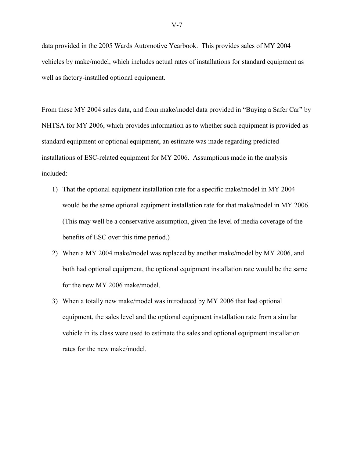data provided in the 2005 Wards Automotive Yearbook. This provides sales of MY 2004 vehicles by make/model, which includes actual rates of installations for standard equipment as well as factory-installed optional equipment.

From these MY 2004 sales data, and from make/model data provided in "Buying a Safer Car" by NHTSA for MY 2006, which provides information as to whether such equipment is provided as standard equipment or optional equipment, an estimate was made regarding predicted installations of ESC-related equipment for MY 2006. Assumptions made in the analysis included:

- 1) That the optional equipment installation rate for a specific make/model in MY 2004 would be the same optional equipment installation rate for that make/model in MY 2006. (This may well be a conservative assumption, given the level of media coverage of the benefits of ESC over this time period.)
- 2) When a MY 2004 make/model was replaced by another make/model by MY 2006, and both had optional equipment, the optional equipment installation rate would be the same for the new MY 2006 make/model.
- 3) When a totally new make/model was introduced by MY 2006 that had optional equipment, the sales level and the optional equipment installation rate from a similar vehicle in its class were used to estimate the sales and optional equipment installation rates for the new make/model.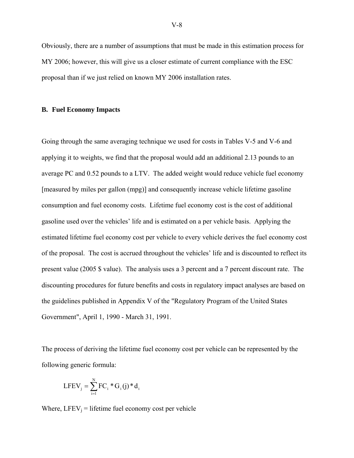Obviously, there are a number of assumptions that must be made in this estimation process for MY 2006; however, this will give us a closer estimate of current compliance with the ESC proposal than if we just relied on known MY 2006 installation rates.

#### **B. Fuel Economy Impacts**

Going through the same averaging technique we used for costs in Tables V-5 and V-6 and applying it to weights, we find that the proposal would add an additional 2.13 pounds to an average PC and 0.52 pounds to a LTV. The added weight would reduce vehicle fuel economy [measured by miles per gallon (mpg)] and consequently increase vehicle lifetime gasoline consumption and fuel economy costs. Lifetime fuel economy cost is the cost of additional gasoline used over the vehicles' life and is estimated on a per vehicle basis. Applying the estimated lifetime fuel economy cost per vehicle to every vehicle derives the fuel economy cost of the proposal. The cost is accrued throughout the vehicles' life and is discounted to reflect its present value (2005 \$ value). The analysis uses a 3 percent and a 7 percent discount rate. The discounting procedures for future benefits and costs in regulatory impact analyses are based on the guidelines published in Appendix V of the "Regulatory Program of the United States Government", April 1, 1990 - March 31, 1991.

The process of deriving the lifetime fuel economy cost per vehicle can be represented by the following generic formula:

$$
LFEV_j = \sum_{i=1}^{N} FC_i * G_i(j) * d_i
$$

Where,  $LFEV_i$  = lifetime fuel economy cost per vehicle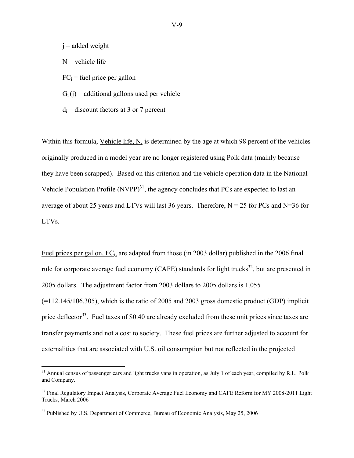$j =$  added weight  $N$  = vehicle life  $FC_i$  = fuel price per gallon  $G_i(i)$  = additional gallons used per vehicle  $d_i$  = discount factors at 3 or 7 percent

Within this formula, Vehicle life, N, is determined by the age at which 98 percent of the vehicles originally produced in a model year are no longer registered using Polk data (mainly because they have been scrapped). Based on this criterion and the vehicle operation data in the National Vehicle Population Profile  $(NVPP)^{31}$ , the agency concludes that PCs are expected to last an average of about 25 years and LTVs will last 36 years. Therefore,  $N = 25$  for PCs and N=36 for LTVs.

Fuel prices per gallon, FCi, are adapted from those (in 2003 dollar) published in the 2006 final rule for corporate average fuel economy (CAFE) standards for light trucks<sup>32</sup>, but are presented in 2005 dollars. The adjustment factor from 2003 dollars to 2005 dollars is 1.055  $(=112.145/106.305)$ , which is the ratio of 2005 and 2003 gross domestic product (GDP) implicit price deflector<sup>33</sup>. Fuel taxes of \$0.40 are already excluded from these unit prices since taxes are transfer payments and not a cost to society. These fuel prices are further adjusted to account for externalities that are associated with U.S. oil consumption but not reflected in the projected

 $\overline{a}$ 

 $31$  Annual census of passenger cars and light trucks vans in operation, as July 1 of each year, compiled by R.L. Polk and Company.

<sup>&</sup>lt;sup>32</sup> Final Regulatory Impact Analysis, Corporate Average Fuel Economy and CAFE Reform for MY 2008-2011 Light Trucks, March 2006

<sup>&</sup>lt;sup>33</sup> Published by U.S. Department of Commerce, Bureau of Economic Analysis, May 25, 2006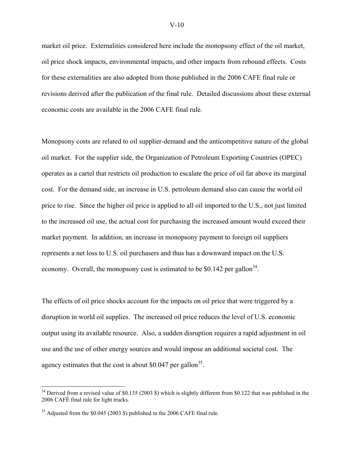market oil price. Externalities considered here include the monopsony effect of the oil market, oil price shock impacts, environmental impacts, and other impacts from rebound effects. Costs for these externalities are also adopted from those published in the 2006 CAFE final rule or revisions derived after the publication of the final rule. Detailed discussions about these external economic costs are available in the 2006 CAFE final rule.

Monopsony costs are related to oil supplier-demand and the anticompetitive nature of the global oil market. For the supplier side, the Organization of Petroleum Exporting Countries (OPEC) operates as a cartel that restricts oil production to escalate the price of oil far above its marginal cost. For the demand side, an increase in U.S. petroleum demand also can cause the world oil price to rise. Since the higher oil price is applied to all oil imported to the U.S., not just limited to the increased oil use, the actual cost for purchasing the increased amount would exceed their market payment. In addition, an increase in monopsony payment to foreign oil suppliers represents a net loss to U.S. oil purchasers and thus has a downward impact on the U.S. economy. Overall, the monopsony cost is estimated to be \$0.142 per gallon<sup>34</sup>.

The effects of oil price shocks account for the impacts on oil price that were triggered by a disruption in world oil supplies. The increased oil price reduces the level of U.S. economic output using its available resource. Also, a sudden disruption requires a rapid adjustment in oil use and the use of other energy sources and would impose an additional societal cost. The agency estimates that the cost is about \$0.047 per gallon<sup>35</sup>.

 $\overline{a}$ 

<sup>&</sup>lt;sup>34</sup> Derived from a revised value of \$0.135 (2003 \$) which is slightly different from \$0.122 that was published in the 2006 CAFÉ final rule for light trucks.

<sup>&</sup>lt;sup>35</sup> Adjusted from the \$0.045 (2003 \$) published in the 2006 CAFE final rule.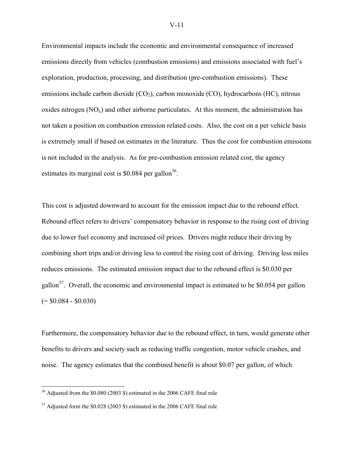Environmental impacts include the economic and environmental consequence of increased emissions directly from vehicles (combustion emissions) and emissions associated with fuel's exploration, production, processing, and distribution (pre-combustion emissions). These emissions include carbon dioxide  $(CO_2)$ , carbon monoxide  $(CO)$ , hydrocarbons  $(HC)$ , nitrous oxides nitrogen  $(NO_x)$  and other airborne particulates. At this moment, the administration has not taken a position on combustion emission related costs. Also, the cost on a per vehicle basis is extremely small if based on estimates in the literature. Thus the cost for combustion emissions is not included in the analysis. As for pre-combustion emission related cost, the agency estimates its marginal cost is  $$0.084$  per gallon<sup>36</sup>.

This cost is adjusted downward to account for the emission impact due to the rebound effect. Rebound effect refers to drivers' compensatory behavior in response to the rising cost of driving due to lower fuel economy and increased oil prices. Drivers might reduce their driving by combining short trips and/or driving less to control the rising cost of driving. Driving less miles reduces emissions. The estimated emission impact due to the rebound effect is \$0.030 per gallon<sup>37</sup>. Overall, the economic and environmental impact is estimated to be \$0.054 per gallon  $(= $0.084 - $0.030)$ 

Furthermore, the compensatory behavior due to the rebound effect, in turn, would generate other benefits to drivers and society such as reducing traffic congestion, motor vehicle crashes, and noise. The agency estimates that the combined benefit is about \$0.07 per gallon, of which

<u>.</u>

 $36$  Adjusted from the \$0.080 (2003 \$) estimated in the 2006 CAFE final rule

<sup>&</sup>lt;sup>37</sup> Adjusted form the \$0.028 (2003 \$) estimated in the 2006 CAFE final rule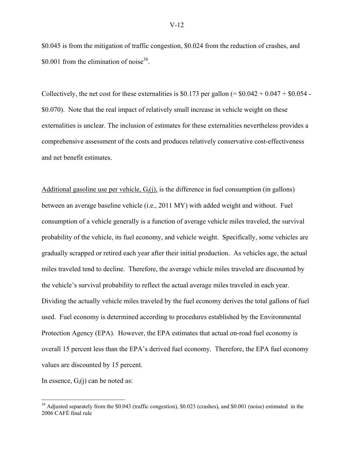\$0.045 is from the mitigation of traffic congestion, \$0.024 from the reduction of crashes, and  $$0.001$  from the elimination of noise<sup>38</sup>.

Collectively, the net cost for these externalities is \$0.173 per gallon (=  $$0.042 + 0.047 + $0.054$ ) \$0.070). Note that the real impact of relatively small increase in vehicle weight on these externalities is unclear. The inclusion of estimates for these externalities nevertheless provides a comprehensive assessment of the costs and produces relatively conservative cost-effectiveness and net benefit estimates.

Additional gasoline use per vehicle,  $G_i(i)$ , is the difference in fuel consumption (in gallons) between an average baseline vehicle (i.e., 2011 MY) with added weight and without. Fuel consumption of a vehicle generally is a function of average vehicle miles traveled, the survival probability of the vehicle, its fuel economy, and vehicle weight. Specifically, some vehicles are gradually scrapped or retired each year after their initial production. As vehicles age, the actual miles traveled tend to decline. Therefore, the average vehicle miles traveled are discounted by the vehicle's survival probability to reflect the actual average miles traveled in each year. Dividing the actually vehicle miles traveled by the fuel economy derives the total gallons of fuel used. Fuel economy is determined according to procedures established by the Environmental Protection Agency (EPA). However, the EPA estimates that actual on-road fuel economy is overall 15 percent less than the EPA's derived fuel economy. Therefore, the EPA fuel economy values are discounted by 15 percent.

In essence,  $G_i(i)$  can be noted as:

1

<sup>&</sup>lt;sup>38</sup> Adjusted separately from the \$0.043 (traffic congestion), \$0.023 (crashes), and \$0.001 (noise) estimated in the 2006 CAFÉ final rule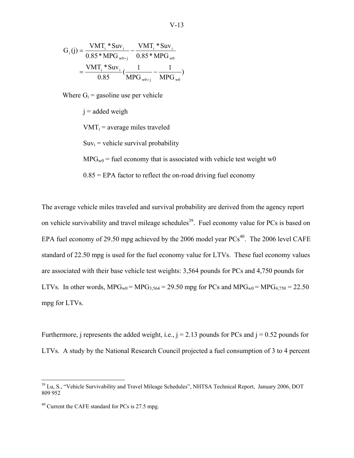$$
G_{i}(j) = \frac{VMT_{i} * Suv_{i}}{0.85 * MPG_{w0+j}} - \frac{VMT_{i} * Suv_{i}}{0.85 * MPG_{w0}}
$$

$$
= \frac{VMT_{i} * Suv_{i}}{0.85} (\frac{1}{MPG_{w0+j}} - \frac{1}{MPG_{w0}})
$$

Where  $G_i$  = gasoline use per vehicle

 $j =$ added weigh

 $VMT_i$  = average miles traveled

 $Suv_i$  = vehicle survival probability

 $MPG<sub>w0</sub>$  = fuel economy that is associated with vehicle test weight w0

 $0.85$  = EPA factor to reflect the on-road driving fuel economy

The average vehicle miles traveled and survival probability are derived from the agency report on vehicle survivability and travel mileage schedules<sup>39</sup>. Fuel economy value for PCs is based on EPA fuel economy of 29.50 mpg achieved by the 2006 model year  $PCs^{40}$ . The 2006 level CAFE standard of 22.50 mpg is used for the fuel economy value for LTVs. These fuel economy values are associated with their base vehicle test weights: 3,564 pounds for PCs and 4,750 pounds for LTVs. In other words,  $MPG_{w0} = MPG_{3,564} = 29.50$  mpg for PCs and  $MPG_{w0} = MPG_{4,750} = 22.50$ mpg for LTVs.

Furthermore, j represents the added weight, i.e.,  $j = 2.13$  pounds for PCs and  $j = 0.52$  pounds for LTVs. A study by the National Research Council projected a fuel consumption of 3 to 4 percent

 $\overline{a}$ 

<sup>&</sup>lt;sup>39</sup> Lu, S., "Vehicle Survivability and Travel Mileage Schedules", NHTSA Technical Report, January 2006, DOT 809 952

 $40$  Current the CAFE standard for PCs is 27.5 mpg.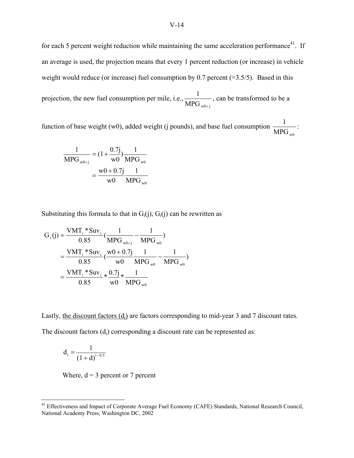for each 5 percent weight reduction while maintaining the same acceleration performance<sup>41</sup>. If an average is used, the projection means that every 1 percent reduction (or increase) in vehicle weight would reduce (or increase) fuel consumption by 0.7 percent  $(=3.5/5)$ . Based in this projection, the new fuel consumption per mile, i.e.,  $\frac{1}{\text{MPG}_{w0+j}}$ + , can be transformed to be a

function of base weight (w0), added weight (j pounds), and base fuel consumption  $\frac{1}{MPG_w}$ :

$$
\frac{1}{\text{MPG}_{w0+j}} = (1 + \frac{0.7j}{w0}) \frac{1}{\text{MPG}_{w0}}
$$

$$
= \frac{w0 + 0.7j}{w0} \frac{1}{\text{MPG}_{w0}}
$$

Substituting this formula to that in  $G_i(i)$ ,  $G_i(i)$  can be rewritten as

$$
G_{i}(j) = \frac{VMT_{i} * Suv_{i}}{0.85} \left( \frac{1}{MPG_{w0+j}} - \frac{1}{MPG_{w0}} \right)
$$
  
= 
$$
\frac{VMT_{i} * Suv_{i}}{0.85} \left( \frac{w0 + 0.7j}{w0} \frac{1}{MPG_{w0}} - \frac{1}{MPG_{w0}} \right)
$$
  
= 
$$
\frac{VMT_{i} * Suv_{i}}{0.85} * \frac{0.7j}{w0} * \frac{1}{MPG_{w0}}
$$

Lastly, the discount factors (d<sub>i</sub>) are factors corresponding to mid-year 3 and 7 discount rates.

The discount factors  $(d<sub>i</sub>)$  corresponding a discount rate can be represented as:

$$
d_i = \frac{1}{(1+d)^{i-0.5}}
$$

 $\overline{a}$ 

Where,  $d = 3$  percent or 7 percent

<sup>&</sup>lt;sup>41</sup> Effectiveness and Impact of Corporate Average Fuel Economy (CAFE) Standards, National Research Council, National Academy Press, Washington DC, 2002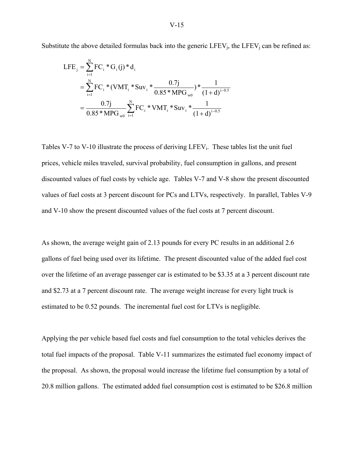Substitute the above detailed formulas back into the generic  $LEV_i$ , the  $LEV_i$  can be refined as:

$$
LFE_{j} = \sum_{i=1}^{N} FC_{i} * G_{i}(j) * d_{i}
$$
  
= 
$$
\sum_{i=1}^{N} FC_{i} * (VMT_{i} * Suv_{i} * \frac{0.7j}{0.85 * MPG_{w0}}) * \frac{1}{(1+d)^{i-0.5}}
$$
  
= 
$$
\frac{0.7j}{0.85 * MPG_{w0}} \sum_{i=1}^{N} FC_{i} * VMT_{i} * Suv_{i} * \frac{1}{(1+d)^{i-0.5}}
$$

Tables V-7 to V-10 illustrate the process of deriving  $LEV_i$ . These tables list the unit fuel prices, vehicle miles traveled, survival probability, fuel consumption in gallons, and present discounted values of fuel costs by vehicle age. Tables V-7 and V-8 show the present discounted values of fuel costs at 3 percent discount for PCs and LTVs, respectively. In parallel, Tables V-9 and V-10 show the present discounted values of the fuel costs at 7 percent discount.

As shown, the average weight gain of 2.13 pounds for every PC results in an additional 2.6 gallons of fuel being used over its lifetime. The present discounted value of the added fuel cost over the lifetime of an average passenger car is estimated to be \$3.35 at a 3 percent discount rate and \$2.73 at a 7 percent discount rate. The average weight increase for every light truck is estimated to be 0.52 pounds. The incremental fuel cost for LTVs is negligible.

Applying the per vehicle based fuel costs and fuel consumption to the total vehicles derives the total fuel impacts of the proposal. Table V-11 summarizes the estimated fuel economy impact of the proposal. As shown, the proposal would increase the lifetime fuel consumption by a total of 20.8 million gallons. The estimated added fuel consumption cost is estimated to be \$26.8 million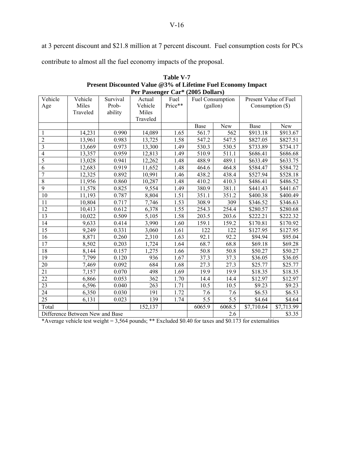at 3 percent discount and \$21.8 million at 7 percent discount. Fuel consumption costs for PCs

contribute to almost all the fuel economy impacts of the proposal.

|                 | Per Passenger Car* (2005 Dollars) |          |          |         |                  |                  |                       |            |  |  |  |
|-----------------|-----------------------------------|----------|----------|---------|------------------|------------------|-----------------------|------------|--|--|--|
| Vehicle         | Vehicle                           | Survival | Actual   | Fuel    | Fuel Consumption |                  | Present Value of Fuel |            |  |  |  |
| Age             | Miles                             | Prob-    | Vehicle  | Price** | (gallon)         |                  | Consumption $(\$)$    |            |  |  |  |
|                 | Traveled                          | ability  | Miles    |         |                  |                  |                       |            |  |  |  |
|                 |                                   |          | Traveled |         |                  |                  |                       |            |  |  |  |
|                 |                                   |          |          |         | Base             | New              | Base                  | New        |  |  |  |
| 1               | 14,231                            | 0.990    | 14,089   | 1.65    | 561.7            | 562              | \$913.18              | \$913.67   |  |  |  |
| $\overline{2}$  | 13,961                            | 0.983    | 13,725   | 1.58    | 547.2            | 547.5            | \$827.05              | \$827.51   |  |  |  |
| 3               | 13,669                            | 0.973    | 13,300   | 1.49    | 530.3            | 530.5            | \$733.89              | \$734.17   |  |  |  |
| $\overline{4}$  | 13,357                            | 0.959    | 12,813   | 1.49    | 510.9            | 511.1            | \$686.41              | \$686.68   |  |  |  |
| 5               | 13,028                            | 0.941    | 12,262   | 1.48    | 488.9            | 489.1            | \$633.49              | \$633.75   |  |  |  |
| 6               | 12,683                            | 0.919    | 11,652   | 1.48    | 464.6            | 464.8            | \$584.47              | \$584.72   |  |  |  |
| $\sqrt{ }$      | 12,325                            | 0.892    | 10,991   | 1.46    | 438.2            | 438.4            | \$527.94              | \$528.18   |  |  |  |
| $\overline{8}$  | 11,956                            | 0.860    | 10,287   | 1.48    | 410.2            | 410.3            | \$486.41              | \$486.52   |  |  |  |
| $\overline{9}$  | 11,578                            | 0.825    | 9,554    | 1.49    | 380.9            | 381.1            | \$441.43              | \$441.67   |  |  |  |
| 10              | 11,193                            | 0.787    | 8,804    | 1.51    | 351.1            | 351.2            | \$400.38              | \$400.49   |  |  |  |
| 11              | 10,804                            | 0.717    | 7,746    | 1.53    | 308.9            | 309              | \$346.52              | \$346.63   |  |  |  |
| 12              | 10,413                            | 0.612    | 6,378    | 1.55    | 254.3            | 254.4            | \$280.57              | \$280.68   |  |  |  |
| 13              | 10,022                            | 0.509    | 5,105    | 1.58    | 203.5            | 203.6            | \$222.21              | \$222.32   |  |  |  |
| 14              | 9,633                             | 0.414    | 3,990    | 1.60    | 159.1            | 159.2            | \$170.81              | \$170.92   |  |  |  |
| 15              | 9,249                             | 0.331    | 3,060    | 1.61    | 122              | 122              | \$127.95              | \$127.95   |  |  |  |
| 16              | 8,871                             | 0.260    | 2,310    | 1.63    | 92.1             | 92.2             | \$94.94               | \$95.04    |  |  |  |
| 17              | 8,502                             | 0.203    | 1,724    | 1.64    | 68.7             | 68.8             | \$69.18               | \$69.28    |  |  |  |
| $\overline{18}$ | 8,144                             | 0.157    | 1,275    | 1.66    | 50.8             | 50.8             | \$50.27               | \$50.27    |  |  |  |
| 19              | 7,799                             | 0.120    | 936      | 1.67    | 37.3             | 37.3             | \$36.05               | \$36.05    |  |  |  |
| 20              | 7,469                             | 0.092    | 684      | 1.68    | 27.3             | 27.3             | \$25.77               | \$25.77    |  |  |  |
| 21              | 7,157                             | 0.070    | 498      | 1.69    | 19.9             | 19.9             | \$18.35               | \$18.35    |  |  |  |
| $\overline{22}$ | 6,866                             | 0.053    | 362      | 1.70    | 14.4             | 14.4             | \$12.97               | \$12.97    |  |  |  |
| 23              | 6,596                             | 0.040    | 263      | 1.71    | 10.5             | 10.5             | \$9.23                | \$9.23     |  |  |  |
| 24              | 6,350                             | 0.030    | 191      | 1.72    | 7.6              | 7.6              | $\overline{$}6.53$    | \$6.53     |  |  |  |
| $\overline{25}$ | 6,131                             | 0.023    | 139      | 1.74    | $\overline{5.5}$ | $\overline{5.5}$ | \$4.64                | \$4.64     |  |  |  |
| Total           |                                   |          | 152,137  |         | 6065.9           | 6068.5           | \$7,710.64            | \$7,713.99 |  |  |  |
|                 | Difference Between New and Base   |          |          | 2.6     |                  | \$3.35           |                       |            |  |  |  |

| Table V-7                                                    |
|--------------------------------------------------------------|
| Present Discounted Value @3% of Lifetime Fuel Economy Impact |
| Per Passenger Car* (2005 Dollars)                            |

\*Average vehicle test weight = 3,564 pounds; \*\* Excluded \$0.40 for taxes and \$0.173 for externalities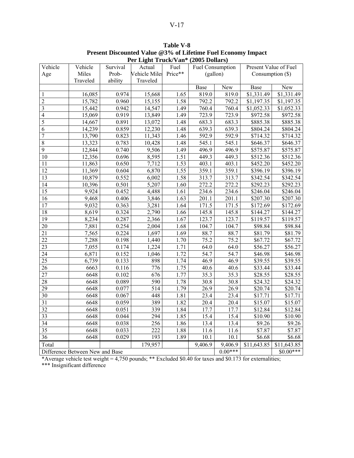|                          |                                 |          |                  | Fer Light Truck/Vall (2005 Donars) |                   |                   |                       |             |
|--------------------------|---------------------------------|----------|------------------|------------------------------------|-------------------|-------------------|-----------------------|-------------|
| Vehicle                  | Vehicle                         | Survival | Actual           | Fuel                               | Fuel Consumption  |                   | Present Value of Fuel |             |
| Age                      | Miles                           | Prob-    | Vehicle Miles    | Price**                            | (gallon)          |                   | Consumption $(\$)$    |             |
|                          | Traveled                        | ability  | Traveled         |                                    |                   |                   |                       |             |
|                          |                                 |          |                  |                                    | Base              | New               | Base                  | New         |
| 1                        | 16,085                          | 0.974    | 15,668           | 1.65                               | 819.0             | 819.0             | \$1,331.49            | \$1,331.49  |
| $\overline{c}$           | 15,782                          | 0.960    | 15,155           | 1.58                               | 792.2             | 792.2             | \$1,197.35            | \$1,197.35  |
| 3                        | 15,442                          | 0.942    | 14,547           | 1.49                               | 760.4             | 760.4             | \$1,052.33            | \$1,052.33  |
| $\overline{\mathcal{L}}$ | 15,069                          | 0.919    | 13,849           | 1.49                               | 723.9             | 723.9             | \$972.58              | \$972.58    |
| $\overline{5}$           | 14,667                          | 0.891    | 13,072           | 1.48                               | 683.3             | 683.3             | \$885.38              | \$885.38    |
| 6                        | 14,239                          | 0.859    | 12,230           | 1.48                               | 639.3             | 639.3             | \$804.24              | \$804.24    |
| $\overline{7}$           | 13,790                          | 0.823    | 11,343           | 1.46                               | 592.9             | 592.9             | $\overline{$}714.32$  | \$714.32    |
| $\overline{8}$           | 13,323                          | 0.783    | 10,428           | 1.48                               | 545.1             | 545.1             | \$646.37              | \$646.37    |
| $\overline{9}$           | 12,844                          | 0.740    | 9,506            | 1.49                               | 496.9             | 496.9             | \$575.87              | \$575.87    |
| 10                       | 12,356                          | 0.696    | 8,595            | 1.51                               | 449.3             | 449.3             | \$512.36              | \$512.36    |
| 11                       | 11,863                          | 0.650    | 7,712            | 1.53                               | 403.1             | 403.1             | \$452.20              | \$452.20    |
| 12                       | 11,369                          | 0.604    | 6,870            | 1.55                               | 359.1             | 359.1             | \$396.19              | \$396.19    |
| $\overline{13}$          | 10,879                          | 0.552    | 6,002            | 1.58                               | 313.7             | 313.7             | \$342.54              | \$342.54    |
| 14                       | 10,396                          | 0.501    | 5,207            | 1.60                               | 272.2             | 272.2             | \$292.23              | \$292.23    |
| 15                       | 9,924                           | 0.452    | 4,488            | 1.61                               | 234.6             | 234.6             | \$246.04              | \$246.04    |
| 16                       | 9,468                           | 0.406    | 3,846            | 1.63                               | 201.1             | 201.1             | \$207.30              | \$207.30    |
| $\overline{17}$          | 9,032                           | 0.363    | 3,281            | 1.64                               | 171.5             | 171.5             | \$172.69              | \$172.69    |
| $\overline{18}$          | 8,619                           | 0.324    | 2,790            | 1.66                               | 145.8             | 145.8             | \$144.27              | \$144.27    |
| 19                       | 8,234                           | 0.287    | 2,366            | 1.67                               | 123.7             | 123.7             | \$119.57              | \$119.57    |
| 20                       | 7,881                           | 0.254    | 2,004            | 1.68                               | 104.7             | 104.7             | \$98.84               | \$98.84     |
| $\overline{21}$          | 7,565                           | 0.224    | 1,697            | 1.69                               | 88.7              | 88.7              | \$81.79               | \$81.79     |
| $\overline{22}$          | 7,288                           | 0.198    | 1,440            | 1.70                               | 75.2              | 75.2              | \$67.72               | \$67.72     |
| 23                       | 7,055                           | 0.174    | 1,224            | 1.71                               | 64.0              | 64.0              | \$56.27               | \$56.27     |
| 24                       | 6,871                           | 0.152    | 1,046            | 1.72                               | 54.7              | 54.7              | \$46.98               | \$46.98     |
| $\overline{25}$          | 6,739                           | 0.133    | $\overline{898}$ | 1.74                               | 46.9              | 46.9              | \$39.55               | \$39.55     |
| 26                       | 6663                            | 0.116    | 776              | 1.75                               | 40.6              | 40.6              | \$33.44               | \$33.44     |
| $\overline{27}$          | 6648                            | 0.102    | 676              | 1.77                               | 35.3              | 35.3              | \$28.55               | \$28.55     |
| 28                       | 6648                            | 0.089    | 590              | 1.78                               | 30.8              | 30.8              | \$24.32               | \$24.32     |
| 29                       | 6648                            | 0.077    | $\overline{5}14$ | 1.79                               | $\overline{26.9}$ | 26.9              | \$20.74               | \$20.74     |
| 30                       | 6648                            | 0.067    | 448              | 1.81                               | 23.4              | 23.4              | $\overline{$}17.71$   | \$17.71     |
| 31                       | 6648                            | 0.059    | 389              | 1.82                               | 20.4              | $\overline{2}0.4$ | \$15.07               | \$15.07     |
| 32                       | 6648                            | 0.051    | 339              | 1.84                               | 17.7              | 17.7              | \$12.84               | \$12.84     |
| $\overline{33}$          | 6648                            | 0.044    | 294              | 1.85                               | 15.4              | 15.4              | \$10.90               | \$10.90     |
| 34                       | 6648                            | 0.038    | 256              | 1.86                               | 13.4              | 13.4              | $\overline{\$9.26}$   | \$9.26      |
| 35                       | 6648                            | 0.033    | 222              | 1.88                               | 11.6              | 11.6              | \$7.87                | \$7.87      |
| 36                       | 6648                            | 0.029    | 193              | 1.89                               | 10.1              | 10.1              | \$6.68                | \$6.68      |
| Total                    |                                 |          | 179,957          |                                    | 9,406.9           | 9,406.9           | \$11,643.85           | \$11,643.85 |
|                          | Difference Between New and Base |          |                  |                                    |                   | $0.00***$         |                       | $$0.00***$  |
|                          |                                 |          |                  |                                    |                   |                   |                       |             |

**Table V-8 Present Discounted Value @3% of Lifetime Fuel Economy Impact Per Light Truck/Van\* (2005 Dollars)**

\*Average vehicle test weight = 4,750 pounds; \*\* Excluded \$0.40 for taxes and \$0.173 for externalities; \*\*\* Insignificant difference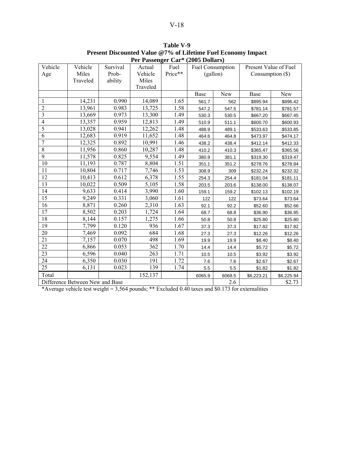|                 |                                 |          | I U I ASSUIGU VAI | $(2003 \text{ D})$ |                  |        |                       |            |
|-----------------|---------------------------------|----------|-------------------|--------------------|------------------|--------|-----------------------|------------|
| Vehicle         | Vehicle                         | Survival | Actual            | Fuel               | Fuel Consumption |        | Present Value of Fuel |            |
| Age             | Miles                           | Prob-    | Vehicle           | Price**            | (gallon)         |        | Consumption $(\$)$    |            |
|                 | Traveled                        | ability  | Miles             |                    |                  |        |                       |            |
|                 |                                 |          | Traveled          |                    |                  |        |                       |            |
|                 |                                 |          |                   |                    | Base             | New    | Base                  | <b>New</b> |
| 1               | 14,231                          | 0.990    | 14,089            | 1.65               | 561.7            | 562    | \$895.94              | \$896.42   |
| $\overline{2}$  | 13,961                          | 0.983    | 13,725            | 1.58               | 547.2            | 547.5  | \$781.14              | \$781.57   |
| 3               | 13,669                          | 0.973    | 13,300            | 1.49               | 530.3            | 530.5  | \$667.20              | \$667.45   |
| $\overline{4}$  | 13,357                          | 0.959    | 12,813            | 1.49               | 510.9            | 511.1  | \$600.70              | \$600.93   |
| 5               | 13,028                          | 0.941    | 12,262            | 1.48               | 488.9            | 489.1  | \$533.63              | \$533.85   |
| 6               | 12,683                          | 0.919    | 11,652            | 1.48               | 464.6            | 464.8  | \$473.97              | \$474.17   |
| 7               | 12,325                          | 0.892    | 10,991            | 1.46               | 438.2            | 438.4  | \$412.14              | \$412.33   |
| $\overline{8}$  | 11,956                          | 0.860    | 10,287            | 1.48               | 410.2            | 410.3  | \$365.47              | \$365.56   |
| $\overline{9}$  | 11,578                          | 0.825    | 9,554             | 1.49               | 380.9            | 381.1  | \$319.30              | \$319.47   |
| 10              | 11,193                          | 0.787    | 8,804             | 1.51               | 351.1            | 351.2  | \$278.76              | \$278.84   |
| 11              | 10,804                          | 0.717    | 7,746             | 1.53               | 308.9            | 309    | \$232.24              | \$232.32   |
| 12              | 10,413                          | 0.612    | 6,378             | 1.55               | 254.3            | 254.4  | \$181.04              | \$181.11   |
| 13              | 10,022                          | 0.509    | 5,105             | 1.58               | 203.5            | 203.6  | \$138.00              | \$138.07   |
| 14              | 9,633                           | 0.414    | 3,990             | 1.60               | 159.1            | 159.2  | \$102.13              | \$102.19   |
| $\overline{15}$ | 9,249                           | 0.331    | 3,060             | 1.61               | 122              | 122    | \$73.64               | \$73.64    |
| 16              | 8,871                           | 0.260    | 2,310             | 1.63               | 92.1             | 92.2   | \$52.60               | \$52.66    |
| 17              | 8,502                           | 0.203    | 1,724             | 1.64               | 68.7             | 68.8   | \$36.90               | \$36.95    |
| 18              | 8,144                           | 0.157    | 1,275             | 1.66               | 50.8             | 50.8   | \$25.80               | \$25.80    |
| 19              | 7,799                           | 0.120    | 936               | 1.67               | 37.3             | 37.3   | \$17.82               | \$17.82    |
| 20              | 7,469                           | 0.092    | 684               | 1.68               | 27.3             | 27.3   | \$12.26               | \$12.26    |
| 21              | 7,157                           | 0.070    | 498               | 1.69               | 19.9             | 19.9   | \$8.40                | \$8.40     |
| 22              | 6,866                           | 0.053    | 362               | 1.70               | 14.4             | 14.4   | \$5.72                | \$5.72     |
| 23              | 6,596                           | 0.040    | 263               | 1.71               | 10.5             | 10.5   | \$3.92                | \$3.92     |
| 24              | 6,350                           | 0.030    | 191               | 1.72               | 7.6              | 7.6    | \$2.67                | \$2.67     |
| $\overline{25}$ | 6,131                           | 0.023    | 139               | 1.74               | 5.5              | 5.5    | \$1.82                | \$1.82     |
| Total           |                                 |          | 152,137           |                    | 6065.9           | 6068.5 | \$6,223.21            | \$6,225.94 |
|                 | Difference Between New and Base |          |                   |                    |                  |        |                       | \$2.73     |

**Table V-9 Present Discounted Value @7% of Lifetime Fuel Economy Impact Per Passenger Car\* (2005 Dollars)**

\*Average vehicle test weight = 3,564 pounds; \*\* Excluded 0.40 taxes and \$0.173 for externalities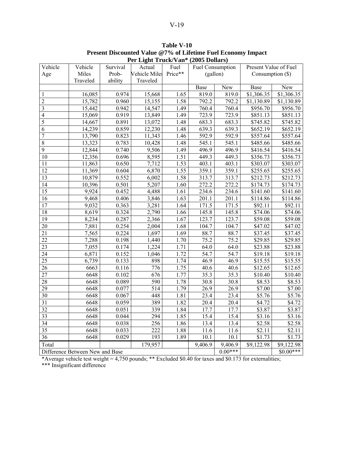|                          |                                 |          |                  | Fer Light Truck/Vall (2005 Donars) |                   |           |                       |                      |
|--------------------------|---------------------------------|----------|------------------|------------------------------------|-------------------|-----------|-----------------------|----------------------|
| Vehicle                  | Vehicle                         | Survival | Actual           | Fuel                               | Fuel Consumption  |           | Present Value of Fuel |                      |
| Age                      | Miles                           | Prob-    | Vehicle Miles    | Price**                            | (gallon)          |           | Consumption $(\$)$    |                      |
|                          | Traveled                        | ability  | Traveled         |                                    |                   |           |                       |                      |
|                          |                                 |          |                  |                                    | Base              | New       | Base                  | New                  |
| 1                        | 16,085                          | 0.974    | 15,668           | 1.65                               | 819.0             | 819.0     | \$1,306.35            | \$1,306.35           |
| $\overline{c}$           | 15,782                          | 0.960    | 15,155           | 1.58                               | 792.2             | 792.2     | \$1,130.89            | \$1,130.89           |
| 3                        | 15,442                          | 0.942    | 14,547           | 1.49                               | 760.4             | 760.4     | \$956.70              | \$956.70             |
| $\overline{\mathcal{L}}$ | 15,069                          | 0.919    | 13,849           | 1.49                               | 723.9             | 723.9     | \$851.13              | \$851.13             |
| $\overline{5}$           | 14,667                          | 0.891    | 13,072           | 1.48                               | 683.3             | 683.3     | \$745.82              | \$745.82             |
| 6                        | 14,239                          | 0.859    | 12,230           | 1.48                               | 639.3             | 639.3     | \$652.19              | \$652.19             |
| $\overline{7}$           | 13,790                          | 0.823    | 11,343           | 1.46                               | 592.9             | 592.9     | \$557.64              | \$557.64             |
| $\overline{8}$           | 13,323                          | 0.783    | 10,428           | 1.48                               | 545.1             | 545.1     | \$485.66              | \$485.66             |
| $\overline{9}$           | 12,844                          | 0.740    | 9,506            | 1.49                               | 496.9             | 496.9     | $\overline{$416.54}$  | \$416.54             |
| 10                       | 12,356                          | 0.696    | 8,595            | 1.51                               | 449.3             | 449.3     | \$356.73              | $\overline{$356.73}$ |
| 11                       | 11,863                          | 0.650    | 7,712            | 1.53                               | 403.1             | 403.1     | \$303.07              | \$303.07             |
| 12                       | 11,369                          | 0.604    | 6,870            | 1.55                               | 359.1             | 359.1     | \$255.65              | \$255.65             |
| $\overline{13}$          | 10,879                          | 0.552    | 6,002            | 1.58                               | 313.7             | 313.7     | \$212.73              | \$212.73             |
| 14                       | 10,396                          | 0.501    | 5,207            | 1.60                               | 272.2             | 272.2     | \$174.73              | \$174.73             |
| 15                       | 9,924                           | 0.452    | 4,488            | 1.61                               | 234.6             | 234.6     | \$141.60              | \$141.60             |
| 16                       | 9,468                           | 0.406    | 3,846            | 1.63                               | 201.1             | 201.1     | \$114.86              | \$114.86             |
| $\overline{17}$          | 9,032                           | 0.363    | 3,281            | 1.64                               | 171.5             | 171.5     | \$92.11               | \$92.11              |
| $\overline{18}$          | 8,619                           | 0.324    | 2,790            | 1.66                               | 145.8             | 145.8     | \$74.06               | \$74.06              |
| 19                       | 8,234                           | 0.287    | 2,366            | 1.67                               | 123.7             | 123.7     | \$59.08               | \$59.08              |
| 20                       | 7,881                           | 0.254    | 2,004            | 1.68                               | 104.7             | 104.7     | \$47.02               | \$47.02              |
| $\overline{21}$          | 7,565                           | 0.224    | 1,697            | 1.69                               | 88.7              | 88.7      | \$37.45               | \$37.45              |
| $\overline{22}$          | 7,288                           | 0.198    | 1,440            | 1.70                               | 75.2              | 75.2      | \$29.85               | \$29.85              |
| 23                       | 7,055                           | 0.174    | 1,224            | 1.71                               | 64.0              | 64.0      | \$23.88               | \$23.88              |
| 24                       | 6,871                           | 0.152    | 1,046            | 1.72                               | 54.7              | 54.7      | \$19.18               | \$19.18              |
| $\overline{25}$          | 6,739                           | 0.133    | $\overline{898}$ | 1.74                               | 46.9              | 46.9      | \$15.55               | \$15.55              |
| 26                       | 6663                            | 0.116    | 776              | 1.75                               | 40.6              | 40.6      | \$12.65               | \$12.65              |
| $\overline{27}$          | 6648                            | 0.102    | 676              | 1.77                               | 35.3              | 35.3      | \$10.40               | \$10.40              |
| 28                       | 6648                            | 0.089    | 590              | 1.78                               | 30.8              | 30.8      | \$8.53                | \$8.53               |
| 29                       | 6648                            | 0.077    | $\overline{5}14$ | 1.79                               | $\overline{26.9}$ | 26.9      | \$7.00                | \$7.00               |
| 30                       | 6648                            | 0.067    | 448              | 1.81                               | 23.4              | 23.4      | $\overline{$}5.76$    | \$5.76               |
| 31                       | 6648                            | 0.059    | 389              | 1.82                               | 20.4              | 20.4      | \$4.72                | \$4.72               |
| 32                       | 6648                            | 0.051    | 339              | 1.84                               | 17.7              | 17.7      | \$3.87                | \$3.87               |
| $\overline{33}$          | 6648                            | 0.044    | 294              | 1.85                               | 15.4              | 15.4      | \$3.16                | \$3.16               |
| 34                       | 6648                            | 0.038    | 256              | 1.86                               | 13.4              | 13.4      | \$2.58                | \$2.58               |
| 35                       | 6648                            | 0.033    | 222              | 1.88                               | 11.6              | 11.6      | \$2.11                | \$2.11               |
| 36                       | 6648                            | 0.029    | 193              | 1.89                               | 10.1              | 10.1      | \$1.73                | \$1.73               |
| Total                    |                                 |          | 179,957          |                                    | 9,406.9           | 9,406.9   | \$9,122.98            | \$9,122.98           |
|                          | Difference Between New and Base |          |                  |                                    |                   | $0.00***$ |                       | $$0.00***$           |
|                          |                                 |          |                  |                                    |                   |           |                       |                      |

**Table V-10 Present Discounted Value @7% of Lifetime Fuel Economy Impact Per Light Truck/Van\* (2005 Dollars)**

\*Average vehicle test weight = 4,750 pounds; \*\* Excluded \$0.40 for taxes and \$0.173 for externalities; \*\*\* Insignificant difference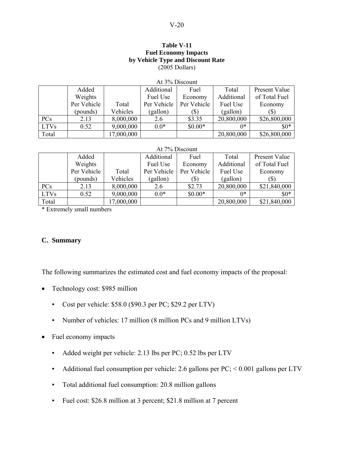### **Table V-11 Fuel Economy Impacts by Vehicle Type and Discount Rate**  (2005 Dollars)

|             | At 3% Discount |            |             |             |            |                      |  |  |  |  |
|-------------|----------------|------------|-------------|-------------|------------|----------------------|--|--|--|--|
|             | Added          |            | Additional  | Fuel        | Total      | <b>Present Value</b> |  |  |  |  |
|             | Weights        |            | Fuel Use    | Economy     | Additional | of Total Fuel        |  |  |  |  |
|             | Per Vehicle    | Total      | Per Vehicle | Per Vehicle | Fuel Use   | Economy              |  |  |  |  |
|             | (pounds)       | Vehicles   | (gallon)    | (S)         | (gallon)   | $(\$\)$              |  |  |  |  |
| PCs         | 2.13           | 8,000,000  | 2.6         | \$3.35      | 20,800,000 | \$26,800,000         |  |  |  |  |
| <b>LTVs</b> | 0.52           | 9,000,000  | $0.0*$      | $$0.00*$    | $0*$       | $$0*$                |  |  |  |  |
| Total       |                | 17,000,000 |             |             | 20,800,000 | \$26,800,000         |  |  |  |  |

#### At 7% Discount

|             | Added       |            | Additional  | Fuel        | Total      | <b>Present Value</b> |
|-------------|-------------|------------|-------------|-------------|------------|----------------------|
|             | Weights     |            | Fuel Use    | Economy     | Additional | of Total Fuel        |
|             | Per Vehicle | Total      | Per Vehicle | Per Vehicle | Fuel Use   | Economy              |
|             | (pounds)    | Vehicles   | (gallon)    | (\$)        | (gallon)   | (S)                  |
| <b>PCs</b>  | 2.13        | 8,000,000  | 2.6         | \$2.73      | 20,800,000 | \$21,840,000         |
| <b>LTVs</b> | 0.52        | 9,000,000  | $0.0*$      | $$0.00*$    | $0*$       | $$0*$                |
| Total       |             | 17,000,000 |             |             | 20,800,000 | \$21,840,000         |

\* Extremely small numbers

## **C. Summary**

The following summarizes the estimated cost and fuel economy impacts of the proposal:

- Technology cost: \$985 million
	- Cost per vehicle: \$58.0 (\$90.3 per PC; \$29.2 per LTV)
	- Number of vehicles: 17 million (8 million PCs and 9 million LTVs)
- Fuel economy impacts
	- Added weight per vehicle: 2.13 lbs per PC; 0.52 lbs per LTV
	- $\blacksquare$  Additional fuel consumption per vehicle: 2.6 gallons per PC; < 0.001 gallons per LTV
	- Total additional fuel consumption: 20.8 million gallons
	- Fuel cost: \$26.8 million at 3 percent; \$21.8 million at 7 percent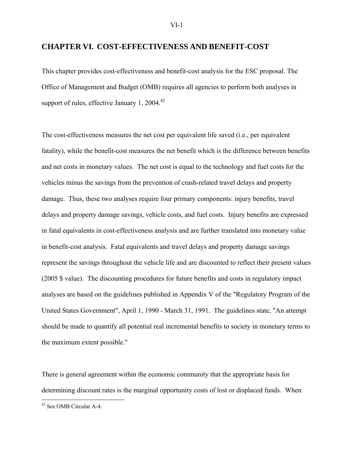### **CHAPTER VI. COST-EFFECTIVENESS AND BENEFIT-COST**

This chapter provides cost-effectiveness and benefit-cost analysis for the ESC proposal. The Office of Management and Budget (OMB) requires all agencies to perform both analyses in support of rules, effective January 1, 2004. $42$ 

The cost-effectiveness measures the net cost per equivalent life saved (i.e., per equivalent fatality), while the benefit-cost measures the net benefit which is the difference between benefits and net costs in monetary values. The net cost is equal to the technology and fuel costs for the vehicles minus the savings from the prevention of crash-related travel delays and property damage. Thus, these two analyses require four primary components: injury benefits, travel delays and property damage savings, vehicle costs, and fuel costs. Injury benefits are expressed in fatal equivalents in cost-effectiveness analysis and are further translated into monetary value in benefit-cost analysis. Fatal equivalents and travel delays and property damage savings represent the savings throughout the vehicle life and are discounted to reflect their present values (2005 \$ value). The discounting procedures for future benefits and costs in regulatory impact analyses are based on the guidelines published in Appendix V of the "Regulatory Program of the United States Government", April 1, 1990 - March 31, 1991. The guidelines state, "An attempt should be made to quantify all potential real incremental benefits to society in monetary terms to the maximum extent possible."

There is general agreement within the economic community that the appropriate basis for determining discount rates is the marginal opportunity costs of lost or displaced funds. When

1

<sup>&</sup>lt;sup>42</sup> See OMB Circular A-4.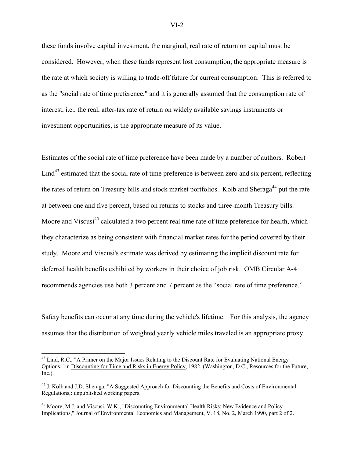these funds involve capital investment, the marginal, real rate of return on capital must be considered. However, when these funds represent lost consumption, the appropriate measure is the rate at which society is willing to trade-off future for current consumption. This is referred to as the "social rate of time preference," and it is generally assumed that the consumption rate of interest, i.e., the real, after-tax rate of return on widely available savings instruments or investment opportunities, is the appropriate measure of its value.

Estimates of the social rate of time preference have been made by a number of authors. Robert Lind<sup>43</sup> estimated that the social rate of time preference is between zero and six percent, reflecting the rates of return on Treasury bills and stock market portfolios. Kolb and Sheraga<sup>44</sup> put the rate at between one and five percent, based on returns to stocks and three-month Treasury bills. Moore and Viscusi<sup>45</sup> calculated a two percent real time rate of time preference for health, which they characterize as being consistent with financial market rates for the period covered by their study. Moore and Viscusi's estimate was derived by estimating the implicit discount rate for deferred health benefits exhibited by workers in their choice of job risk. OMB Circular A-4 recommends agencies use both 3 percent and 7 percent as the "social rate of time preference."

Safety benefits can occur at any time during the vehicle's lifetime. For this analysis, the agency assumes that the distribution of weighted yearly vehicle miles traveled is an appropriate proxy

1

<sup>&</sup>lt;sup>43</sup> Lind, R.C., "A Primer on the Major Issues Relating to the Discount Rate for Evaluating National Energy Options," in Discounting for Time and Risks in Energy Policy, 1982, (Washington, D.C., Resources for the Future, Inc.).

<sup>&</sup>lt;sup>44</sup> J. Kolb and J.D. Sheraga, "A Suggested Approach for Discounting the Benefits and Costs of Environmental Regulations,: unpublished working papers.

<sup>&</sup>lt;sup>45</sup> Moore, M.J. and Viscusi, W.K., "Discounting Environmental Health Risks: New Evidence and Policy Implications," Journal of Environmental Economics and Management, V. 18, No. 2, March 1990, part 2 of 2.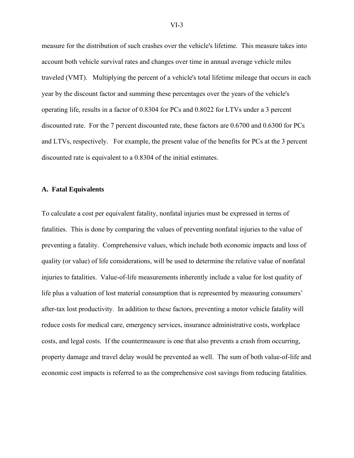measure for the distribution of such crashes over the vehicle's lifetime. This measure takes into account both vehicle survival rates and changes over time in annual average vehicle miles traveled (VMT). Multiplying the percent of a vehicle's total lifetime mileage that occurs in each year by the discount factor and summing these percentages over the years of the vehicle's operating life, results in a factor of 0.8304 for PCs and 0.8022 for LTVs under a 3 percent discounted rate. For the 7 percent discounted rate, these factors are 0.6700 and 0.6300 for PCs and LTVs, respectively. For example, the present value of the benefits for PCs at the 3 percent discounted rate is equivalent to a 0.8304 of the initial estimates.

### **A. Fatal Equivalents**

To calculate a cost per equivalent fatality, nonfatal injuries must be expressed in terms of fatalities. This is done by comparing the values of preventing nonfatal injuries to the value of preventing a fatality. Comprehensive values, which include both economic impacts and loss of quality (or value) of life considerations, will be used to determine the relative value of nonfatal injuries to fatalities. Value-of-life measurements inherently include a value for lost quality of life plus a valuation of lost material consumption that is represented by measuring consumers' after-tax lost productivity. In addition to these factors, preventing a motor vehicle fatality will reduce costs for medical care, emergency services, insurance administrative costs, workplace costs, and legal costs. If the countermeasure is one that also prevents a crash from occurring, property damage and travel delay would be prevented as well. The sum of both value-of-life and economic cost impacts is referred to as the comprehensive cost savings from reducing fatalities.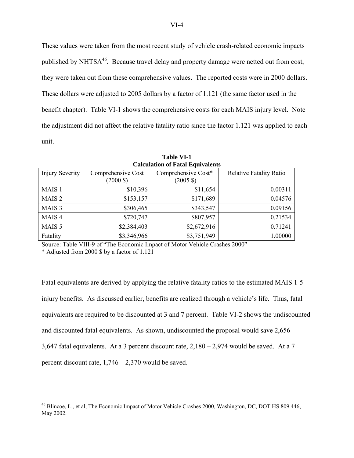These values were taken from the most recent study of vehicle crash-related economic impacts published by NHTSA<sup>46</sup>. Because travel delay and property damage were netted out from cost, they were taken out from these comprehensive values. The reported costs were in 2000 dollars. These dollars were adjusted to 2005 dollars by a factor of 1.121 (the same factor used in the benefit chapter). Table VI-1 shows the comprehensive costs for each MAIS injury level. Note the adjustment did not affect the relative fatality ratio since the factor 1.121 was applied to each unit.

| <b>Calculation of Fatal Equivalents</b> |                                           |                                            |                                |  |  |  |  |  |  |
|-----------------------------------------|-------------------------------------------|--------------------------------------------|--------------------------------|--|--|--|--|--|--|
| <b>Injury Severity</b>                  | Comprehensive Cost<br>$(2000 \text{ } $)$ | Comprehensive Cost*<br>$(2005 \text{ } $)$ | <b>Relative Fatality Ratio</b> |  |  |  |  |  |  |
|                                         |                                           |                                            |                                |  |  |  |  |  |  |
| MAIS <sub>1</sub>                       | \$10,396                                  | \$11,654                                   | 0.00311                        |  |  |  |  |  |  |
| MAIS <sub>2</sub>                       | \$153,157                                 | \$171,689                                  | 0.04576                        |  |  |  |  |  |  |
| MAIS <sub>3</sub>                       | \$306,465                                 | \$343,547                                  | 0.09156                        |  |  |  |  |  |  |
| MAIS <sub>4</sub>                       | \$720,747                                 | \$807,957                                  | 0.21534                        |  |  |  |  |  |  |
| MAIS <sub>5</sub>                       | \$2,384,403                               | \$2,672,916                                | 0.71241                        |  |  |  |  |  |  |
| Fatality                                | \$3,346,966                               | \$3,751,949                                | 1.00000                        |  |  |  |  |  |  |

**Table VI-1 Calculation of Fatal Equivalents** 

Source: Table VIII-9 of "The Economic Impact of Motor Vehicle Crashes 2000"

\* Adjusted from 2000 \$ by a factor of 1.121

1

Fatal equivalents are derived by applying the relative fatality ratios to the estimated MAIS 1-5 injury benefits. As discussed earlier, benefits are realized through a vehicle's life. Thus, fatal equivalents are required to be discounted at 3 and 7 percent. Table VI-2 shows the undiscounted and discounted fatal equivalents. As shown, undiscounted the proposal would save 2,656 – 3,647 fatal equivalents. At a 3 percent discount rate,  $2,180 - 2,974$  would be saved. At a 7 percent discount rate, 1,746 – 2,370 would be saved.

<sup>&</sup>lt;sup>46</sup> Blincoe, L., et al, The Economic Impact of Motor Vehicle Crashes 2000, Washington, DC, DOT HS 809 446, May 2002.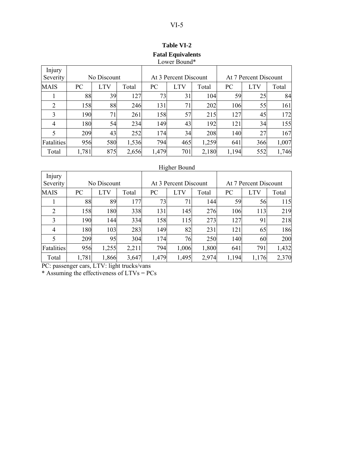|                    | Lower Bound* |            |       |       |                       |       |                       |            |       |
|--------------------|--------------|------------|-------|-------|-----------------------|-------|-----------------------|------------|-------|
| Injury<br>Severity | No Discount  |            |       |       | At 3 Percent Discount |       | At 7 Percent Discount |            |       |
| <b>MAIS</b>        | PC           | <b>LTV</b> | Total | PC    | <b>LTV</b>            | Total | PC                    | <b>LTV</b> | Total |
|                    | 88           | 39         | 127   | 73    | 31                    | 104   | 59                    | 25         | 84    |
| 2                  | 158          | 88         | 246   | 131   | 71                    | 202   | 106                   | 55         | 161   |
| 3                  | 190          | 71         | 261   | 158   | 57                    | 215   | 127                   | 45         | 172   |
| 4                  | 180          | 54         | 234   | 149   | 43                    | 192   | 121                   | 34         | 155   |
| 5                  | 209          | 43         | 252   | 174   | 34                    | 208   | 140                   | 27         | 167   |
| Fatalities         | 956          | 580        | 1,536 | 794   | 465                   | 1,259 | 641                   | 366        | 1,007 |
| Total              | 1,781        | 875        | 2,656 | 1,479 | 701                   | 2,180 | 1,194                 | 552        | 1,746 |

# **Table VI-2 Fatal Equivalents**  Lower Bound\*

## Higher Bound

| Injury<br>Severity |       | No Discount |       |       | At 3 Percent Discount |       |       | At 7 Percent Discount |       |
|--------------------|-------|-------------|-------|-------|-----------------------|-------|-------|-----------------------|-------|
| <b>MAIS</b>        | PC    | <b>LTV</b>  | Total | PC    | <b>LTV</b>            | Total | PC    | LTV                   | Total |
|                    | 88    | 89          | 177   | 73    | 71                    | 144   | 59    | 56                    | 115   |
| $\overline{2}$     | 158   | 180         | 338   | 131   | 145                   | 276   | 106   | 113                   | 219   |
| 3                  | 190   | 144         | 334   | 158   | 115                   | 273   | 127   | 91                    | 218   |
| 4                  | 180   | 103         | 283   | 149   | 82                    | 231   | 121   | 65                    | 186   |
| 5                  | 209   | 95          | 304   | 174   | 76                    | 250   | 140   | 60                    | 200   |
| Fatalities         | 956   | 1,255       | 2,211 | 794   | 1,006                 | 1,800 | 641   | 791                   | 1,432 |
| Total              | 1,781 | 1,866       | 3,647 | 1,479 | 1,495                 | 2,974 | 1,194 | 1,176                 | 2,370 |

PC: passenger cars, LTV: light trucks/vans

\* Assuming the effectiveness of LTVs = PCs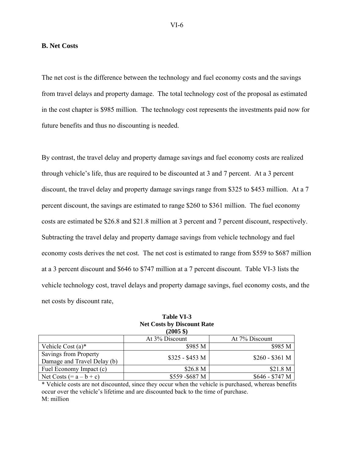#### **B. Net Costs**

The net cost is the difference between the technology and fuel economy costs and the savings from travel delays and property damage. The total technology cost of the proposal as estimated in the cost chapter is \$985 million. The technology cost represents the investments paid now for future benefits and thus no discounting is needed.

By contrast, the travel delay and property damage savings and fuel economy costs are realized through vehicle's life, thus are required to be discounted at 3 and 7 percent. At a 3 percent discount, the travel delay and property damage savings range from \$325 to \$453 million. At a 7 percent discount, the savings are estimated to range \$260 to \$361 million. The fuel economy costs are estimated be \$26.8 and \$21.8 million at 3 percent and 7 percent discount, respectively. Subtracting the travel delay and property damage savings from vehicle technology and fuel economy costs derives the net cost. The net cost is estimated to range from \$559 to \$687 million at a 3 percent discount and \$646 to \$747 million at a 7 percent discount. Table VI-3 lists the vehicle technology cost, travel delays and property damage savings, fuel economy costs, and the net costs by discount rate,

|                                                      | $(2005 \text{ } $)$ |                 |
|------------------------------------------------------|---------------------|-----------------|
|                                                      | At 3% Discount      | At 7% Discount  |
| Vehicle Cost $(a)^*$                                 | \$985 M             | \$985 M         |
| Savings from Property<br>Damage and Travel Delay (b) | $$325 - $453$ M     | $$260 - $361$ M |
| Fuel Economy Impact (c)                              | \$26.8 <sub>M</sub> | \$21.8 M        |
| Net Costs $(= a - b + c)$                            | \$559-\$687 M       | $$646 - $747 M$ |

| Table VI-3                        |
|-----------------------------------|
| <b>Net Costs by Discount Rate</b> |
| $(2005, \text{S})$                |

\* Vehicle costs are not discounted, since they occur when the vehicle is purchased, whereas benefits occur over the vehicle's lifetime and are discounted back to the time of purchase. M: million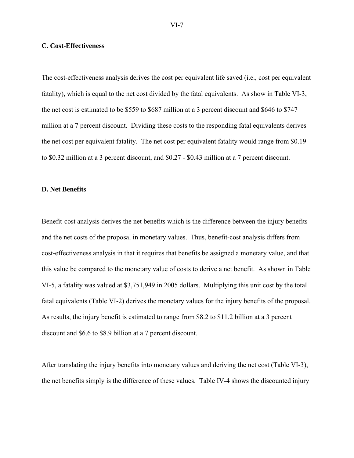#### **C. Cost-Effectiveness**

The cost-effectiveness analysis derives the cost per equivalent life saved (i.e., cost per equivalent fatality), which is equal to the net cost divided by the fatal equivalents. As show in Table VI-3, the net cost is estimated to be \$559 to \$687 million at a 3 percent discount and \$646 to \$747 million at a 7 percent discount. Dividing these costs to the responding fatal equivalents derives the net cost per equivalent fatality. The net cost per equivalent fatality would range from \$0.19 to \$0.32 million at a 3 percent discount, and \$0.27 - \$0.43 million at a 7 percent discount.

#### **D. Net Benefits**

Benefit-cost analysis derives the net benefits which is the difference between the injury benefits and the net costs of the proposal in monetary values. Thus, benefit-cost analysis differs from cost-effectiveness analysis in that it requires that benefits be assigned a monetary value, and that this value be compared to the monetary value of costs to derive a net benefit. As shown in Table VI-5, a fatality was valued at \$3,751,949 in 2005 dollars. Multiplying this unit cost by the total fatal equivalents (Table VI-2) derives the monetary values for the injury benefits of the proposal. As results, the injury benefit is estimated to range from \$8.2 to \$11.2 billion at a 3 percent discount and \$6.6 to \$8.9 billion at a 7 percent discount.

After translating the injury benefits into monetary values and deriving the net cost (Table VI-3), the net benefits simply is the difference of these values. Table IV-4 shows the discounted injury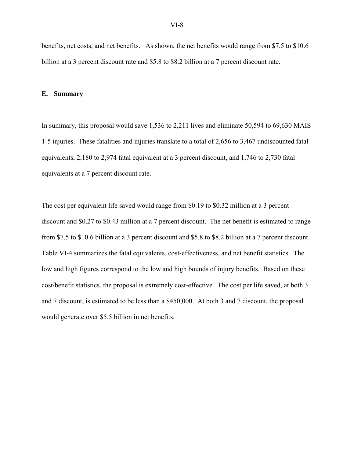benefits, net costs, and net benefits. As shown, the net benefits would range from \$7.5 to \$10.6 billion at a 3 percent discount rate and \$5.8 to \$8.2 billion at a 7 percent discount rate.

#### **E. Summary**

In summary, this proposal would save 1,536 to 2,211 lives and eliminate 50,594 to 69,630 MAIS 1-5 injuries. These fatalities and injuries translate to a total of 2,656 to 3,467 undiscounted fatal equivalents, 2,180 to 2,974 fatal equivalent at a 3 percent discount, and 1,746 to 2,730 fatal equivalents at a 7 percent discount rate.

The cost per equivalent life saved would range from \$0.19 to \$0.32 million at a 3 percent discount and \$0.27 to \$0.43 million at a 7 percent discount. The net benefit is estimated to range from \$7.5 to \$10.6 billion at a 3 percent discount and \$5.8 to \$8.2 billion at a 7 percent discount. Table VI-4 summarizes the fatal equivalents, cost-effectiveness, and net benefit statistics. The low and high figures correspond to the low and high bounds of injury benefits. Based on these cost/benefit statistics, the proposal is extremely cost-effective. The cost per life saved, at both 3 and 7 discount, is estimated to be less than a \$450,000. At both 3 and 7 discount, the proposal would generate over \$5.5 billion in net benefits.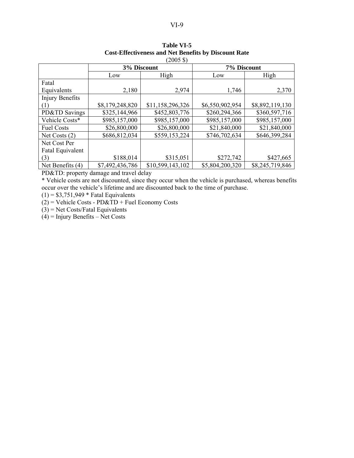| $2000 \varphi$    |                 |                  |                 |                 |  |
|-------------------|-----------------|------------------|-----------------|-----------------|--|
|                   | 3% Discount     |                  | 7% Discount     |                 |  |
|                   | Low             | High             | Low             | High            |  |
| Fatal             |                 |                  |                 |                 |  |
| Equivalents       | 2,180           | 2,974            | 1,746           | 2,370           |  |
| Injury Benefits   |                 |                  |                 |                 |  |
| (1)               | \$8,179,248,820 | \$11,158,296,326 | \$6,550,902,954 | \$8,892,119,130 |  |
| PD&TD Savings     | \$325,144,966   | \$452,803,776    | \$260,294,366   | \$360,597,716   |  |
| Vehicle Costs*    | \$985,157,000   | \$985,157,000    | \$985,157,000   | \$985,157,000   |  |
| <b>Fuel Costs</b> | \$26,800,000    | \$26,800,000     | \$21,840,000    | \$21,840,000    |  |
| Net Costs $(2)$   | \$686,812,034   | \$559,153,224    | \$746,702,634   | \$646,399,284   |  |
| Net Cost Per      |                 |                  |                 |                 |  |
| Fatal Equivalent  |                 |                  |                 |                 |  |
| (3)               | \$188,014       | \$315,051        | \$272,742       | \$427,665       |  |
| Net Benefits (4)  | \$7,492,436,786 | \$10,599,143,102 | \$5,804,200,320 | \$8,245,719,846 |  |

**Table VI-5 Cost-Effectiveness and Net Benefits by Discount Rate**   $(2005S)$ 

PD&TD: property damage and travel delay

\* Vehicle costs are not discounted, since they occur when the vehicle is purchased, whereas benefits occur over the vehicle's lifetime and are discounted back to the time of purchase.

 $(1) = $3,751,949 *$  Fatal Equivalents

 $(2)$  = Vehicle Costs - PD&TD + Fuel Economy Costs

 $(3)$  = Net Costs/Fatal Equivalents

 $(4)$  = Injury Benefits – Net Costs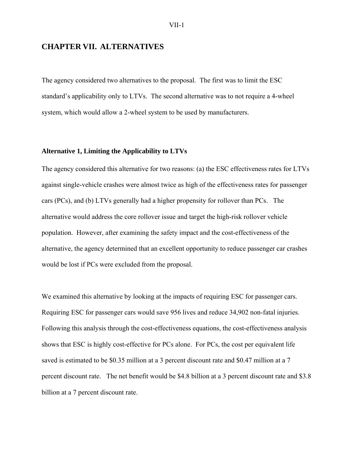# **CHAPTER VII. ALTERNATIVES**

The agency considered two alternatives to the proposal. The first was to limit the ESC standard's applicability only to LTVs. The second alternative was to not require a 4-wheel system, which would allow a 2-wheel system to be used by manufacturers.

### **Alternative 1, Limiting the Applicability to LTVs**

The agency considered this alternative for two reasons: (a) the ESC effectiveness rates for LTVs against single-vehicle crashes were almost twice as high of the effectiveness rates for passenger cars (PCs), and (b) LTVs generally had a higher propensity for rollover than PCs. The alternative would address the core rollover issue and target the high-risk rollover vehicle population. However, after examining the safety impact and the cost-effectiveness of the alternative, the agency determined that an excellent opportunity to reduce passenger car crashes would be lost if PCs were excluded from the proposal.

We examined this alternative by looking at the impacts of requiring ESC for passenger cars. Requiring ESC for passenger cars would save 956 lives and reduce 34,902 non-fatal injuries. Following this analysis through the cost-effectiveness equations, the cost-effectiveness analysis shows that ESC is highly cost-effective for PCs alone. For PCs, the cost per equivalent life saved is estimated to be \$0.35 million at a 3 percent discount rate and \$0.47 million at a 7 percent discount rate. The net benefit would be \$4.8 billion at a 3 percent discount rate and \$3.8 billion at a 7 percent discount rate.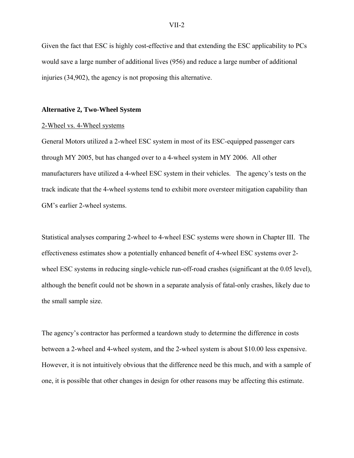Given the fact that ESC is highly cost-effective and that extending the ESC applicability to PCs would save a large number of additional lives (956) and reduce a large number of additional injuries (34,902), the agency is not proposing this alternative.

#### **Alternative 2, Two-Wheel System**

#### 2-Wheel vs. 4-Wheel systems

General Motors utilized a 2-wheel ESC system in most of its ESC-equipped passenger cars through MY 2005, but has changed over to a 4-wheel system in MY 2006. All other manufacturers have utilized a 4-wheel ESC system in their vehicles. The agency's tests on the track indicate that the 4-wheel systems tend to exhibit more oversteer mitigation capability than GM's earlier 2-wheel systems.

Statistical analyses comparing 2-wheel to 4-wheel ESC systems were shown in Chapter III. The effectiveness estimates show a potentially enhanced benefit of 4-wheel ESC systems over 2 wheel ESC systems in reducing single-vehicle run-off-road crashes (significant at the 0.05 level), although the benefit could not be shown in a separate analysis of fatal-only crashes, likely due to the small sample size.

The agency's contractor has performed a teardown study to determine the difference in costs between a 2-wheel and 4-wheel system, and the 2-wheel system is about \$10.00 less expensive. However, it is not intuitively obvious that the difference need be this much, and with a sample of one, it is possible that other changes in design for other reasons may be affecting this estimate.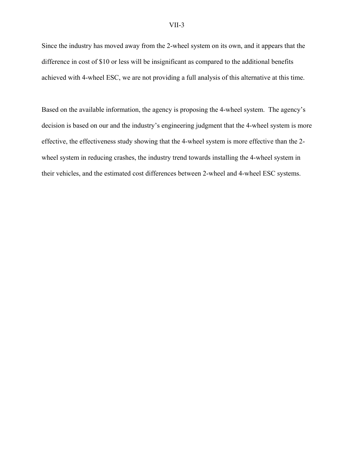Since the industry has moved away from the 2-wheel system on its own, and it appears that the difference in cost of \$10 or less will be insignificant as compared to the additional benefits achieved with 4-wheel ESC, we are not providing a full analysis of this alternative at this time.

Based on the available information, the agency is proposing the 4-wheel system. The agency's decision is based on our and the industry's engineering judgment that the 4-wheel system is more effective, the effectiveness study showing that the 4-wheel system is more effective than the 2 wheel system in reducing crashes, the industry trend towards installing the 4-wheel system in their vehicles, and the estimated cost differences between 2-wheel and 4-wheel ESC systems.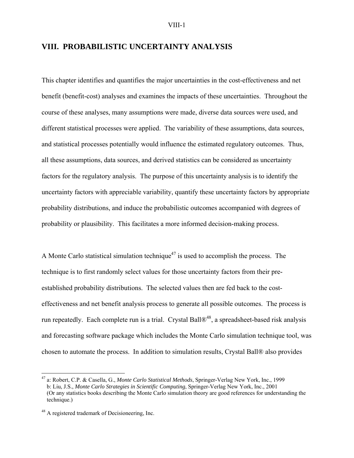# **VIII. PROBABILISTIC UNCERTAINTY ANALYSIS**

This chapter identifies and quantifies the major uncertainties in the cost-effectiveness and net benefit (benefit-cost) analyses and examines the impacts of these uncertainties. Throughout the course of these analyses, many assumptions were made, diverse data sources were used, and different statistical processes were applied. The variability of these assumptions, data sources, and statistical processes potentially would influence the estimated regulatory outcomes. Thus, all these assumptions, data sources, and derived statistics can be considered as uncertainty factors for the regulatory analysis. The purpose of this uncertainty analysis is to identify the uncertainty factors with appreciable variability, quantify these uncertainty factors by appropriate probability distributions, and induce the probabilistic outcomes accompanied with degrees of probability or plausibility. This facilitates a more informed decision-making process.

A Monte Carlo statistical simulation technique<sup>47</sup> is used to accomplish the process. The technique is to first randomly select values for those uncertainty factors from their preestablished probability distributions. The selected values then are fed back to the costeffectiveness and net benefit analysis process to generate all possible outcomes. The process is run repeatedly. Each complete run is a trial. Crystal Ball®<sup>48</sup>, a spreadsheet-based risk analysis and forecasting software package which includes the Monte Carlo simulation technique tool, was chosen to automate the process. In addition to simulation results, Crystal Ball® also provides

 $\overline{a}$ 

<sup>47</sup> a: Robert, C.P. & Casella, G., *Monte Carlo Statistical Methods*, Springer-Verlag New York, Inc., 1999 b: Liu, J.S., *Monte Carlo Strategies in Scientific Computing*, Springer-Verlag New York, Inc., 2001 (Or any statistics books describing the Monte Carlo simulation theory are good references for understanding the technique.)

<sup>&</sup>lt;sup>48</sup> A registered trademark of Decisioneering, Inc.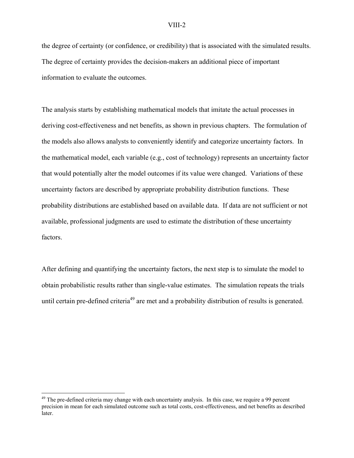the degree of certainty (or confidence, or credibility) that is associated with the simulated results. The degree of certainty provides the decision-makers an additional piece of important information to evaluate the outcomes.

The analysis starts by establishing mathematical models that imitate the actual processes in deriving cost-effectiveness and net benefits, as shown in previous chapters. The formulation of the models also allows analysts to conveniently identify and categorize uncertainty factors. In the mathematical model, each variable (e.g., cost of technology) represents an uncertainty factor that would potentially alter the model outcomes if its value were changed. Variations of these uncertainty factors are described by appropriate probability distribution functions. These probability distributions are established based on available data. If data are not sufficient or not available, professional judgments are used to estimate the distribution of these uncertainty factors.

After defining and quantifying the uncertainty factors, the next step is to simulate the model to obtain probabilistic results rather than single-value estimates. The simulation repeats the trials until certain pre-defined criteria<sup>49</sup> are met and a probability distribution of results is generated.

1

 $49$  The pre-defined criteria may change with each uncertainty analysis. In this case, we require a 99 percent precision in mean for each simulated outcome such as total costs, cost-effectiveness, and net benefits as described later.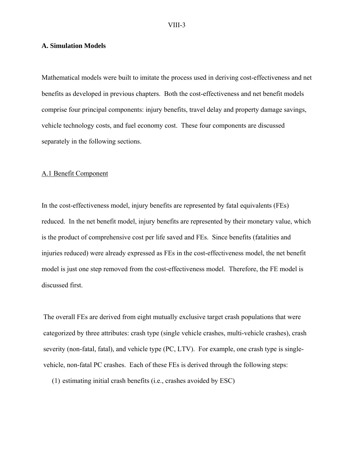# **A. Simulation Models**

Mathematical models were built to imitate the process used in deriving cost-effectiveness and net benefits as developed in previous chapters. Both the cost-effectiveness and net benefit models comprise four principal components: injury benefits, travel delay and property damage savings, vehicle technology costs, and fuel economy cost. These four components are discussed separately in the following sections.

#### A.1 Benefit Component

In the cost-effectiveness model, injury benefits are represented by fatal equivalents (FEs) reduced. In the net benefit model, injury benefits are represented by their monetary value, which is the product of comprehensive cost per life saved and FEs. Since benefits (fatalities and injuries reduced) were already expressed as FEs in the cost-effectiveness model, the net benefit model is just one step removed from the cost-effectiveness model. Therefore, the FE model is discussed first.

The overall FEs are derived from eight mutually exclusive target crash populations that were categorized by three attributes: crash type (single vehicle crashes, multi-vehicle crashes), crash severity (non-fatal, fatal), and vehicle type (PC, LTV). For example, one crash type is singlevehicle, non-fatal PC crashes. Each of these FEs is derived through the following steps:

(1) estimating initial crash benefits (i.e., crashes avoided by ESC)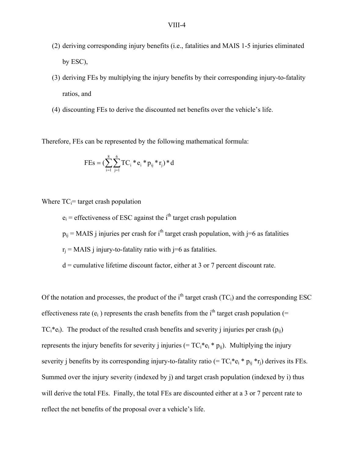- (2) deriving corresponding injury benefits (i.e., fatalities and MAIS 1-5 injuries eliminated by ESC),
- (3) deriving FEs by multiplying the injury benefits by their corresponding injury-to-fatality ratios, and
- (4) discounting FEs to derive the discounted net benefits over the vehicle's life.

Therefore, FEs can be represented by the following mathematical formula:

$$
FEs = (\sum_{i=1}^{8} \sum_{j=1}^{6} TC_i * e_i * p_{ij} * r_j) * d
$$

Where  $TC_i$ = target crash population

 $e_i$  = effectiveness of ESC against the i<sup>th</sup> target crash population

 $p_{ii}$  = MAIS j injuries per crash for i<sup>th</sup> target crash population, with j=6 as fatalities

 $r_i$  = MAIS j injury-to-fatality ratio with j=6 as fatalities.

 $d =$  cumulative lifetime discount factor, either at 3 or 7 percent discount rate.

Of the notation and processes, the product of the i<sup>th</sup> target crash  $(TC_i)$  and the corresponding ESC effectiveness rate  $(e_i)$  represents the crash benefits from the i<sup>th</sup> target crash population (=  $TC_i^*e_i$ ). The product of the resulted crash benefits and severity j injuries per crash  $(p_{ii})$ represents the injury benefits for severity j injuries (=  $TC_i^*e_i * p_{ij}$ ). Multiplying the injury severity j benefits by its corresponding injury-to-fatality ratio (=  $TC_i^*e_i * p_{ii} * r_i$ ) derives its FEs. Summed over the injury severity (indexed by j) and target crash population (indexed by i) thus will derive the total FEs. Finally, the total FEs are discounted either at a 3 or 7 percent rate to reflect the net benefits of the proposal over a vehicle's life.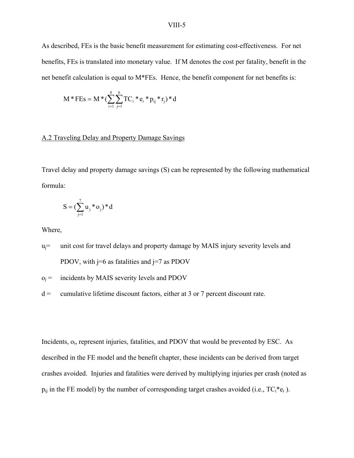As described, FEs is the basic benefit measurement for estimating cost-effectiveness. For net benefits, FEs is translated into monetary value. If M denotes the cost per fatality, benefit in the net benefit calculation is equal to M\*FEs. Hence, the benefit component for net benefits is:

$$
M * FEs = M * (\sum_{i=1}^{8}\sum_{j=1}^{6} TC_i * e_i * p_{ij} * r_j) * d
$$

# A.2 Traveling Delay and Property Damage Savings

Travel delay and property damage savings (S) can be represented by the following mathematical formula:

$$
S = (\sum_{j=1}^{7} u_j * o_j) * d
$$

Where,

- $u_i$ = unit cost for travel delays and property damage by MAIS injury severity levels and PDOV, with  $j=6$  as fatalities and  $j=7$  as PDOV
- $o_i$  = incidents by MAIS severity levels and PDOV
- $d =$  cumulative lifetime discount factors, either at 3 or 7 percent discount rate.

Incidents,  $o_i$ , represent injuries, fatalities, and PDOV that would be prevented by ESC. As described in the FE model and the benefit chapter, these incidents can be derived from target crashes avoided. Injuries and fatalities were derived by multiplying injuries per crash (noted as  $p_{ij}$  in the FE model) by the number of corresponding target crashes avoided (i.e.,  $TC_i^*e_i$ ).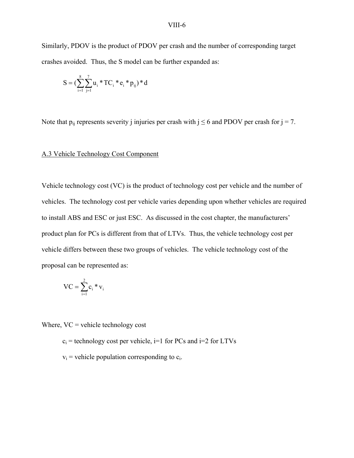Similarly, PDOV is the product of PDOV per crash and the number of corresponding target crashes avoided. Thus, the S model can be further expanded as:

$$
S = (\sum_{i=1}^{8} \sum_{j=1}^{7} u_i * TC_i * e_i * p_{ij}) * d
$$

Note that  $p_{ii}$  represents severity j injuries per crash with  $j \le 6$  and PDOV per crash for  $j = 7$ .

# A.3 Vehicle Technology Cost Component

Vehicle technology cost (VC) is the product of technology cost per vehicle and the number of vehicles. The technology cost per vehicle varies depending upon whether vehicles are required to install ABS and ESC or just ESC. As discussed in the cost chapter, the manufacturers' product plan for PCs is different from that of LTVs. Thus, the vehicle technology cost per vehicle differs between these two groups of vehicles. The vehicle technology cost of the proposal can be represented as:

$$
VC = \sum_{i=1}^2 c_i * v_i
$$

Where,  $VC$  = vehicle technology cost

 $c_i$  = technology cost per vehicle,  $i=1$  for PCs and  $i=2$  for LTVs

 $v_i$  = vehicle population corresponding to  $c_i$ .

#### VIII-6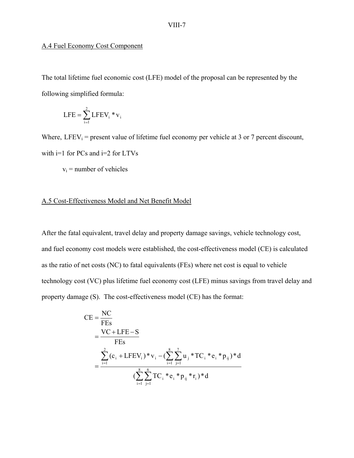# A.4 Fuel Economy Cost Component

The total lifetime fuel economic cost (LFE) model of the proposal can be represented by the following simplified formula:

$$
LFE = \sum_{i=1}^{2} LFEV_i * v_i
$$

Where,  $LFEV_i$  = present value of lifetime fuel economy per vehicle at 3 or 7 percent discount, with  $i=1$  for PCs and  $i=2$  for LTVs

 $v_i$  = number of vehicles

# A.5 Cost-Effectiveness Model and Net Benefit Model

After the fatal equivalent, travel delay and property damage savings, vehicle technology cost, and fuel economy cost models were established, the cost-effectiveness model (CE) is calculated as the ratio of net costs (NC) to fatal equivalents (FEs) where net cost is equal to vehicle technology cost (VC) plus lifetime fuel economy cost (LFE) minus savings from travel delay and property damage (S). The cost-effectiveness model (CE) has the format:

$$
CE = \frac{NC}{FEs}
$$
  
= 
$$
\frac{VC + LFE - S}{FEs}
$$
  
= 
$$
\frac{\sum_{i=1}^{2} (c_i + LFEV_i) * v_i - (\sum_{i=1}^{8} \sum_{j=1}^{7} u_j * TC_i * e_i * p_{ij}) * d}{(\sum_{i=1}^{8} \sum_{j=1}^{6} TC_i * e_i * p_{ij} * r_i) * d}
$$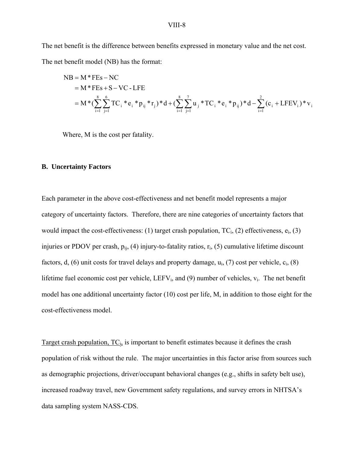The net benefit is the difference between benefits expressed in monetary value and the net cost. The net benefit model (NB) has the format:

NB = M \* FEs – NC  
\n= M \* FEs + S – VC - LFE  
\n= M \* (
$$
\sum_{i=1}^{8} \sum_{j=1}^{6} TC_i * e_i * p_{ij} * r_j
$$
) \* d + ( $\sum_{i=1}^{8} \sum_{j=1}^{7} u_j * TC_i * e_i * p_{ij}$ ) \* d -  $\sum_{i=1}^{2} (c_i + LFEV_i) * v_i$ 

Where, M is the cost per fatality.

# **B. Uncertainty Factors**

Each parameter in the above cost-effectiveness and net benefit model represents a major category of uncertainty factors. Therefore, there are nine categories of uncertainty factors that would impact the cost-effectiveness: (1) target crash population,  $TC_i$ , (2) effectiveness,  $e_i$ , (3) injuries or PDOV per crash,  $p_{ij}$ , (4) injury-to-fatality ratios,  $r_i$ , (5) cumulative lifetime discount factors, d, (6) unit costs for travel delays and property damage,  $u_i$ , (7) cost per vehicle,  $c_i$ , (8) lifetime fuel economic cost per vehicle,  $LEFV_i$ , and (9) number of vehicles,  $v_i$ . The net benefit model has one additional uncertainty factor (10) cost per life, M, in addition to those eight for the cost-effectiveness model.

Target crash population,  $TC_i$ , is important to benefit estimates because it defines the crash population of risk without the rule. The major uncertainties in this factor arise from sources such as demographic projections, driver/occupant behavioral changes (e.g., shifts in safety belt use), increased roadway travel, new Government safety regulations, and survey errors in NHTSA's data sampling system NASS-CDS.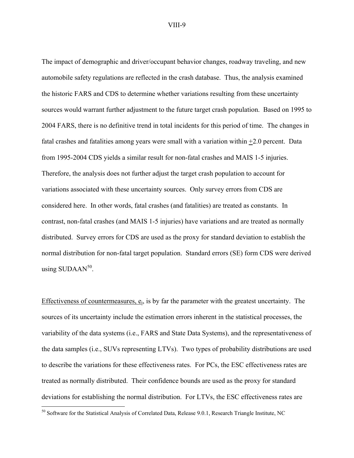The impact of demographic and driver/occupant behavior changes, roadway traveling, and new automobile safety regulations are reflected in the crash database. Thus, the analysis examined the historic FARS and CDS to determine whether variations resulting from these uncertainty sources would warrant further adjustment to the future target crash population. Based on 1995 to 2004 FARS, there is no definitive trend in total incidents for this period of time. The changes in fatal crashes and fatalities among years were small with a variation within +2.0 percent. Data from 1995-2004 CDS yields a similar result for non-fatal crashes and MAIS 1-5 injuries. Therefore, the analysis does not further adjust the target crash population to account for variations associated with these uncertainty sources. Only survey errors from CDS are considered here. In other words, fatal crashes (and fatalities) are treated as constants. In contrast, non-fatal crashes (and MAIS 1-5 injuries) have variations and are treated as normally distributed. Survey errors for CDS are used as the proxy for standard deviation to establish the normal distribution for non-fatal target population. Standard errors (SE) form CDS were derived using  $\text{SUBAAN}^{50}$ .

Effectiveness of countermeasures,  $e_i$ , is by far the parameter with the greatest uncertainty. The sources of its uncertainty include the estimation errors inherent in the statistical processes, the variability of the data systems (i.e., FARS and State Data Systems), and the representativeness of the data samples (i.e., SUVs representing LTVs). Two types of probability distributions are used to describe the variations for these effectiveness rates. For PCs, the ESC effectiveness rates are treated as normally distributed. Their confidence bounds are used as the proxy for standard deviations for establishing the normal distribution. For LTVs, the ESC effectiveness rates are

 $\overline{a}$ 

<sup>&</sup>lt;sup>50</sup> Software for the Statistical Analysis of Correlated Data, Release 9.0.1, Research Triangle Institute, NC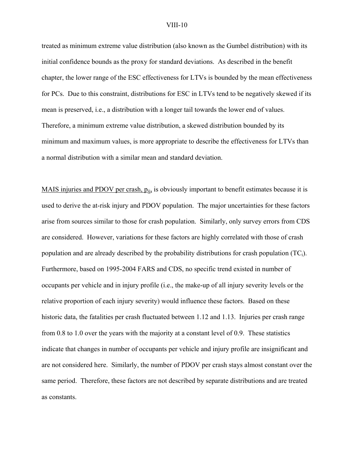treated as minimum extreme value distribution (also known as the Gumbel distribution) with its initial confidence bounds as the proxy for standard deviations. As described in the benefit chapter, the lower range of the ESC effectiveness for LTVs is bounded by the mean effectiveness for PCs. Due to this constraint, distributions for ESC in LTVs tend to be negatively skewed if its mean is preserved, i.e., a distribution with a longer tail towards the lower end of values. Therefore, a minimum extreme value distribution, a skewed distribution bounded by its minimum and maximum values, is more appropriate to describe the effectiveness for LTVs than a normal distribution with a similar mean and standard deviation.

MAIS injuries and PDOV per crash,  $p_{ij}$  is obviously important to benefit estimates because it is used to derive the at-risk injury and PDOV population. The major uncertainties for these factors arise from sources similar to those for crash population. Similarly, only survey errors from CDS are considered. However, variations for these factors are highly correlated with those of crash population and are already described by the probability distributions for crash population  $(TC_i)$ . Furthermore, based on 1995-2004 FARS and CDS, no specific trend existed in number of occupants per vehicle and in injury profile (i.e., the make-up of all injury severity levels or the relative proportion of each injury severity) would influence these factors. Based on these historic data, the fatalities per crash fluctuated between 1.12 and 1.13. Injuries per crash range from 0.8 to 1.0 over the years with the majority at a constant level of 0.9. These statistics indicate that changes in number of occupants per vehicle and injury profile are insignificant and are not considered here. Similarly, the number of PDOV per crash stays almost constant over the same period. Therefore, these factors are not described by separate distributions and are treated as constants.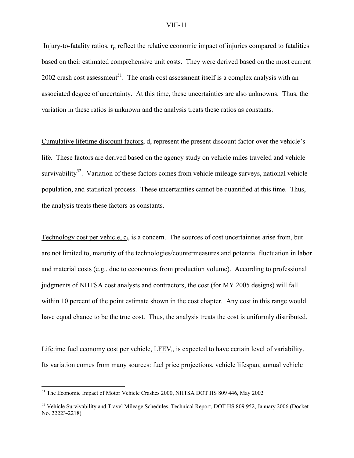Injury-to-fatality ratios,  $r_i$ , reflect the relative economic impact of injuries compared to fatalities based on their estimated comprehensive unit costs. They were derived based on the most current 2002 crash cost assessment<sup>51</sup>. The crash cost assessment itself is a complex analysis with an associated degree of uncertainty. At this time, these uncertainties are also unknowns. Thus, the variation in these ratios is unknown and the analysis treats these ratios as constants.

Cumulative lifetime discount factors, d, represent the present discount factor over the vehicle's life. These factors are derived based on the agency study on vehicle miles traveled and vehicle survivability<sup>52</sup>. Variation of these factors comes from vehicle mileage surveys, national vehicle population, and statistical process. These uncertainties cannot be quantified at this time. Thus, the analysis treats these factors as constants.

Technology cost per vehicle,  $c_i$ , is a concern. The sources of cost uncertainties arise from, but are not limited to, maturity of the technologies/countermeasures and potential fluctuation in labor and material costs (e.g., due to economics from production volume). According to professional judgments of NHTSA cost analysts and contractors, the cost (for MY 2005 designs) will fall within 10 percent of the point estimate shown in the cost chapter. Any cost in this range would have equal chance to be the true cost. Thus, the analysis treats the cost is uniformly distributed.

Lifetime fuel economy cost per vehicle,  $LEEV_i$ , is expected to have certain level of variability. Its variation comes from many sources: fuel price projections, vehicle lifespan, annual vehicle

<u>.</u>

<sup>&</sup>lt;sup>51</sup> The Economic Impact of Motor Vehicle Crashes 2000, NHTSA DOT HS 809 446, May 2002

<sup>&</sup>lt;sup>52</sup> Vehicle Survivability and Travel Mileage Schedules, Technical Report, DOT HS 809 952, January 2006 (Docket No. 22223-2218)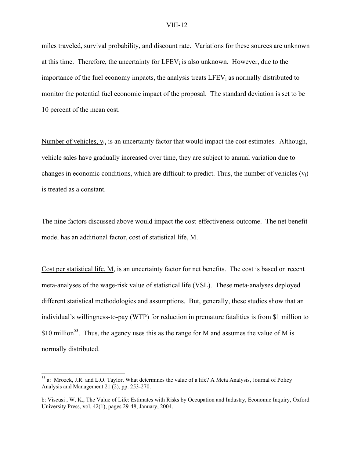miles traveled, survival probability, and discount rate. Variations for these sources are unknown at this time. Therefore, the uncertainty for  $LFEV_i$  is also unknown. However, due to the importance of the fuel economy impacts, the analysis treats LFEV<sub>i</sub> as normally distributed to monitor the potential fuel economic impact of the proposal. The standard deviation is set to be 10 percent of the mean cost.

Number of vehicles,  $v_i$ , is an uncertainty factor that would impact the cost estimates. Although, vehicle sales have gradually increased over time, they are subject to annual variation due to changes in economic conditions, which are difficult to predict. Thus, the number of vehicles  $(v_i)$ is treated as a constant.

The nine factors discussed above would impact the cost-effectiveness outcome. The net benefit model has an additional factor, cost of statistical life, M.

Cost per statistical life, M, is an uncertainty factor for net benefits. The cost is based on recent meta-analyses of the wage-risk value of statistical life (VSL). These meta-analyses deployed different statistical methodologies and assumptions. But, generally, these studies show that an individual's willingness-to-pay (WTP) for reduction in premature fatalities is from \$1 million to \$10 million<sup>53</sup>. Thus, the agency uses this as the range for M and assumes the value of M is normally distributed.

1

<sup>53</sup> a: Mrozek, J.R. and L.O. Taylor, What determines the value of a life? A Meta Analysis, Journal of Policy Analysis and Management 21 (2), pp. 253-270.

b: Viscusi , W. K., The Value of Life: Estimates with Risks by Occupation and Industry, Economic Inquiry, Oxford University Press, vol. 42(1), pages 29-48, January, 2004.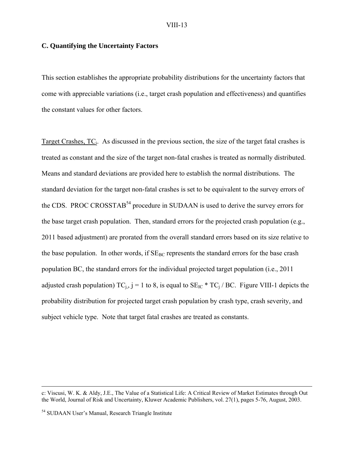# **C. Quantifying the Uncertainty Factors**

This section establishes the appropriate probability distributions for the uncertainty factors that come with appreciable variations (i.e., target crash population and effectiveness) and quantifies the constant values for other factors.

Target Crashes, TC<sub>i</sub>. As discussed in the previous section, the size of the target fatal crashes is treated as constant and the size of the target non-fatal crashes is treated as normally distributed. Means and standard deviations are provided here to establish the normal distributions. The standard deviation for the target non-fatal crashes is set to be equivalent to the survey errors of the CDS. PROC CROSSTAB<sup>54</sup> procedure in SUDAAN is used to derive the survey errors for the base target crash population. Then, standard errors for the projected crash population (e.g., 2011 based adjustment) are prorated from the overall standard errors based on its size relative to the base population. In other words, if  $SE_{BC}$  represents the standard errors for the base crash population BC, the standard errors for the individual projected target population (i.e., 2011 adjusted crash population)  $TC_i$ , j = 1 to 8, is equal to  $SE_{IC}$  \*  $TC_i$  / BC. Figure VIII-1 depicts the probability distribution for projected target crash population by crash type, crash severity, and subject vehicle type. Note that target fatal crashes are treated as constants.

c: Viscusi, W. K. & Aldy, J.E., The Value of a Statistical Life: A Critical Review of Market Estimates through Out the World, Journal of Risk and Uncertainty, Kluwer Academic Publishers, vol. 27(1), pages 5-76, August, 2003.

<sup>54</sup> SUDAAN User's Manual, Research Triangle Institute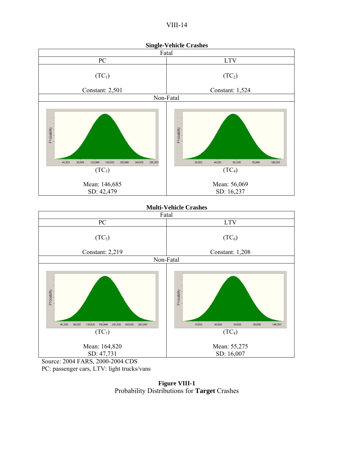|--|--|





**Figure VIII-1**  Probability Distributions for **Target** Crashes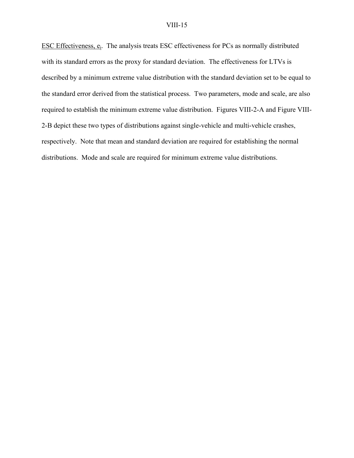ESC Effectiveness,  $e_i$ . The analysis treats ESC effectiveness for PCs as normally distributed with its standard errors as the proxy for standard deviation. The effectiveness for LTVs is described by a minimum extreme value distribution with the standard deviation set to be equal to the standard error derived from the statistical process. Two parameters, mode and scale, are also required to establish the minimum extreme value distribution. Figures VIII-2-A and Figure VIII-2-B depict these two types of distributions against single-vehicle and multi-vehicle crashes, respectively. Note that mean and standard deviation are required for establishing the normal distributions. Mode and scale are required for minimum extreme value distributions.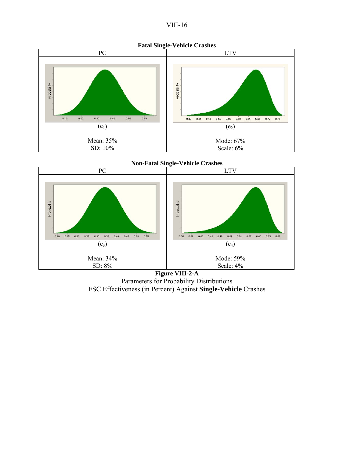



**Non-Fatal Single-Vehicle Crashes** 



**Figure VIII-2-A**  Parameters for Probability Distributions ESC Effectiveness (in Percent) Against **Single-Vehicle** Crashes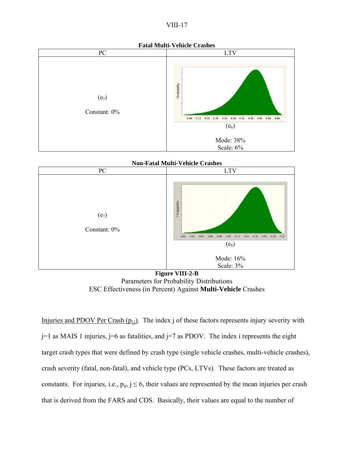





**Figure VIII-2-B**  Parameters for Probability Distributions ESC Effectiveness (in Percent) Against **Multi-Vehicle** Crashes

Injuries and PDOV Per Crash  $(p_{i,j})$ . The index j of these factors represents injury severity with  $j=1$  as MAIS 1 injuries,  $j=6$  as fatalities, and  $j=7$  as PDOV. The index i represents the eight target crash types that were defined by crash type (single vehicle crashes, multi-vehicle crashes), crash severity (fatal, non-fatal), and vehicle type (PCs, LTVs). These factors are treated as constants. For injuries, i.e.,  $p_{ij}$ ,  $j \le 6$ , their values are represented by the mean injuries per crash that is derived from the FARS and CDS. Basically, their values are equal to the number of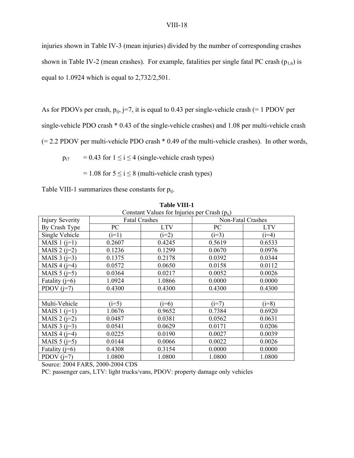injuries shown in Table IV-3 (mean injuries) divided by the number of corresponding crashes shown in Table IV-2 (mean crashes). For example, fatalities per single fatal PC crash ( $p_{1,6}$ ) is equal to 1.0924 which is equal to 2,732/2,501.

As for PDOVs per crash,  $p_{ij}$ , j=7, it is equal to 0.43 per single-vehicle crash (= 1 PDOV per

single-vehicle PDO crash \* 0.43 of the single-vehicle crashes) and 1.08 per multi-vehicle crash

(= 2.2 PDOV per multi-vehicle PDO crash \* 0.49 of the multi-vehicle crashes). In other words,

 $p_{i7}$  = 0.43 for  $1 \le i \le 4$  (single-vehicle crash types)

 $= 1.08$  for  $5 \le i \le 8$  (multi-vehicle crash types)

Table VIII-1 summarizes these constants for  $p_{ii}$ .

| Constant Values for Injuries per Crash $(p_{ii})$ |                      |            |                   |            |
|---------------------------------------------------|----------------------|------------|-------------------|------------|
| <b>Injury Severity</b>                            | <b>Fatal Crashes</b> |            | Non-Fatal Crashes |            |
| By Crash Type                                     | PC                   | <b>LTV</b> | PC                | <b>LTV</b> |
| Single Vehicle                                    | $(i=1)$              | $(i=2)$    | $(i=3)$           | $(i=4)$    |
| MAIS $1$ ( $i=1$ )                                | 0.2607               | 0.4245     | 0.5619            | 0.6533     |
| MAIS $2(i=2)$                                     | 0.1236               | 0.1299     | 0.0670            | 0.0976     |
| MAIS $3$ ( $j=3$ )                                | 0.1375               | 0.2178     | 0.0392            | 0.0344     |
| MAIS $4$ ( $j=4$ )                                | 0.0572               | 0.0650     | 0.0158            | 0.0112     |
| MAIS $5$ ( $i=5$ )                                | 0.0364               | 0.0217     | 0.0052            | 0.0026     |
| Fatality $(i=6)$                                  | 1.0924               | 1.0866     | 0.0000            | 0.0000     |
| PDOV $(i=7)$                                      | 0.4300               | 0.4300     | 0.4300            | 0.4300     |
|                                                   |                      |            |                   |            |
| Multi-Vehicle                                     | $(i=5)$              | $(i=6)$    | $(i=7)$           | $(i=8)$    |
| MAIS $1$ ( $j=1$ )                                | 1.0676               | 0.9652     | 0.7384            | 0.6920     |
| MAIS $2(i=2)$                                     | 0.0487               | 0.0381     | 0.0562            | 0.0631     |
| MAIS $3$ ( $i=3$ )                                | 0.0541               | 0.0629     | 0.0171            | 0.0206     |
| MAIS $4$ ( $i=4$ )                                | 0.0225               | 0.0190     | 0.0027            | 0.0039     |
| MAIS $5$ ( $i=5$ )                                | 0.0144               | 0.0066     | 0.0022            | 0.0026     |
| Fatality $(i=6)$                                  | 0.4308               | 0.3154     | 0.0000            | 0.0000     |
| PDOV $(i=7)$                                      | 1.0800               | 1.0800     | 1.0800            | 1.0800     |

**Table VIII-1**

Source: 2004 FARS, 2000-2004 CDS

PC: passenger cars, LTV: light trucks/vans, PDOV: property damage only vehicles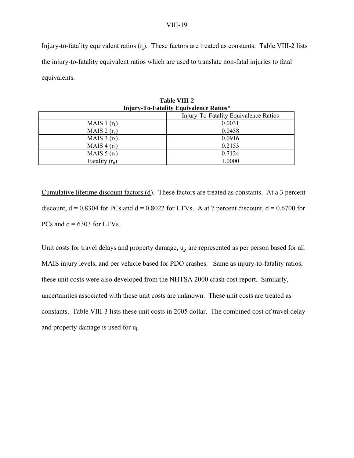Injury-to-fatality equivalent ratios  $(r_i)$ . These factors are treated as constants. Table VIII-2 lists the injury-to-fatality equivalent ratios which are used to translate non-fatal injuries to fatal equivalents.

| <b>Injury-To-Fatality Equivalence Ratios*</b> |        |  |  |
|-----------------------------------------------|--------|--|--|
| Injury-To-Fatality Equivalence Ratios         |        |  |  |
| MAIS 1 $(r_1)$                                | 0.0031 |  |  |
| MAIS $2(r_2)$                                 | 0.0458 |  |  |
| MAIS $3(r_3)$                                 | 0.0916 |  |  |
| MAIS 4 $(r_4)$                                | 0.2153 |  |  |
| MAIS $5(r_5)$                                 | 0.7124 |  |  |
| Fatality $(r_6)$                              | 1.0000 |  |  |

| <b>Table VIII-2</b>                 |  |
|-------------------------------------|--|
| jury-To-Fatality Equivalence Ratios |  |

Cumulative lifetime discount factors (d). These factors are treated as constants. At a 3 percent discount,  $d = 0.8304$  for PCs and  $d = 0.8022$  for LTVs. A at 7 percent discount,  $d = 0.6700$  for PCs and  $d = 6303$  for LTVs.

Unit costs for travel delays and property damage, u<sub>i</sub>, are represented as per person based for all MAIS injury levels, and per vehicle based for PDO crashes. Same as injury-to-fatality ratios, these unit costs were also developed from the NHTSA 2000 crash cost report. Similarly, uncertainties associated with these unit costs are unknown. These unit costs are treated as constants. Table VIII-3 lists these unit costs in 2005 dollar. The combined cost of travel delay and property damage is used for uj.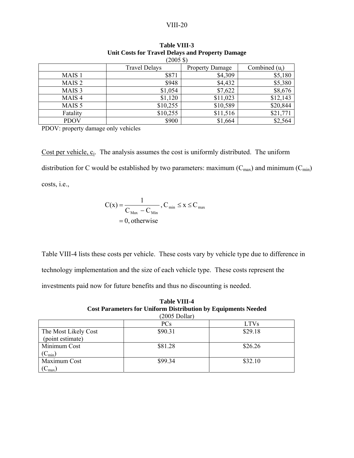| $(2005 \text{ } \text{\textsterling})$ |                      |                        |          |  |
|----------------------------------------|----------------------|------------------------|----------|--|
|                                        | <b>Travel Delays</b> | <b>Property Damage</b> |          |  |
| MAIS <sub>1</sub>                      | \$871                | \$4,309                | \$5,180  |  |
| MAIS <sub>2</sub>                      | \$948                | \$4,432                | \$5,380  |  |
| MAIS <sub>3</sub>                      | \$1,054              | \$7,622                | \$8,676  |  |
| MAIS <sub>4</sub>                      | \$1,120              | \$11,023               | \$12,143 |  |
| MAIS <sub>5</sub>                      | \$10,255             | \$10,589               | \$20,844 |  |
| Fatality                               | \$10,255             | \$11,516               | \$21,771 |  |
| <b>PDOV</b>                            | \$900                | \$1,664                | \$2,564  |  |

| <b>Table VIII-3</b>                              |
|--------------------------------------------------|
| Unit Costs for Travel Delays and Property Damage |

PDOV: property damage only vehicles

Cost per vehicle,  $c_i$ . The analysis assumes the cost is uniformly distributed. The uniform distribution for C would be established by two parameters: maximum  $(C_{max})$  and minimum  $(C_{min})$ costs, i.e.,

$$
C(x) = \frac{1}{C_{\text{Max}} - C_{\text{Min}}}, C_{\text{min}} \le x \le C_{\text{max}}
$$
  
= 0, otherwise

Table VIII-4 lists these costs per vehicle. These costs vary by vehicle type due to difference in technology implementation and the size of each vehicle type. These costs represent the investments paid now for future benefits and thus no discounting is needed.

**Table VIII-4 Cost Parameters for Uniform Distribution by Equipments Needed**  (2005 Dollar)

| zuus Dollar                              |            |             |  |  |
|------------------------------------------|------------|-------------|--|--|
|                                          | <b>PCs</b> | <b>LTVs</b> |  |  |
| The Most Likely Cost<br>(point estimate) | \$90.31    | \$29.18     |  |  |
| Minimum Cost<br>$(C_{\min})$             | \$81.28    | \$26.26     |  |  |
| Maximum Cost<br>$\cup$ max               | \$99.34    | \$32.10     |  |  |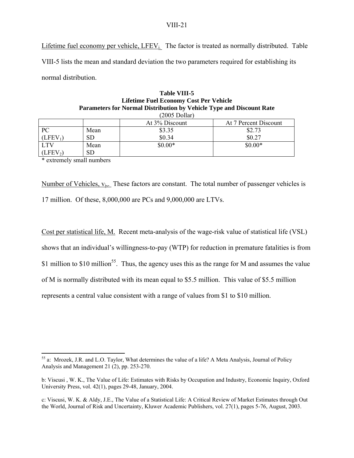Lifetime fuel economy per vehicle,  $LEEV_i$ . The factor is treated as normally distributed. Table VIII-5 lists the mean and standard deviation the two parameters required for establishing its normal distribution.

**Table 1 Table 7** 

| Table VIII-5<br><b>Lifetime Fuel Economy Cost Per Vehicle</b>                                   |           |                |                       |  |
|-------------------------------------------------------------------------------------------------|-----------|----------------|-----------------------|--|
| Parameters for Normal Distribution by Vehicle Type and Discount Rate<br>$(2005 \text{ Dollar})$ |           |                |                       |  |
|                                                                                                 |           | At 3% Discount | At 7 Percent Discount |  |
| PС                                                                                              | Mean      | \$3.35         | \$2.73                |  |
| (LFEV <sub>1</sub> )                                                                            | <b>SD</b> | \$0.34         | \$0.27                |  |
| LTV                                                                                             | Mean      | $$0.00*$       | $$0.00*$              |  |
| (LFEV <sub>2</sub> )                                                                            | <b>SD</b> |                |                       |  |

\* extremely small numbers

 $\overline{a}$ 

Number of Vehicles,  $v_i$ . These factors are constant. The total number of passenger vehicles is 17 million. Of these, 8,000,000 are PCs and 9,000,000 are LTVs.

Cost per statistical life, M. Recent meta-analysis of the wage-risk value of statistical life (VSL) shows that an individual's willingness-to-pay (WTP) for reduction in premature fatalities is from \$1 million to \$10 million<sup>55</sup>. Thus, the agency uses this as the range for M and assumes the value of M is normally distributed with its mean equal to \$5.5 million. This value of \$5.5 million represents a central value consistent with a range of values from \$1 to \$10 million.

<sup>55</sup> a: Mrozek, J.R. and L.O. Taylor, What determines the value of a life? A Meta Analysis, Journal of Policy Analysis and Management 21 (2), pp. 253-270.

b: Viscusi , W. K., The Value of Life: Estimates with Risks by Occupation and Industry, Economic Inquiry, Oxford University Press, vol. 42(1), pages 29-48, January, 2004.

c: Viscusi, W. K. & Aldy, J.E., The Value of a Statistical Life: A Critical Review of Market Estimates through Out the World, Journal of Risk and Uncertainty, Kluwer Academic Publishers, vol. 27(1), pages 5-76, August, 2003.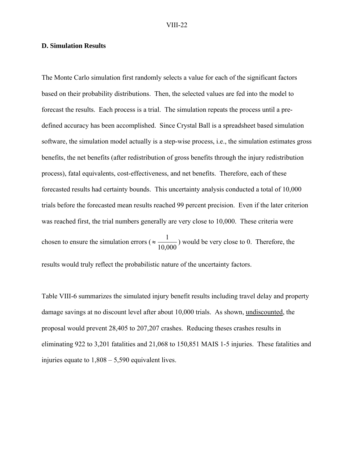#### **D. Simulation Results**

The Monte Carlo simulation first randomly selects a value for each of the significant factors based on their probability distributions. Then, the selected values are fed into the model to forecast the results. Each process is a trial. The simulation repeats the process until a predefined accuracy has been accomplished. Since Crystal Ball is a spreadsheet based simulation software, the simulation model actually is a step-wise process, i.e., the simulation estimates gross benefits, the net benefits (after redistribution of gross benefits through the injury redistribution process), fatal equivalents, cost-effectiveness, and net benefits. Therefore, each of these forecasted results had certainty bounds. This uncertainty analysis conducted a total of 10,000 trials before the forecasted mean results reached 99 percent precision. Even if the later criterion was reached first, the trial numbers generally are very close to 10,000. These criteria were chosen to ensure the simulation errors ( $\approx \frac{1}{10,000}$ ) would be very close to 0. Therefore, the results would truly reflect the probabilistic nature of the uncertainty factors.

Table VIII-6 summarizes the simulated injury benefit results including travel delay and property damage savings at no discount level after about 10,000 trials. As shown, undiscounted, the proposal would prevent 28,405 to 207,207 crashes. Reducing theses crashes results in eliminating 922 to 3,201 fatalities and 21,068 to 150,851 MAIS 1-5 injuries. These fatalities and injuries equate to 1,808 – 5,590 equivalent lives.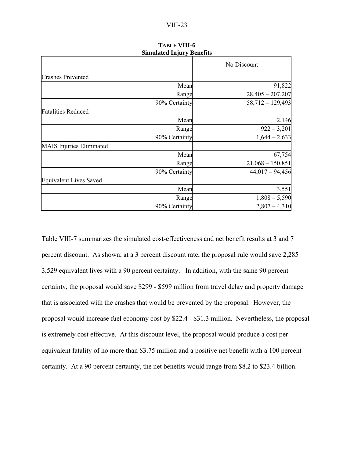|                                 |               | No Discount        |
|---------------------------------|---------------|--------------------|
| <b>Crashes Prevented</b>        |               |                    |
|                                 | Mean          | 91,822             |
|                                 | Range         | $28,405 - 207,207$ |
|                                 | 90% Certainty | $58,712 - 129,493$ |
| <b>Fatalities Reduced</b>       |               |                    |
|                                 | Mean          | 2,146              |
|                                 | Range         | $922 - 3,201$      |
|                                 | 90% Certainty | $1,644 - 2,633$    |
| <b>MAIS</b> Injuries Eliminated |               |                    |
|                                 | Mean          | 67,754             |
|                                 | Range         | $21,068 - 150,851$ |
|                                 | 90% Certainty | $44,017 - 94,456$  |
| <b>Equivalent Lives Saved</b>   |               |                    |
|                                 | Mean          | 3,551              |
|                                 | Range         | $1,808 - 5,590$    |
|                                 | 90% Certainty | $2,807 - 4,310$    |
|                                 |               |                    |

#### **TABLE VIII-6 Simulated Injury Benefits**

Table VIII-7 summarizes the simulated cost-effectiveness and net benefit results at 3 and 7 percent discount. As shown, at a 3 percent discount rate, the proposal rule would save 2,285 – 3,529 equivalent lives with a 90 percent certainty. In addition, with the same 90 percent certainty, the proposal would save \$299 - \$599 million from travel delay and property damage that is associated with the crashes that would be prevented by the proposal. However, the proposal would increase fuel economy cost by \$22.4 - \$31.3 million. Nevertheless, the proposal is extremely cost effective. At this discount level, the proposal would produce a cost per equivalent fatality of no more than \$3.75 million and a positive net benefit with a 100 percent certainty. At a 90 percent certainty, the net benefits would range from \$8.2 to \$23.4 billion.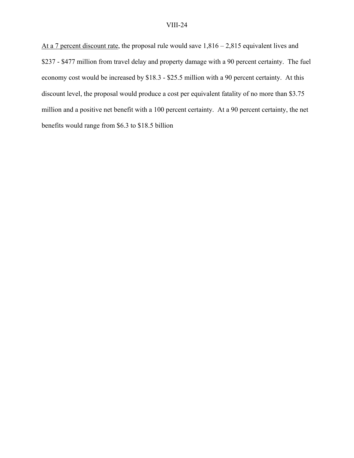At a 7 percent discount rate, the proposal rule would save 1,816 – 2,815 equivalent lives and \$237 - \$477 million from travel delay and property damage with a 90 percent certainty. The fuel economy cost would be increased by \$18.3 - \$25.5 million with a 90 percent certainty. At this discount level, the proposal would produce a cost per equivalent fatality of no more than \$3.75 million and a positive net benefit with a 100 percent certainty. At a 90 percent certainty, the net benefits would range from \$6.3 to \$18.5 billion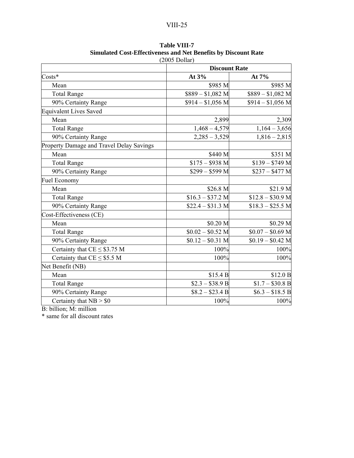| $(2005\text{ Dollar})$                   |                      |                   |  |
|------------------------------------------|----------------------|-------------------|--|
|                                          | <b>Discount Rate</b> |                   |  |
| Costs*                                   | At 3%                | At 7%             |  |
| Mean                                     | \$985 M              | \$985 M           |  |
| <b>Total Range</b>                       | $$889 - $1,082$ M    | $$889 - $1,082$ M |  |
| 90% Certainty Range                      | $$914 - $1,056$ M    | $$914 - $1,056$ M |  |
| <b>Equivalent Lives Saved</b>            |                      |                   |  |
| Mean                                     | 2,899                | 2,309             |  |
| <b>Total Range</b>                       | $1,468 - 4,579$      | $1,164 - 3,656$   |  |
| 90% Certainty Range                      | $2,285 - 3,529$      | $1,816 - 2,815$   |  |
| Property Damage and Travel Delay Savings |                      |                   |  |
| Mean                                     | \$440 M              | \$351 M           |  |
| <b>Total Range</b>                       | $$175 - $938$ M      | $$139 - $749$ M   |  |
| 90% Certainty Range                      | $$299 - $599$ M      | $$237 - $477 M$   |  |
| <b>Fuel Economy</b>                      |                      |                   |  |
| Mean                                     | \$26.8 M             | \$21.9 M          |  |
| <b>Total Range</b>                       | $$16.3 - $37.2 M$    | $$12.8 - $30.9$ M |  |
| 90% Certainty Range                      | $$22.4 - $31.3 M$    | $$18.3 - $25.5 M$ |  |
| Cost-Effectiveness (CE)                  |                      |                   |  |
| Mean                                     | \$0.20 M             | \$0.29 M          |  |
| <b>Total Range</b>                       | $$0.02 - $0.52$ M    | $$0.07 - $0.69$ M |  |
| 90% Certainty Range                      | $$0.12 - $0.31$ M    | $$0.19 - $0.42$ M |  |
| Certainty that $CE \leq $3.75$ M         | 100%                 | 100%              |  |
| Certainty that $CE \leq $5.5$ M          | 100%                 | 100%              |  |
| Net Benefit (NB)                         |                      |                   |  |
| Mean                                     | \$15.4 B             | \$12.0 B          |  |
| <b>Total Range</b>                       | $$2.3 - $38.9 B$     | $$1.7 - $30.8 B$  |  |
| 90% Certainty Range                      | $$8.2 - $23.4 B$     | $$6.3 - $18.5 B$  |  |
| Certainty that $NB > $0$                 | 100%                 | 100%              |  |

# **Table VIII-7 Simulated Cost-Effectiveness and Net Benefits by Discount Rate**

B: billion; M: million

\* same for all discount rates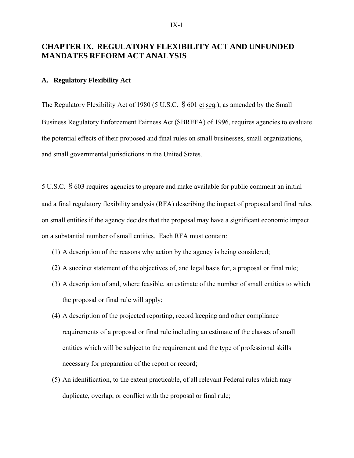# **CHAPTER IX. REGULATORY FLEXIBILITY ACT AND UNFUNDED MANDATES REFORM ACT ANALYSIS**

# **A. Regulatory Flexibility Act**

The Regulatory Flexibility Act of 1980 (5 U.S.C. § 601 et seq.), as amended by the Small Business Regulatory Enforcement Fairness Act (SBREFA) of 1996, requires agencies to evaluate the potential effects of their proposed and final rules on small businesses, small organizations, and small governmental jurisdictions in the United States.

5 U.S.C. §603 requires agencies to prepare and make available for public comment an initial and a final regulatory flexibility analysis (RFA) describing the impact of proposed and final rules on small entities if the agency decides that the proposal may have a significant economic impact on a substantial number of small entities. Each RFA must contain:

- (1) A description of the reasons why action by the agency is being considered;
- (2) A succinct statement of the objectives of, and legal basis for, a proposal or final rule;
- (3) A description of and, where feasible, an estimate of the number of small entities to which the proposal or final rule will apply;
- (4) A description of the projected reporting, record keeping and other compliance requirements of a proposal or final rule including an estimate of the classes of small entities which will be subject to the requirement and the type of professional skills necessary for preparation of the report or record;
- (5) An identification, to the extent practicable, of all relevant Federal rules which may duplicate, overlap, or conflict with the proposal or final rule;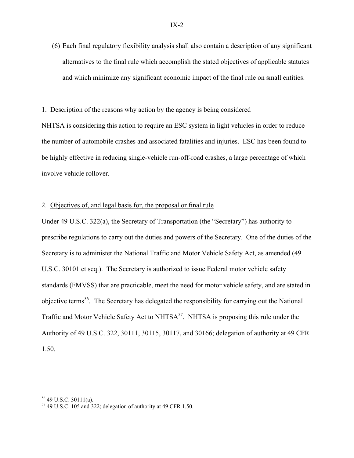(6) Each final regulatory flexibility analysis shall also contain a description of any significant alternatives to the final rule which accomplish the stated objectives of applicable statutes and which minimize any significant economic impact of the final rule on small entities.

# 1. Description of the reasons why action by the agency is being considered

NHTSA is considering this action to require an ESC system in light vehicles in order to reduce the number of automobile crashes and associated fatalities and injuries. ESC has been found to be highly effective in reducing single-vehicle run-off-road crashes, a large percentage of which involve vehicle rollover.

# 2. Objectives of, and legal basis for, the proposal or final rule

Under 49 U.S.C. 322(a), the Secretary of Transportation (the "Secretary") has authority to prescribe regulations to carry out the duties and powers of the Secretary. One of the duties of the Secretary is to administer the National Traffic and Motor Vehicle Safety Act, as amended (49 U.S.C. 30101 et seq.). The Secretary is authorized to issue Federal motor vehicle safety standards (FMVSS) that are practicable, meet the need for motor vehicle safety, and are stated in objective terms<sup>56</sup>. The Secretary has delegated the responsibility for carrying out the National Traffic and Motor Vehicle Safety Act to  $NHTSA<sup>57</sup>$ . NHTSA is proposing this rule under the Authority of 49 U.S.C. 322, 30111, 30115, 30117, and 30166; delegation of authority at 49 CFR 1.50.

 $\overline{a}$ 

<sup>56 49</sup> U.S.C. 30111(a).

 $57$  49 U.S.C. 105 and 322; delegation of authority at 49 CFR 1.50.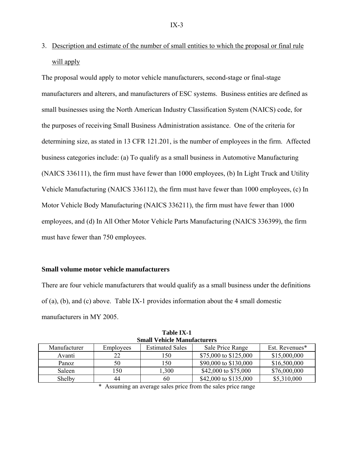3. Description and estimate of the number of small entities to which the proposal or final rule will apply

The proposal would apply to motor vehicle manufacturers, second-stage or final-stage manufacturers and alterers, and manufacturers of ESC systems. Business entities are defined as small businesses using the North American Industry Classification System (NAICS) code, for the purposes of receiving Small Business Administration assistance. One of the criteria for determining size, as stated in 13 CFR 121.201, is the number of employees in the firm. Affected business categories include: (a) To qualify as a small business in Automotive Manufacturing (NAICS 336111), the firm must have fewer than 1000 employees, (b) In Light Truck and Utility Vehicle Manufacturing (NAICS 336112), the firm must have fewer than 1000 employees, (c) In Motor Vehicle Body Manufacturing (NAICS 336211), the firm must have fewer than 1000 employees, and (d) In All Other Motor Vehicle Parts Manufacturing (NAICS 336399), the firm must have fewer than 750 employees.

#### **Small volume motor vehicle manufacturers**

There are four vehicle manufacturers that would qualify as a small business under the definitions of (a), (b), and (c) above. Table IX-1 provides information about the 4 small domestic manufacturers in MY 2005.

| олнан эспісіс энціціасціі сто |           |                        |                       |                |
|-------------------------------|-----------|------------------------|-----------------------|----------------|
| Manufacturer                  | Employees | <b>Estimated Sales</b> | Sale Price Range      | Est. Revenues* |
| Avanti                        |           | 150                    | \$75,000 to \$125,000 | \$15,000,000   |
| Panoz                         | 50        | 150                    | \$90,000 to \$130,000 | \$16,500,000   |
| Saleen                        | 150       | l.300                  | \$42,000 to \$75,000  | \$76,000,000   |
| Shelby                        | 44        | 60                     | \$42,000 to \$135,000 | \$5,310,000    |

**Table IX-1 Small Vehicle Manufacturers** 

\* Assuming an average sales price from the sales price range

 $IX-3$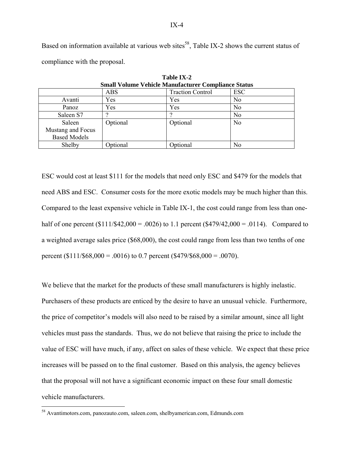Based on information available at various web sites<sup>58</sup>, Table IX-2 shows the current status of compliance with the proposal.

| Small Volume Vehicle Manufacturer Compliance Status |          |                         |                |  |
|-----------------------------------------------------|----------|-------------------------|----------------|--|
|                                                     | ABS      | <b>Traction Control</b> | <b>ESC</b>     |  |
| Avanti                                              | Yes      | Yes                     | No             |  |
| Panoz                                               | Yes      | Yes                     | No             |  |
| Saleen S7                                           |          |                         | N <sub>0</sub> |  |
| Saleen                                              | Optional | Optional                | N <sub>o</sub> |  |
| Mustang and Focus                                   |          |                         |                |  |
| <b>Based Models</b>                                 |          |                         |                |  |
| Shelby                                              | Optional | Optional                | No             |  |

**Table IX-2 Small Volume Vehicle Manufacturer Compliance Status** 

ESC would cost at least \$111 for the models that need only ESC and \$479 for the models that need ABS and ESC. Consumer costs for the more exotic models may be much higher than this. Compared to the least expensive vehicle in Table IX-1, the cost could range from less than onehalf of one percent  $(\$111/\$42,000 = .0026)$  to 1.1 percent  $(\$479/42,000 = .0114)$ . Compared to a weighted average sales price (\$68,000), the cost could range from less than two tenths of one percent ( $$111/\$68,000 = .0016$ ) to 0.7 percent ( $$479/\$68,000 = .0070$ ).

We believe that the market for the products of these small manufacturers is highly inelastic. Purchasers of these products are enticed by the desire to have an unusual vehicle. Furthermore, the price of competitor's models will also need to be raised by a similar amount, since all light vehicles must pass the standards. Thus, we do not believe that raising the price to include the value of ESC will have much, if any, affect on sales of these vehicle. We expect that these price increases will be passed on to the final customer. Based on this analysis, the agency believes that the proposal will not have a significant economic impact on these four small domestic vehicle manufacturers.

<u>.</u>

<sup>58</sup> Avantimotors.com, panozauto.com, saleen.com, shelbyamerican.com, Edmunds.com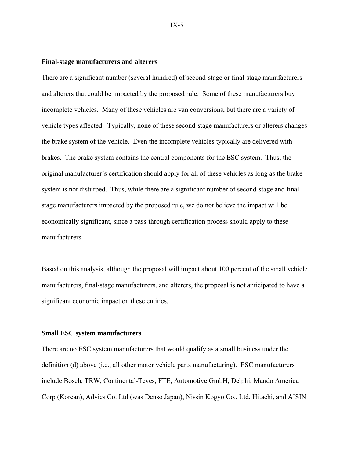### **Final-stage manufacturers and alterers**

There are a significant number (several hundred) of second-stage or final-stage manufacturers and alterers that could be impacted by the proposed rule. Some of these manufacturers buy incomplete vehicles. Many of these vehicles are van conversions, but there are a variety of vehicle types affected. Typically, none of these second-stage manufacturers or alterers changes the brake system of the vehicle. Even the incomplete vehicles typically are delivered with brakes. The brake system contains the central components for the ESC system. Thus, the original manufacturer's certification should apply for all of these vehicles as long as the brake system is not disturbed. Thus, while there are a significant number of second-stage and final stage manufacturers impacted by the proposed rule, we do not believe the impact will be economically significant, since a pass-through certification process should apply to these manufacturers.

Based on this analysis, although the proposal will impact about 100 percent of the small vehicle manufacturers, final-stage manufacturers, and alterers, the proposal is not anticipated to have a significant economic impact on these entities.

#### **Small ESC system manufacturers**

There are no ESC system manufacturers that would qualify as a small business under the definition (d) above (i.e., all other motor vehicle parts manufacturing). ESC manufacturers include Bosch, TRW, Continental-Teves, FTE, Automotive GmbH, Delphi, Mando America Corp (Korean), Advics Co. Ltd (was Denso Japan), Nissin Kogyo Co., Ltd, Hitachi, and AISIN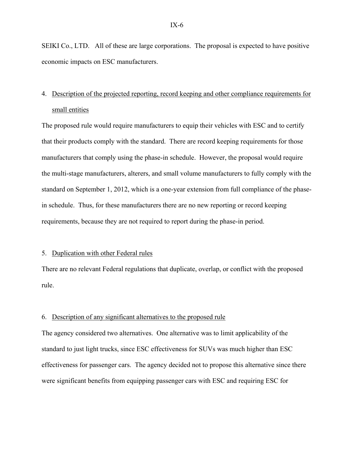SEIKI Co., LTD. All of these are large corporations. The proposal is expected to have positive economic impacts on ESC manufacturers.

# 4. Description of the projected reporting, record keeping and other compliance requirements for small entities

The proposed rule would require manufacturers to equip their vehicles with ESC and to certify that their products comply with the standard. There are record keeping requirements for those manufacturers that comply using the phase-in schedule. However, the proposal would require the multi-stage manufacturers, alterers, and small volume manufacturers to fully comply with the standard on September 1, 2012, which is a one-year extension from full compliance of the phasein schedule. Thus, for these manufacturers there are no new reporting or record keeping requirements, because they are not required to report during the phase-in period.

# 5. Duplication with other Federal rules

There are no relevant Federal regulations that duplicate, overlap, or conflict with the proposed rule.

# 6. Description of any significant alternatives to the proposed rule

The agency considered two alternatives. One alternative was to limit applicability of the standard to just light trucks, since ESC effectiveness for SUVs was much higher than ESC effectiveness for passenger cars. The agency decided not to propose this alternative since there were significant benefits from equipping passenger cars with ESC and requiring ESC for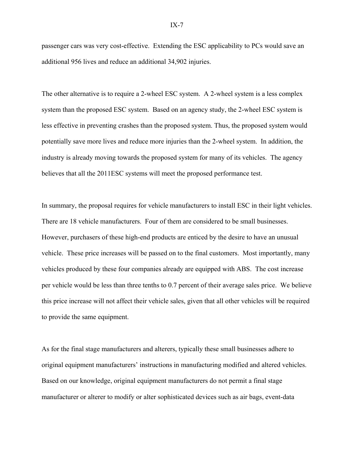passenger cars was very cost-effective. Extending the ESC applicability to PCs would save an additional 956 lives and reduce an additional 34,902 injuries.

The other alternative is to require a 2-wheel ESC system. A 2-wheel system is a less complex system than the proposed ESC system. Based on an agency study, the 2-wheel ESC system is less effective in preventing crashes than the proposed system. Thus, the proposed system would potentially save more lives and reduce more injuries than the 2-wheel system. In addition, the industry is already moving towards the proposed system for many of its vehicles. The agency believes that all the 2011ESC systems will meet the proposed performance test.

In summary, the proposal requires for vehicle manufacturers to install ESC in their light vehicles. There are 18 vehicle manufacturers. Four of them are considered to be small businesses. However, purchasers of these high-end products are enticed by the desire to have an unusual vehicle. These price increases will be passed on to the final customers. Most importantly, many vehicles produced by these four companies already are equipped with ABS. The cost increase per vehicle would be less than three tenths to 0.7 percent of their average sales price. We believe this price increase will not affect their vehicle sales, given that all other vehicles will be required to provide the same equipment.

As for the final stage manufacturers and alterers, typically these small businesses adhere to original equipment manufacturers' instructions in manufacturing modified and altered vehicles. Based on our knowledge, original equipment manufacturers do not permit a final stage manufacturer or alterer to modify or alter sophisticated devices such as air bags, event-data